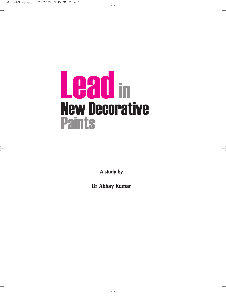# Leadin New Decorative **Paints**

**A study by**

**Dr Abhay Kumar**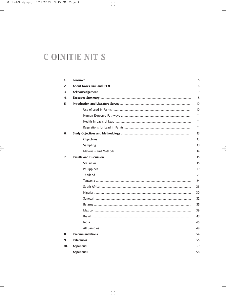# $C[O|N|T|E|N|T|S$

| 1.  | 5  |
|-----|----|
| 2.  | 6  |
| 3.  | 7  |
| 4.  | 8  |
| 5.  | 10 |
|     | 10 |
|     | 11 |
|     | 11 |
|     | 11 |
| 6.  | 13 |
|     | 13 |
|     | 13 |
|     | 14 |
| 7.  | 15 |
|     | 15 |
|     | 17 |
|     | 21 |
|     | 24 |
|     | 26 |
|     | 30 |
|     | 32 |
|     | 35 |
|     | 39 |
|     | 43 |
|     | 46 |
|     | 49 |
| 8.  | 54 |
| 9.  | 55 |
| 10. | 57 |
|     | 58 |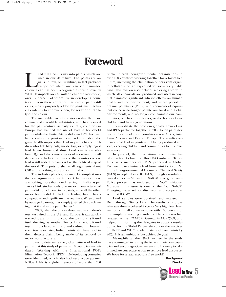# **Foreword**

ead still finds its way into paints, which are used in our daily lives. The paints are on walls, in toys, on furniture, in fact probably everywhere where one can see man-made colour. Lead has been recognised as prime toxic used in our daily lives. The paints are on walls, in toys, on furniture, in fact probably everywhere where one can see man-made WHO. It impacts over 40 million children worldwide, over 97 percent of whom live in developing countries. It is in these countries that lead in paints still exists, mostly purposely added by paint manufacturers evidently to improve sheen, longevity or durability of the colour.

The incredible part of the story is that there are commercially available substitutes, and have existed for the past century. As early as 1935, countries in Europe had banned the use of lead in household paints, while the United States did so in 1971. For over half a century the paint industry has known about the grave health impacts that lead in paints has on children who lick baby cots, suckle toys, or simply ingest lead laden household dust. Lead can irreversibly lower IQ, and also cause a series of coordination skill deficiencies. In fact the map of the countries where lead is still added to paints is like the political map of the world. This puts to shame all arguments about CSR and is nothing short of a criminal act.

The industry pleads ignorance. Or simply it uses the cost argument to justify its act. In this case these are nothing more than a red herring. In India, as per Toxics Link studies, only one major manufacturer of paints did not add lead to its paints, while all the other major brands did. In fact this leading brand has a competitive and significant market share. When asked by outraged parents, they simply justified this by claiming that it makes the paint 'better.'

In 2007, when the outcry about lead in children's toys was raised in the U.S. and Europe, it was quickly tracked to paints. In India too, the toy industry found itself ducking as another Toxics Link report found toys in India laced with lead and cadmium. However even two years later, Indian paints still have lead in them despite claims being made of its removal by major manufacturers.

It was to determine the global pattern of lead in paints that this study of paints in 10 countries was initiated. Working with the International POPs Elimination Network (IPEN), 10 developing countries were identified, which also had very active partner NGOs. IPEN is a global network of more than 700

public interest non-governmental organisations in over 100 countries working together for a toxics-free future, including the elimination of persistent organic pollutants, on an expedited yet socially equitable basis. This mission also includes achieving a world in which all chemicals are produced and used in ways that eliminate significant adverse effects on human health and the environment, and where persistent organic pollutants (POPs) and chemicals of equivalent concern no longer pollute our local and global environments, and no longer contaminate our communities, our food, our bodies, or the bodies of our children and future generations.

To investigate the problem globally, Toxics Link and IPEN partnered together in 2008 to test paints for lead in local markets in countries across Africa, Asia, Latin America and Eastern Europe. The results confirmed that lead in paints is still being produced and sold, exposing children and communities to this toxic substance.

In parallel, the international community has taken action to build on this NGO initiative. Toxics Link as a member of IPEN proposed a Global Partnership to eliminate lead from paint to Forum VI of the Intergovernmental Forum on Chemical Safety (IFCS) in September 2008. IFCS, through a resolution passed at Forum VI, and the SAICM Emerging Issues Policy process, has endorsed this NGO initiative. Moreover, this issue is one of the four SAICM Emerging Issues set for discussion and cooperative action at ICCM2.

Lead samples were obtained and analysed in Delhi through Toxics Link. The results only prove what was already believed to be so. Very high lead level was found in all countries some with 100 percent of the samples exceeding standards. The study was first released at the ICCM2 in Geneva in May 2009, and helped in informing the delegates to adopt a resolution to form a Global Partnership under the auspices of UNEP and WHO to eliminate lead from paints by 2020. It is an ambitious but achievable goal.

Meanwhile all the NGO partners in the study have committed to raising the issue in their own countries and encourage Government and Industry to take immediate corrective action to remove lead at source. We hope for a lead exposure free world!

> Ravi Agarwal **Director**

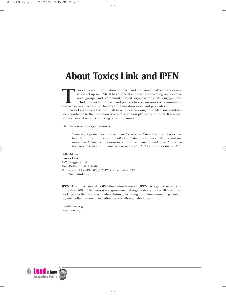# **About Toxics Link and IPEN**

oxics Link is an information outreach and environmental advocacy organisation set up in 1996. It has a special emphasis on reaching out to grassroots groups and community based organisations. Its engagements include research, outreach and policy advocacy on issues of communities and urban waste, toxics free healthcare, hazardous waste and pesticides.

Toxics Link works closely with all stakeholders working on similar issues and has been conducive to the formation of several common platforms for them. It is a part of international networks working on similar issues.

The mission of the organisation is:

"Working together for environmental justice and freedom from toxics. We have taken upon ourselves to collect and share both information about the sources and dangers of poisons in our environment and bodies, and information about clean and sustainable alternatives for India and rest of the world"

Delhi Address: Toxics Link H-2, Jangpura Ext New Delhi - 110014, India Phone + 91 11 - 24328006/ 23420711 fax: 24321747 info@toxicslink.org

IPEN: The International POPs Elimination Network (IPEN) is a global network of more than 700 public interest non-governmental organisations in over 100 countries working together for a toxics-free future, including the elimination of persistent organic pollutants, on an expedited yet socially equitable basis

ipen@ipen.org www.ipen.org

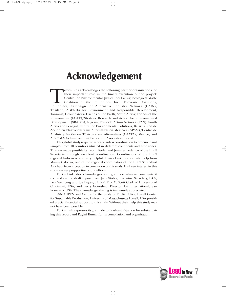# **Acknowledgement**

Toxics Link acknowledges the following partner organisations for their important role in the timely execution of the project: Centre for Environmental Justice, Sri Lanka; Ecological Waste Coalition of the Philippines, Inc. their important role in the timely execution of the project: Centre for Environmental Justice, Sri Lanka; Ecological Waste Coalition of the Philippines, Inc. (EcoWaste Coalition), Thailand; AGENDA for Environment and Responsible Development, Tanzania; GroundWork- Friends of the Earth, South Africa; Friends of the Environment (FOTE)/Strategic Research and Action for Environmental Development (SRADev), Nigeria; Pesticide Action Network (PAN), South Africa and Senegal; Centre for Environmental Solutions, Belarus; Red de Acción en Plaguicidas y sus Alternativas en México (RAPAM)/Centro de Analisis y Acción en Tóxicos y sus Alternativas (CAATA), Mexico; and APROMAC – Environment Protection Association, Brazil.

This global study required a near-flawless coordination to procure paint samples from 10 countries situated in different continents and time zones. This was made possible by Bjorn Beeler and Jennifer Federico of the IPEN Secretariat through excellent coordination. Coordinators of the IPEN regional hubs were also very helpful. Toxics Link received vital help from Manny Calonzo, one of the regional coordinators of the IPEN South-East Asia hub, from inception to conclusion of this study. His keen interest in this study was very supportive of our efforts.

Toxics Link also acknowledges with gratitude valuable comments it received on the draft report from Judy Stober, Executive Secretary, IFCS; Jack Weinberg and Joe Digangi, IPEN; Prof C. Scott Clark of University of Cincinnati, USA, and Perry Gottesfeld, Director, OK International, San Francisco, USA. Their knowledge sharing is immensely appreciated.

SSNC, IPEN and Centre for the Study of Public Policy, Lowell Center for Sustainable Production, University of Massachusetts Lowell, USA provided crucial financial support to this study. Without their help this study may not have been possible.

Toxics Link expresses its gratitude to Prashant Rajankar for substantiating this report and Ragini Kumar for its compilation and organisation.

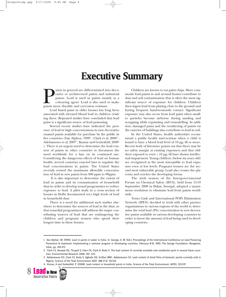# **Executive Summary**

aints in general are differentiated into decorative or architectural paints and industrial paints. Lead is used in paints mainly as a colouring agent. Lead is also used to make paints more durable and corrosion resistant. rative or architectural paints and industrial paints. Lead is used in paints mainly as a colouring agent. Lead is also used to make

Lead based paint in older houses has long been associated with elevated blood lead in children residing there. Repeated studies have concluded that lead paint is a significant source of lead poisoning.

Several recent studies have indicated the presence of lead in high concentrations in new decorative enamel paints available for purchase by the public in five countries (Van Alphen,  $1999<sup>1</sup>$ ; Clark et al,  $2006<sup>2</sup>$ ; Adebamowo et al, 2007<sup>3</sup>; Kumar and Gottesfeld, 2008<sup>4</sup> ). There is an urgent need to determine the lead content of paints in other countries to document the need worldwide for a ban on its continued use. Considering the dangerous effects of lead on human health, several countries enacted laws to regulate the lead concentrations in paints. The United States recently revised the maximum allowable concentration of lead in new paints from 600 ppm to 90ppm.

It is also important to determine the extent of lead in paints and its contamination of household dust in order to develop sound programmes to reduce exposure to lead. A pilot study in a cross section of houses in Delhi documented very high levels of lead in household dust.

There is a need for additional such studies elsewhere to determine the sources of lead in the dust, so that remedial programmes will address the major contributing sources of lead that are endangering the children and pregnant women who spend their longest time in these houses.

Children are known to eat paint chips. More commonly lead paints in and around homes contribute to dust and soil contamination that is often the most significant source of exposure for children. Children then ingest lead from playing close to the ground and having frequent hand-to-mouth contact. Significant exposure may also occur from lead paint when smaller particles become airborne during sanding and scrapping while repainting and remodelling. In addition, damaged paint and the weathering of paints on the exterior of buildings also contribute to lead in soil.

In the United States, health authorities recommend a public health intervention when a child is found to have a blood lead level of 10 µg/dl or more. Recent body of literature points out that there may be no safety margin at existing exposures and that children exposed to even  $< 10 \mu g/dl$  have shown intellectual impairment. Young children (below six years old) are recognized as the most susceptible to lead exposure even at low levels. Pregnant women are the second most vulnerable group. Lead also crosses the placenta and reaches the developing foetus.

The sixth session of the Intergovernmental Forum on Chemical Safety (IFCS), held from 15-19 September 2008 in Dakar, Senegal, adopted a unanimous resolution to eliminate lead from paints worldwide.

Toxics Link and International POPs Elimination Network (IPEN) decided to work with other partner organisations in various regions of the world to determine the total lead (Pb) concentration in new decorative paints available in various developing countries in order to know the amount of lead being used in developing countries.

<sup>4.</sup> Kumar, A and Gottesfeld, P. (2008). Lead content in household paints in India. Science of the Total Environment, 407(1), 333-337



<sup>1.</sup> Van Alphen, M. (1999). Lead in paints in water in India. In: George, A. M. (Ed.), Proceedings of the International Conference on Lead Poisoning Prevention & treatment: Implementing a national program in Developing countries, February 8-10, 1999. The George Foundation, Bangalore, India, pp. 265-272

<sup>2.</sup> Clark CS, Rampal KG, Thuppil V, Chen CK, Clark R, Roda S. The lead content of currently available new residential paint in several Asian countries. Environmental Research 2006; 102: 9-12.

<sup>3.</sup> Adebamowo EO, Clark CS, Roda S, Agbede OA, Sridhar MKC, Adebamowo CA. Lead content of dried films of domestic paints currently sold in Nigeria. Science of the Total Environment 2007; 388 (1-3): 116-120.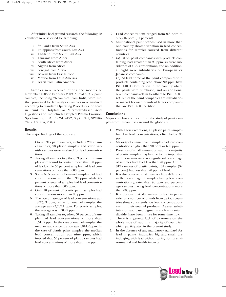After initial background research, the following 10 countries were selected for sampling:

- i. Sri Lanka from South Asia
- ii. Philippines from South East Asia
- iii. Thailand from South East Asia
- iv. Tanzania from Africa
- v. South Africa from Africa
- vi. Nigeria from Africa
- vii. Senegal from Africa
- viii. Belarus from East Europe
- ix. Mexico from Latin America
- x. Brazil from Latin America

Samples were received during the months of November 2008 to February 2009. A total of 317 paint samples, including 26 samples from India, were further processed for lab analysis. Samples were analysed according to Standard Operating Procedures for Lead in Paint by Hotplate or Microwave-based Acid Digestions and Inductively Coupled Plasma Emission Spectroscopy, EPA, PB92-114172, Sept. 1991; SW846- 740 (U.S. EPA, 2001)

#### **Results**

The major findings of the study are:

- 1. Overall 317 paint samples, including 232 enamel samples, 78 plastic samples, and seven varnish samples were analysed for lead concentrations.
- 2. Taking all samples together, 53 percent of samples were found to contain more than 90 ppm of lead, while 50 percent samples had lead concentrations of more than 600 ppm.
- 3. Some 68.5 percent of enamel samples had lead concentrations more than 90 ppm, while 65 percent of enamel samples had lead concentrations of more than 600 ppm.
- 4. Only 10 percent of plastic paint samples had concentrations more than 90 ppm.
- 5. The overall average of lead concentrations was 18,220.3 ppm, while for enamel samples the average was 23,707.1 ppm. For plastic samples, the average was 1,508.5 ppm.
- 6. Taking all samples together, 50 percent of samples had lead concentrations of more than 1,541.2 ppm. In the case of enamel samples, the median lead concentration was 3,914.2 ppm. In the case of plastic paint samples, the median lead concentration was nine ppm, which implied that 50 percent of plastic samples had lead concentrations of more than nine ppm.
- 7. Lead concentrations ranged from 0.6 ppm to 505,716 ppm (51 percent).
- 8. Multinational paint brands used in more than one country showed variation in lead concentrations for samples sourced from different countries.
- 9. (a) Of 54 paint companies with products containing lead greater than 90 ppm, six were subsidiaries of U.S. corporations, and an additional eight were subsidiaries of European or Japanese companies.

(b) At least three of the paint companies with products containing lead above 90 ppm have ISO 14001 Certification in the country where the paints were purchased, and an additional seven companies claim to adhere to ISO 14001. (c) Ten of the paint companies are subsidiaries or market licensed brands of larger companies that are ISO 14001 certified.

#### **Conclusions**

Major conclusions drawn from the study of paint samples from 10 countries around the globe are:

- With a few exceptions, all plastic paint samples had low lead concentrations, often below 90 ppm.
- 2. Majority of enamel paint samples had lead concentrations higher than 90 ppm or 600 ppm.
- Presence of small amount of lead in a majority of plastic samples may be due to the impurities in the raw materials, as a significant percentage of samples had lead less than 20 ppm. Out of 317 samples of plastic paints, 101 samples (32 percent) had less than 20 ppm of lead.
- 4. It is also observed that there is a little difference in the percentage of samples having lead concentrations greater than 90 ppm and percentage samples having lead concentrations more than 600 ppm.
- 5. It is obvious that alternatives to lead in paints exist, as a number of brands from various countries show consistently low lead concentrations even in their enamel products. Cleaner substitutes for lead based pigments, such as titanium dioxide, have been in use for some time now.
- 6. There is a general lack of awareness on the whole issue of lead in a majority of countries, which participated in the present study.
- 7. In the absence of any mandatory standard for lead in paints, industries, big and small, are indulging with lead without caring for its environmental and health impacts.

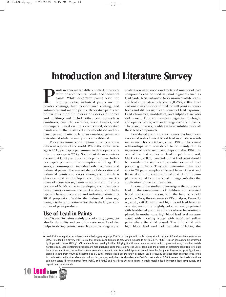# **Introduction and Literature Survey**

aints in general are differentiated into decorative or architectural paints and industrial paints. While decorative paints serve the housing sector, industrial paints include powder coatings, high performance coating, and rative or architectural paints and industrial paints. While decorative paints serve the housing sector, industrial paints include automotive and marine paints. Decorative paints are primarily used on the interior or exterior of homes and buildings and include other coatings such as emulsions, enamels, varnishes, wood finishes, and distempers. Based on the solvents used, decorative paints are further classified into water-based and oilbased paints. Plastic or latex or emulsion paints are water-based while enamel paints are oil-based.

Per capita annual consumption of paints varies in different regions of the world. While the global average is 15 kg per capita per annum, in developed countries the average is 22 kg. South-East Asian countries consume 4 kg of paint per capita per annum. India's per capita per annum consumption is 0.5 kg. The average consumption includes both decorative and industrial paints. The market share of decorative and industrial paints also varies among countries. It is observed that in developed countries the market share of these two segments typically are in the proportion of 50:50, while in developing countries decorative paints dominate the market share, with India typically having decorative and industrial paints in a 70:30 proportion. Within the industrial paint segment, it is the automotive sector that is the largest consumer of paint products.

# **Use of Lead in Paints**

Lead• is used in paints mainly as a colouring agent, but also for durability and corrosion resistance. Lead also helps in drying paints faster. It provides longevity to coatings on walls, woods and metals. A number of lead compounds can be used as paint pigments such as lead oxide, lead carbonate (also known as white lead), and lead chromates/molybdates (ILZSG, 2004). Lead carbonate was historically used for wall paint in households and still is a significant source of lead exposure. Lead chromates, molybdates, and sulphates are also widely used. They are inorganic pigments for bright and opaque yellow, red, and orange colours in paints. There are, however, readily available substitutes for all these lead compounds.

Lead-based paint in older houses has long been associated with elevated blood lead in children residing in such houses (Clark, et al., 1985). The causal relationships were considered to be mainly due to ingestion of lead-based paint chips (Lin-Fu, 1967). In one of the first studies on lead in paints and soil, Clark, et al., (2005) concluded that lead paint should be considered a significant potential source of lead poisoning in India. They also determined that lead was in 29 paint samples collected from Gujarat and Karnataka in India and reported that 11 of the samples were equal to or exceeded 1.0 mg/cm3 after the application of one to three coats.

In one of the studies to investigate the sources of lead in the environment of children with elevated blood lead concentrations, with the help of a field portable X-ray fluorescence (XRF) analyser, Kuruvilla A., et al., (2004) attributed high blood lead levels in one student to the brightly coloured swings painted with lead-based paint in an area where he routinely played. In another case, high blood lead level was associated with a railing coated with lead-based yellow paint where the child played. The third child with high blood lead level had the habit of licking the

 $\bullet$  Lead (Pb) is categorized as a heavy metal belonging to group IV A (14) of the periodic table having atomic number 82 and relative atomic mass 207.2. Pure lead is a silvery-white metal that oxidizes and turns blue-grey when exposed to air (U.S. EPA, 1998). It is soft (enough to be scratched by fingernail), dense (11.3 g/cm3), malleable and readily fusible. Alloying it with small amounts of arsenic, copper, antimony, or other metals hardens lead. Lead-containing products are manufactured using these alloys. The use of lead, and the process of extracting lead from ore, date back to ancient times; the earliest known example of metallic lead is a metal figure recovered from the Temple of Abydus in Upper Egypt, considered to date from 4000 BC (Thornton et al., 2001). Metallic lead occurs rarely in nature. Lead is usually obtained from sulphide ores, often in combination with other elements such as zinc, copper, and silver. Its abundance in Earth's crust is about 0.0013 percent. Lead exists in three oxidation states Pb(0)-elemental form, Pb(II), and Pb(IV) and has three chemical forms, namely metallic lead, inorganic lead compounds, and organic lead compounds.

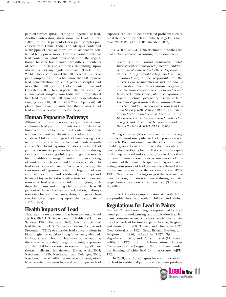painted surface (pica), leading to ingestion of lead. Another interesting study done by Clark, et al., (2006), found 66 percent of new paint samples purchased from China, India, and Malaysia contained 5,000 ppm of lead or more, while 78 percent contained 600 ppm or more. They also pointed out that lead content in paints depended upon the regulations. The same brand could have different contents of lead in different countries depending upon whether or not any regulation existed (Clark, et al., 2006). They also reported that 100 percent (n=17) of paint samples from India had more than 600 ppm of lead concentration, while 83 percent samples had more than 5,000 ppm of lead contents. Kumar and Gottesfeld (2008) have reported that 84 percent of enamel paint samples from India that they analysed had lead more than 600 ppm, with concentrations ranging up to 140,000 ppm (0.0025 to 14 percent). All plastic (water-based) paints that they analysed had lead in low concentrations below 25 ppm.

### **Human Exposure Pathways**

Although children are known to eat paint chips, more commonly lead paint on the interior and exterior of homes contributes to dust and soil contamination that is often the most significant source of exposure for children. Children can ingest lead from playing close to the ground and having frequent hand-to-mouth contact. Significant exposure can also occur from lead paint when smaller particles become airborne during sanding and scrapping while repainting and remodelling. In addition, damaged paint and the weathering of paint on the exterior of buildings also contribute to lead in soil. Contaminated soil is a particularly significant source of exposure to children. Ingestion of contaminated soil, dust, and lead-based paint chips and licking of toys in hand-to-mouth activity are important sources of lead exposure in infants and young children. In infants and young children as much as 50 percent of dietary lead is absorbed, although absorption rates for lead from soils, dusts, and paint chips can be lower depending upon the bioavailability (IPCS, 1995).

### **Health Impacts of Lead**

That lead is a toxic element has been well established (WHO, 1995; U.S. Department of Health and Human Services, 1988; Goldstein, 1992). It is the toxicity of lead that led the U.S. Centers for Disease Control and Prevention (CDC) to consider lead concentrations in blood higher or equal to 10 µg/dl as being elevated. In fact, a recent body of literature points out that there may be no safety margin at existing exposures and that children exposed to even  $< 10 \mu g/dl$  have shown intellectual impairment (Koller, et al., 2004; Needleman, 1995; Needleman and Bellinger, 2001; Needleman, et al., 2002). Some recent investigations have revealed that even low-level and long-term lead

exposure can lead to health related problems such as renal dysfunction or delayed puberty in girls (Selvan, et al., 2003; Wu, et al., 2003; Marsden, 2003).

A WHO/UNECE, 2006 document describes the health effects of lead. According to this document:

> "Lead is a well known neurotoxic metal. Impairment of neurodevelopment in children is the most critical lead effect. Exposure in uterus, during breast-feeding, and in early childhood may all be responsible for the effects. Lead accumulates in skeleton and its mobilization from bones during pregnancy and lactation causes exposures to foetus and breast fed infant. Hence, life time exposure of woman before pregnancy is important. Epidemiological studies show consistently that effects in children are associated with lead levels in blood (Pb-B) of about  $100-150 g/l$ . There are indications that lead is harmful even at blood lead concentrations considerably below 100 g/l and there may be no threshold for these effects." (WHO/UNECE, 2006)

Young children (below six years old) are recognized as the most susceptible to lead exposure even at low levels. Pregnant women are the second most vulnerable group. Lead also crosses the placenta and reaches the developing foetus. Absorbed lead is rapidly taken up by blood and soft tissue, followed by a slower redistribution to bone. Bone accumulates lead during much of the human life span and may serve as an endogenous source of lead that may be released slowly over many years after the exposure stops (IPCS, 1995). New research findings suggest that lead neurotoxicity among humans is enhanced during perinatal stage, from conception to two years old (Schnaas et al., 2006).

Table 1 describes symptoms associated with different possible blood lead levels in children and adults.

# **Regulations for Lead in Paints**

For over 70 years now, dangers represented by leadbased paint manufacturing and application had led many countries to enact bans or restrictions on the use of white lead for interior paint: France, Belgium, and Austria in 1909; Tunisia and Greece in 1922; Czechoslovakia in 1924; Great Britain, Sweden, and Belgium in 1926; Poland in 1927; Spain and Yugoslavia in 1931; and Cuba in 1934 (Markowitz, 2000). In 1922, the third International Labour Conference of the League of Nations recommended the banning of white lead for interior use (AJPH, 1923).

In 2008, the U.S. Congress lowered the standard for lead in residential paints and paints on products

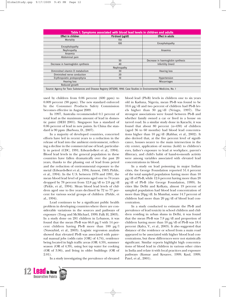| Table 1. Symptoms associated with blood lead levels in children and adults |                  |                                   |  |  |  |  |
|----------------------------------------------------------------------------|------------------|-----------------------------------|--|--|--|--|
| <b>Effect in children</b>                                                  | Pb-blood (µg/dl) | <b>Effect in adults</b>           |  |  |  |  |
| Mortality                                                                  | 150              |                                   |  |  |  |  |
|                                                                            | 100              | Encephalopathy                    |  |  |  |  |
| Encephalopathy                                                             |                  |                                   |  |  |  |  |
| Nephropathy                                                                |                  | Anaemia                           |  |  |  |  |
| Anaemia                                                                    |                  |                                   |  |  |  |  |
| Abdominal pain                                                             |                  |                                   |  |  |  |  |
|                                                                            | 50               | Decrease in haemoglobin synthesis |  |  |  |  |
| Decrease in haemoglobin synthesis                                          | 40               | Infertility (men)                 |  |  |  |  |
|                                                                            | Nephropathy      |                                   |  |  |  |  |
| Diminished vitamin D metabolism                                            | 30               | <b>Hearing loss</b>               |  |  |  |  |
| Diminished nerve conduction                                                | 20               |                                   |  |  |  |  |
| Erythropoietic protoporphyria                                              | 10               | Hypertension                      |  |  |  |  |
| <b>Hearing loss</b>                                                        |                  | <b>Miscarriages</b>               |  |  |  |  |
| Reduced growth                                                             |                  |                                   |  |  |  |  |

Source: Agency for Toxic Substances and Disease Registry (ATSDR), 1990. Case Studies in Environmental Medicine, No. 1

used by children from 0.06 percent (600 ppm) to 0.009 percent (90 ppm). The new standard enforced by the Consumer Products Safety Commission becomes effective in August 2009.

In 1997, Australia recommended 0.1 percent of total lead as the maximum amount of lead in domestic paint (DEH 2001). Singapore has a standard of 0.06 percent of lead in new paints. In China the standard is 90 ppm (Barboza, D., 2007).

In a majority of developed countries, concerted efforts have led in recent years to a reduction in the release of lead into the ambient environment, reflecting a decline in the commercial use of lead, particularly in petrol (CDC, 1991; Edwards-Bert et al., 1994). Blood lead levels in the general population in these countries have fallen dramatically over the past 20 years, thanks to the phasing out of lead from petrol and the reduction of environmental exposure to the metal (Edwards-Bert et al., 1994; Annest, 1983; Pirkle, et al., 1994). In the U.S. between 1976 and 1991, the mean blood lead level of persons aged one to 74 years dropped by 78 percent from 12.8 µg/dl to 2.8 µg/dl (Pirkle, et al., 1994). Mean blood lead levels of children aged one to five years declined by 72 to 77 percent for various social groups of children (Pirkle, et al., 1994).

Lead continues to be a significant public health problem in developing countries where there are considerable variations in the sources and pathways of exposure (Tong and McMichael, 1999; Falk H, 2003). In a study done on 281 children in Lebanon, it was found that the mean Pb-B was 66.0 µg/l with 14 percent children having Pb-B more than 100 µg/l (Nuwayhid, et al., 2003). Logistic regression analysis showed that elevated Pb-B was associated with paternal manual jobs (odds ratio [OR] of 4.74), residence being located in high traffic areas (OR: 4.59), summer season (OR of 4.39), using hot tap water for cooking (OR of 3.96), and living in older buildings (OR of 2.01).

In a study investigating the prevalence of elevated

12 **Lead** in New<br>Decorative Paints



blood lead (Pb-B) levels in children one to six years

In a study on lead poisoning in major Indian cities, the George Foundation reported 51.4 percent of the total sampled population having more than 10 µg/dl of Pb-B, while 12.6 percent having more than 20 µg/dl of Pb-B (the George Foundation, 1999). In cities like Delhi and Kolkata, almost 19 percent of sampled population had blood lead concentration of more than 20µg/dl. In Mumbai, some 14.7 percent of children had more than 20 µg/dl of blood lead concentration.

In a study conducted to estimate the Pb-B and prevalence of lead toxicity in school children and children residing in urban slums in Delhi, it was found that the mean Pb-B was 7.8 µg/dl and proportion of children having more than 10 µg/dl of Pb-B was 18.4 percent (Kalra, V., et al., 2003). It also suggested that distance of the residence or school from a main road appeared to be associated with higher blood lead concentrations, but these differences were not statistically significant. Similar reports highlight high concentrations of blood lead in children in various other cities in India and relate it with local practices and exposure pathways (Kumar and Kesaree, 1999; Kaul, 1999; Patel, et al., 2001).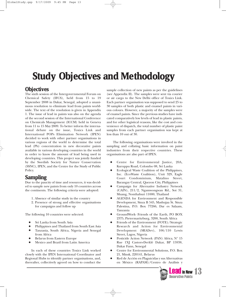# **Study Objectives and Methodology**

### **Objectives**

The sixth session of the Intergovernmental Forum on Chemical Safety (IFCS), held from 15 to 19 September 2008 in Dakar, Senegal, adopted a unanimous resolution to eliminate lead from paints worldwide. The text of the resolution is given in Appendix 1. The issue of lead in paints was also on the agenda of the second session of the International Conference on Chemicals Management (ICCM) held in Geneva from 11 to 15 May 2009. To better inform the international debate on the issue, Toxics Link and International POPs Elimination Network (IPEN) decided to work with other partner organisations in various regions of the world to determine the total lead (Pb) concentration in new decorative paints available in various developing countries in the world in order to know the amount of lead being used in developing countries. This project was jointly funded by the Swedish Society for Nature Conservation (SSNC), IPEN, and the Centre for the Study of Public Policy.

# **Sampling**

Due to the paucity of time and resources, it was decided to sample new paints from only 10 countries across the continents. The following criteria were adopted:

- 1. Absence of similar study in the country
- 2. Presence of strong and effective organisations for campaigns and follow up

The following 10 countries were selected:

- Sri Lanka from South Asia
- Philippines and Thailand from South East Asia
- <sup>Q</sup> Tanzania, South Africa, Nigeria and Senegal from Africa
- Belarus from Eastern Europe
- Mexico and Brazil from Latin America

In each of these countries Toxics Link worked closely with the IPEN International Coordinator and Regional Hubs to identify partner organisations, and, thereafter, collectively agreed on how to conduct the

sample collection of new paints as per the guidelines (see Appendix II). The samples were sent via courier or air cargo to the New Delhi office of Toxics Link. Each partner organisation was supposed to send 25 to 30 samples of both plastic and enamel paints in various colours. However, a majority of the samples were of enamel paints. Since the previous studies have indicated comparatively low levels of lead in plastic paints, and for other logistical reasons, like the cost and convenience of dispatch, the total number of plastic paint samples from each partner organisation was kept at less than 10 out of 30.

The following organisations were involved in the sampling and collating basic information on paint industries from their respective countries. These organisations are also part of IPEN.

- Centre for Environmental Justice, 20A, Kuruppu Road, Colombo 08, Sri Lanka
- Ecological Waste Coalition of the Philippines, Inc. (EcoWaste Coalition), Unit 329, Eagle Court Condominium, Matalino Street, Barangay Central, Quezon City, Philippines
- <sup>Q</sup> Campaign for Alternative Industry Network (CAIN), 211/2, Ngamwongwan Rd., Soi 31, Muang, Nonthaburi 11000, Thailand
- AGENDA for Environment and Responsible Development, Sinza B 545, Mashujaa St. Sinza Palestina, P.O. Box 77266, Dar es Salaam, Tanzania
- <sup>Q</sup> GroundWork- Friends of the Earth, PO BOX 2375, Pietermaritzburg, 3200, South Africa
- Friends of the Environment (FOTE)/Strategic Research and Action for Environmental Development (SRADev), 106/110 Lewis Street, Lagos, Nigeria
- Pesticide Action Network (PAN) Africa, N° 15 Rue 1XJ Castors-Derklé Dakar, BP 15938, Dakar Fann, Senegal
- <sup>Q</sup> Centre for Environmental Solutions, P.O. Box 21, Minsk, 220141, Belarus
- Red de Acción en Plaguicidas y sus Alternativas en México (RAPAM)/Centro de Análisis y

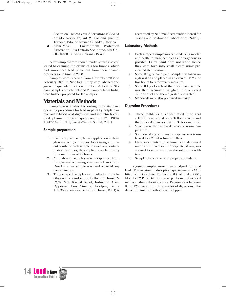Acción en Tóxicos y sus Alternativas (CAATA) Amado Nervo 23, int 2, Col San Juanito, Texcoco, Edo. de Mexico CP 56121, Mexico

APROMAC - Environment Protection Association, Rua Octavio Secundino, 340 CEP 80520-480, Curitiba - Paraná - Brazil

A few samples from Indian markets were also collected to examine the claims of a few brands, which had announced lead phase out from their enamel products some time in 2008.

Samples were received from November 2008 to February 2009 in New Delhi; they were labelled and given unique identification number. A total of 317 paint samples, which included 26 samples from India, were further prepared for lab analysis.

# **Materials and Methods**

Samples were analysed according to the standard operating procedures for lead in paint by hotplate or microwave-based acid digestions and inductively coupled plasma emission spectroscopy, EPA, PB92- 114172, Sept. 1991; SW846-740 (U.S. EPA, 2001)

#### **Sample preparation**

- 1. Each wet paint sample was applied on a clean glass surface (one square foot) using a different brush for each sample to avoid any contamination. Samples, thus applied were left to dry for a minimum of 72 hours.
- 2. After drying, samples were scraped off from the glass surfaces using sharp and clean knives. One knife per sample was used to avoid any contamination.
- 3. Thus scraped, samples were collected in polyethylene bags and sent to Delhi Test House, A-62/3, G.T. Karnal Road, Industrial Area, Opposite Hans Cinema, Azadpur, Delhi-110033 for analysis. Delhi Test House (DTH) is

accredited by National Accreditation Board for Testing and Calibration Laboratories (NABL).

#### **Laboratory Methods**

- 1. Each scraped sample was crushed using mortar and pestle to make samples as homogenous as possible. Latex paint does not grind hence they were torn into small pieces using precleaned steel scissors.
- 2. Some 0.3 g of each paint sample was taken on a glass slide and placed in an oven at  $120^{\circ}$ C for two hours to remove any moisture.
- 3. Some 0.1 g of each of the dried paint sample was then accurately weighed into a closed Teflon vessel and then digested/extracted.
- Standards were also prepared similarly.

#### **Digestion Procedures**

- 1. Three millilitres of concentrated nitric acid (HNO3) was added into Teflon vessels and then placed in an oven at  $150^{\circ}$ C for one hour.
- 2. Vessels were then allowed to cool to room temperature.
- 3. Solution along with any precipitate was transferred to a 25 ml volumetric flask.
- 4. Flask was diluted to volume with deionised water and mixed well. Precipitate, if any, was allowed to settle and then the solution was filtered.
- 5. Sample blanks were also prepared similarly.

Digested samples were then analysed for total lead (Pb) in atomic absorption spectrometer (AAS) fitted with Graphite Furnace (GF) of make GBC, Model -932 Plus. Dilutions were performed if needed to fit with the calibration curve. Recovery was between 80 to 120 percent for different lot of digestions. The detection limit of method was 1.25 ppm.

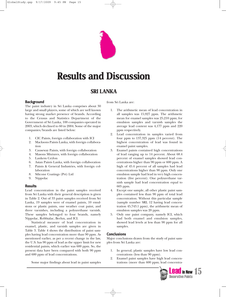

# **Results and Discussion**

### **SRI LANKA**

#### **Background**

The paint industry in Sri Lanka comprises about 30 large and small players, some of which are well known having strong market presence of brands. According to the Census and Statistics Department of the Government of Sri Lanka, 100 companies operated in 2003, which declined to 60 in 2004. Some of the major companies/brands are listed below:

- 1. CIC Paints, foreign collaboration with ICI
- 2. Macksons Paints Lanka, with foreign collaboration
- 3. Causeway Paints, with foreign collaboration
- 4. Masons Mixtures, with foreign collaboration
- 5. Lankem Ceylon
- 6. Asian Paints Lanka, with foreign collaboration
- 7. Paints & General Industries, with foreign collaboration
- 8. Silicone Coatings (Pvt) Ltd
- 9. Nippolac

#### **Results**

Lead concentration in the paint samples received from Sri Lanka with their general description is given in Table 2. Out of 33 paint samples received from Sri Lanka, 19 samples were of enamel paints, 10 emulsions or plastic paints, one weather coat paint, and three varnishes, including a polyurethane varnish. These samples belonged to four brands, namely Nippolac, Robbialac, Berlux, and ICI.

Statistical measure of lead concentration in enamel, plastic, and varnish samples are given in Table 3. Table 4 shows the distribution of paint samples having lead concentration more than 90 ppm. As mentioned earlier, as per a recent change in the law, the U.S. has 90 ppm of lead as the upper limit for new residential paints, which earlier was 600 ppm. So, the present data have been compared with both 90 ppm and 600 ppm of lead concentrations.

Some major findings about lead in paint samples

from Sri Lanka are:

- 1. The arithmetic mean of lead concentration in all samples was 15,927 ppm. The arithmetic mean for enamel samples was 25,210 ppm; for emulsion samples and varnish samples the average lead content was 4,177 ppm and 220 ppm respectively.
- 2. Lead concentration in samples varied from four ppm to 137,325 ppm (14 percent). The highest concentration of lead was found in enamel paint samples.
- 3. Enamel paints contained high concentrations of lead ranging up to 14 percent. About 68.4 percent of enamel samples showed lead concentrations higher than 90 ppm or 600 ppm. A high of 45.4 percent of all samples had lead concentrations higher than 90 ppm. Only one emulsion sample had lead in very high concentration (five percent). One polyurethane varnish sample had lead concentration equal to 605 ppm.
- 4. Except one sample, all other plastic paint samples contained less than 90 ppm of total lead concentration. Without this particular sample (sample number SRL 12 having lead concentration 45,743.1 ppm), the arithmetic mean of emulsion samples was 20 ppm.
- 5. Only one paint company, namely ICI, which had both enamel and emulsion samples, showed lead levels at less than 90 ppm for all samples.

#### **Conclusions**

Major conclusions drawn from the study of paint samples from Sri Lanka are:

- 1. In general, plastic samples have low lead concentrations (less than 90 ppm).
- 2. Enamel paint samples have high lead concentrations (more than 600 ppm; lead concentra-

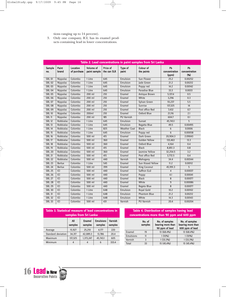tions ranging up to 14 percent).

3. Only one company, ICI, has its enamel products containing lead in lower concentrations.

| Table 2. Lead concentrations in paint samples from Sri Lanka |                  |                                |                           |                         |                     |                          |                              |                             |
|--------------------------------------------------------------|------------------|--------------------------------|---------------------------|-------------------------|---------------------|--------------------------|------------------------------|-----------------------------|
| <b>Sample</b><br>no.                                         | Paint<br>brand   | <b>Location</b><br>of purchase | Volume of<br>paint sample | Price of<br>the can SLR | Type of<br>paint    | Colour of<br>the paints  | Pb<br>concentration<br>(ppm) | Pb<br>concentration<br>(96) |
| <b>SRL 01</b>                                                | Nippolac         | Colombo                        | 1 Litre                   | 645                     | Emulsion            | <b>Sun Flower</b>        | 25.2                         | 0.00252                     |
| <b>SRL 02</b>                                                | Nippolac         | Colombo                        | 1 Litre                   | 645                     | Emulsion            | lade Green               | 21.2                         | 0.00212                     |
| <b>SRL 03</b>                                                | Nippolac         | Colombo                        | 1 Litre                   | 645                     | Emulsion            | Poppy red                | 14.2                         | 0.00142                     |
| <b>SRL 04</b>                                                | Nippolac         | Colombo                        | 1 Litre                   | 645                     | Emulsion            | Paradise Blue            | 33.3                         | 0.0033                      |
| <b>SRL 05</b>                                                | Nippolac         | Colombo                        | $200$ ml                  | $\overline{210}$        | Enamel              | <b>Antique Brown</b>     | 5,137.4                      | 0.5                         |
| <b>SRL 06</b>                                                | Nippolac         | Colombo                        | $200$ ml                  | $\overline{210}$        | Enamel              | White                    | 3,296                        | 0.3                         |
| <b>SRL 07</b>                                                | Nippolac         | Colombo                        | $200$ ml                  | $\overline{210}$        | Enamel              | Sylvan Green             | 55,237                       | $\overline{5.5}$            |
| <b>SRL 08</b>                                                | Nippolac         | Colombo                        | $200$ ml                  | $\overline{210}$        | Enamel              | Sunrise                  | 137,325                      | 14                          |
| <b>SRL 09</b>                                                | Nippolac         | Colombo                        | $200$ ml                  | $\overline{210}$        | Enamel              | Post office Red          | 7,432                        | $\overline{0.7}$            |
| <b>SRL 10</b>                                                | Nippolac         | Colombo                        | 200ml                     | $\overline{210}$        | Enamel              | Oxford Blue              | 21,116                       | 2.1                         |
| <b>SRL 11</b>                                                | Nippolac         | Colombo                        | $200$ ml                  | $\overline{185}$        | <b>PU Varnish</b>   |                          | 604.7                        | 0.1                         |
| <b>SRL 12</b>                                                | Robbialac        | Colombo                        | $1$ Litre                 | 645                     | Emulsion            | <b>Sunset</b>            | 45,743.1                     | $\overline{5}$              |
| <b>SRL 13</b>                                                | Robbialac        | Colombo                        | 1 Litre                   | 645                     | Emulsion            | Regatta Blue             | 49.5                         | 0.00495                     |
| <b>SRL 14</b>                                                | Robbialac        | Colombo                        | 1 Litre                   | 825                     | <b>Weather Coat</b> | <b>Black</b>             | 6                            | 0.0006                      |
| <b>SRL 15</b>                                                | Robbialac        | Colombo                        | 1 Litre                   | 645                     | <b>Emulsion</b>     | Poppy red                | $\overline{6}$               | 0.00058                     |
| <b>SRL 16</b>                                                | Robbialac        | Colombo                        | $500$ ml                  | 415                     | Enamel              | Dark Green               | 20,904.3                     | 2.09043                     |
| <b>SRL 17</b>                                                | Robbialac        | Colombo                        | $500$ ml                  | 360                     | Enamel              | <b>Golden Yellow</b>     | 133,463                      | 13.3                        |
| <b>SRL 18</b>                                                | Robbialac        | Colombo                        | $500$ ml                  | $\overline{360}$        | Enamel              | Oxford Blue              | 4,164                        | 0.4                         |
| <b>SRL 19</b>                                                | Robbialac        | Colombo                        | $500$ ml                  | 415                     | Enamel              | <b>Black</b>             | 8,851.3                      | 0.8                         |
| <b>SRL 20</b>                                                | Robbialac        | Colombo                        | $500$ ml                  | 360                     | Enamel              | Jasmine Yellow           | 32,254.5                     | 3.2                         |
| <b>SRL 21</b>                                                | Robbialac        | Colombo                        | $500$ ml                  | 415                     | Enamel              | Post office Red          | 3,772.5                      | 0.4                         |
| <b>SRL 22</b>                                                | Robbialac        | Colombo                        | $500$ ml                  | 440                     | Varnish             | Mahogany                 | 34.4                         | 0.00344                     |
| <b>SRL 23</b>                                                | <b>Berlux</b>    | Colombo                        | 1 Litre                   | 545                     | Enamel              | <b>Sun Kissed Yellow</b> | 11.2                         | 0.00112                     |
| <b>SRL 24</b>                                                | <b>Berlux</b>    | Colombo                        | $500$ ml                  | 399                     | Enamel              | <b>King Coconut</b>      | 45,991.3                     | $\overline{5}$              |
| <b>SRL 25</b>                                                | C                | Colombo                        | $500$ ml                  | 440                     | Enamel              | Saffron (Lo)             | $\overline{4}$               | 0.00037                     |
| <b>SRL 26</b>                                                | C                | Colombo                        | $500$ ml                  | 440                     | Enamel              | Poppy                    | 4.1                          | 0.00041                     |
| <b>SRL 27</b>                                                | $\overline{ICI}$ | Colombo                        | $500$ ml                  | 440                     | Enamel              | <b>Black</b>             | $\overline{8}$               | 0.00077                     |
| <b>SRL 28</b>                                                | C                | Colombo                        | $500$ ml                  | 440                     | Enamel              | White                    | 9                            | 0.00086                     |
| <b>SRL 29</b>                                                | C                | Colombo                        | $500$ ml                  | 440                     | Enamel              | Regeta Blue              | $\overline{8}$               | 0.00077                     |
| <b>SRL 30</b>                                                | $\overline{ICI}$ | Colombo                        | 1 Litre                   | 648                     | <b>Emulsion</b>     | <b>Royal Gold</b>        | 10.2                         | 0.00102                     |
| <b>SRL 31</b>                                                | C                | Colombo                        | 1 Litre                   | 648                     | Emulsion            | <b>Phantom Blue</b>      | 21.2                         | 0.00212                     |
| <b>SRL 32</b>                                                | C                | Colombo                        | 1 Litre                   | 648                     | Emulsion            | White                    | 14.3                         | 0.00143                     |
| <b>SRL 33</b>                                                | $\overline{ICI}$ | Colombo                        | $500$ ml                  | 431                     | Varnish             | <b>PU Varnish</b>        | 20.4                         | 0.00204                     |

| Table 3. Statistical measure of lead concentrations in<br>samples from Sri Lanka                |         |           |          |       |  |  |  |
|-------------------------------------------------------------------------------------------------|---------|-----------|----------|-------|--|--|--|
| <b>Emulsions</b><br>Varnish<br>All<br><b>Enamel</b><br>samples<br>samples<br>samples<br>samples |         |           |          |       |  |  |  |
| Average                                                                                         | 15,927  | 25,210    | 4.177    | 220   |  |  |  |
| Standard deviation                                                                              | 34,317  | 42,089.3  | 13,786   | 20.4  |  |  |  |
| Maximum                                                                                         | 137,325 | 1,373,247 | 45,743.1 | 605   |  |  |  |
| Minimum                                                                                         | 4       | 4         | 6        | 333.4 |  |  |  |

#### **Table 4. Distribution of samples having lead concentrations more than 90 ppm and 600 ppm**

| No. of<br>samples |    | No. of samples<br>bearing more than<br>90 ppm of lead | No. of samples<br>bearing more than<br>600 ppm of lead |  |
|-------------------|----|-------------------------------------------------------|--------------------------------------------------------|--|
| Enamel            | 19 | 13 (68.4%)                                            | 13 (68.4%)                                             |  |
| <b>Emulsions</b>  | 11 | $1(10\%)$                                             | $1(10\%)$                                              |  |
| Varnish           |    | 1(33.3%)                                              | $1(33.3\%)$                                            |  |
| Total             | 33 | 15 (45.4%)                                            | 15 (45.4%)                                             |  |

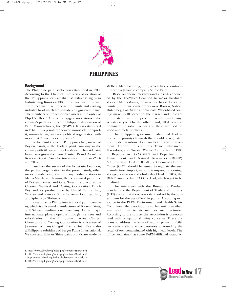

### **PHILIPPINES**

#### **Background**

The Philippine paint sector was established in 1911. According to the Chemical Industries Association of the Philippines, or Samahan sa Pilipinas ng mga Industriyang Kimika (SPIK), there are currently over 100 direct manufacturers in the paints and coating industry, 67 of which are considered significant in size. The members of the sector own assets in the order of Php 4.5 billion.<sup>5</sup> One of the biggest associations in the country's paint sector is the Philippine Association of Paint Manufacturers, Inc. (PAPM). It was established in 1961. It is a privately operated non-stock, non-profit, non-sectarian, and non-political organisation with more that 70 member companies.<sup>6</sup>

Pacific Paint (Boysen) Philippines Inc., maker of Boysen paints, is the leading paint company in the country with 70 percent market share.7 The said paint brand was given the most Trusted Brand Award by Readers Digest (Asia) for two consecutive years -2006 and 2007.

Based on the survey of the EcoWaste Coalition, the partner organisation in the present study, other major brands being sold in many hardware stores in Metro Manila are: Nation, the economical paint line of Boysen; Davies, and Coat Saver, manufactured by Charter Chemical and Coating Corporation; Dutch Boy and its product line by United Paints, Inc.; Welcoat and Rain or Shine by Asian Coatings, Inc.; and Sphero by Globesco, Inc.

Boysen Paints Philippines is a local paint company, which is a licensed manufacturer of Boysen Paints, a U.S.-based multinational company. Other major international players operate through licensees and subsidiaries in the Philippine market. Charter Chemicals and Coating Corporation is a licensee of Japanese company Chugoku Paints. Dutch Boy is also a Philippine subsidiary of Berger Paints International. Welcoat and Rain or Shine paint brands are made by Welbest Manufacturing, Inc., which has a joint-venture with a Japanese company Shinto Paint.

Based on phone interviews and site visits conducted by the EcoWaste Coalition to major hardware stores in Metro Manila, the most purchased decorative paints (in no particular order) were Boysen, Nation, Dutch Boy, Coat Saver, and Welcoat. Water-based coatings make up 40 percent of the market, and these are dominated by 100 percent acrylic and vinyl acetate/acrylic. On the other hand, alkyl coatings dominate the solvent sector and these are used on wood and metal surfaces.<sup>8</sup>

The Philippine government identified lead as one of the priority chemicals that should be regulated due to its hazardous effect on health and environment. Under the country's Toxic Substances, Hazardous, and Nuclear Wastes Control Act of 1990 or Republic Act (RA) 6969 and Department of Environment and Natural Resources (DENR) Administrative Order 2005-05, a Chemical Control Order (CCO) should be issued to regulate the use, manufacture, import, export, transport, processing, storage, possession and wholesale of lead. In 2007, the DENR issued a draft CCO for lead, which is yet to be finalized.

The interviews with the Bureau of Product Standards of the Department of Trade and Industry (DTI) reveal that there is no standard set by the government for the use of lead in paints. According to a source in the PAPM Environment and Health Safety Committee, the association also has not prescribed any lead limit to its member manufacturers. According to the source, the association is pre-occupied with occupational safety concerns. There are plans to address the issue of lead in paints in 2009, particularly after the controversies surrounding the recall of toys contaminated with high lead levels. The officer explains that some PAPM-affiliated manufac-



<sup>5.</sup> http://www.spik-ph.org/index.php?content=2&article=8

<sup>6.</sup> http://www.spik-ph.org/index.php?content=2&article=8

<sup>7.</sup> http://www.spik-ph.org/index.php?content=2&article=8

<sup>8.</sup> http://www.spik-ph.org/index.php?content=2&article=8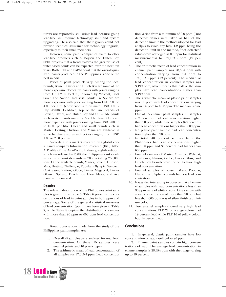turers are reportedly still using lead because going lead-free will require technology shift and system upgrading. He also said that their group could not provide technical assistance for technology upgrade, especially to their small members.

However, some paint companies claim to offer lead-free products such as Boysen and Dutch Boy. SPIK projects that a trend towards the greater use of water-based paints can be expected over the next ten years. Both SPIK and PAPM boast that the overall quality of paints produced in the Philippines is one of the best in Asia.

Prices of paint products vary. Among the local brands, Boysen, Davies and Dutch Boy are some of the more expensive decorative paints with prices ranging from USD 2.50 to 3.00, followed by Welcoat, Coat Saver, and Nation. Industrial paints like Sphero are more expensive with price ranging from USD 3.00 to 4.00 per litre (conversion rate estimate: USD 1.00 = Php 48.00). Lead-free, top of the line brands of Boysen, Davies, and Dutch Boy and U.S.-made paints such as Ace Paints made by Ace Hardware Corp are more expensive with prices ranging from USD 5.00 up to 10.00 per litre. Cheap and small brands such as Master, Destiny, Hudson, and Mana are available in some hardware stores with prices ranging from USD 1.00 to 2.00 per litre.

According to a market research by a global consultancy company Information Research (IRL) titled A Profile of the Asia-Pacific Industry, eighth edition, which was released in 2008, the Philippines ranks sixth in terms of paint demands in 2006 totalling 250,000 tons. Of the available brands, Master, Boysen, Hudson, Mna, Destiny, Challengar, Popular, Olympic, Welcoat, Coat Saver, Nation, Globe, Davies Megacryl, Davies Gloss-it, Sphero, Dutch Boy, Gloss Masta, and Ace paint were sampled.

#### **Results**

The relevant description of the Philippines paint samples is given in the Table 5. Table 6 presents the concentrations of lead in paint samples in both ppm and percentage. Some of the general statistical measures of lead concentration (ppm) have been given in Table 7, while Table 8 depicts the distribution of samples with more than 90 ppm or 600 ppm lead concentration.

Broad observations made from the study of the Philippines paint samples are:

- 1. Overall 25 samples were analysed for total lead concentration. Of these, 15 samples were enamel paints and 10 plastic types.
- 2. The arithmetic mean of lead concentration of all samples was 17,016.4 ppm. Lead concentra-



tion varied from a minimum of 0.6 ppm ("not detected" values were taken as half of the detection limit in the method adopted for lead analysis to avoid any bias. 1.2 ppm being the detection limit in the method, "not detected" values were adjudged as 0.6 ppm for statistical measurements) to 189,163.5 ppm (19 percent).

- 3. The arithmetic mean of lead concentration in enamel paint samples was 28,354 ppm with concentration varying from 3.4 ppm to 189,163.5 ppm (19 percent). The median of lead concentration in enamel samples was 3,199 ppm, which means that half of the samples have lead concentrations higher than 3,199 ppm.
- 4. The arithmetic mean of plastic paint samples was 11 ppm with lead concentrations varying from 0.6 ppm to 40.2 ppm. The median is nine ppm.
- 5. Out of 15 enamel paint samples, 10 samples (67 percent) had lead concentration higher than 90 ppm, while nine samples (60 percent) had lead concentrations higher than 600 ppm.
- 6. No plastic paint sample had lead concentration higher than 90 ppm.
- 7. In total, 40 percent samples from the Philippines had lead concentrations higher than 90 ppm and 36 percent had higher than 600 ppm.
- 8. Enamel samples of Master, Olympic, Welcoat, Coat saver, Nation, Globe, Davies Gloss, and Dutch Boy brands were found to have high lead concentration.
- 9. Enamel samples of Boysen, Mana, Popular, Hudson, and Sphero brands had low lead concentration.
- 10. It was also interesting to observe that all enamel samples with lead concentrations less than 90 ppm were of white colour. One sample with a lead concentration of more than 90 ppm but less than 600 ppm was of silver finish aluminium colour.
- 11. Two enamel samples showed very high lead concentrations: PLP 21 of orange colour had 19 percent lead while PLP 16 of yellow colour had 14 percent lead.

#### **Conclusions**

1. In general, plastic paint samples have low concentration of lead - well below 90 ppm.

2. Enamel paint samples contain high concentrations of lead. The average lead concentration in enamel samples is 28,354 ppm with the range varying up to 19 percent.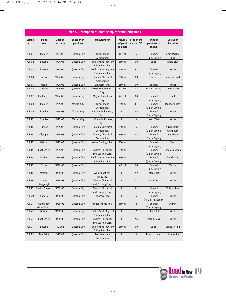$\rightarrow$ 

|                      | Table 5. Description of paint samples from Philippines |                     |                                |                                              |                               |                            |                                    |                                  |  |  |
|----------------------|--------------------------------------------------------|---------------------|--------------------------------|----------------------------------------------|-------------------------------|----------------------------|------------------------------------|----------------------------------|--|--|
| <b>Sample</b><br>no. | Paint<br>brand                                         | Date of<br>purchase | <b>Location of</b><br>purchase | <b>Manufacturer</b>                          | Volume<br>of paint<br>samples | Price of the<br>can in USD | Type of<br>paint-latex /<br>enamel | Colour of<br>the paints          |  |  |
| <b>PLP 01</b>        | Master                                                 | 11/24/08            | Quezon City                    | <b>Times Paint</b><br>Corporation            | 80 ml                         | 1.2                        | Enamel<br>(Quick Drying)           | <b>Ultra Marine</b><br>Blue      |  |  |
| <b>PLP 02</b>        | Boysen                                                 | 11/24/08            | Quezon City                    | Pacific Paint (Boysen)<br>Philippines, Inc.  | 250 ml                        | 0.9                        | Latex                              | <b>Thalo Blue</b>                |  |  |
| <b>PLP 03</b>        | Boysen                                                 | 11/24/08            | Quezon City                    | Pacific Paint (Boysen)<br>Philippines, Inc.  | 250 ml                        | 1.1                        | Enamel<br>(Quick Drying)           | White                            |  |  |
| <b>PLP 04</b>        | Hudson                                                 | 11/24/08            | Quezon City                    | <b>Century Chemical</b><br>Corporation       | 250 ml                        | 0.9                        | Latex                              | Venetian Red                     |  |  |
| <b>PLP 05</b>        | Mana                                                   | 11/24/08            | Quezon City                    | Globesco, Inc.                               | 250 ml                        | 0.9                        | Enamel                             | White                            |  |  |
| <b>PLP 06</b>        | Destiny                                                | 11/24/08            | Quezon City                    | Paradise Chemical<br>Corp.                   | 60 ml                         | 0.5                        | Latex (Acrylic)                    | Thalo Green                      |  |  |
| <b>PLP 07</b>        | Challanger                                             | 11/24/08            | Quezon City                    | <b>Mayon Industries</b><br>Corp.             | 60 ml                         | 0.4                        | Enamel<br>(Quick Drying)           | Red                              |  |  |
| <b>PLP 08</b>        | <b>Master</b>                                          | 11/25/08            | Makati City                    | <b>Times Paint</b><br>Corporation            | 250 ml                        | 1.1                        | Enamel<br>(Quick Drying)           | <b>Mandarin Red</b>              |  |  |
| <b>PLP 09</b>        | Popular                                                | 11/25/08            | Makati City                    | H-Chem Industries,<br>Inc.                   | 1 <sub>L</sub>                | 2.4                        | Enamel<br>(Quick Drying)           | White                            |  |  |
| <b>PLP 10</b>        | Popular                                                | 11/25/08            | Makati City                    | H-Chem Industries,<br>Inc.                   | 1 <sub>L</sub>                | 1.6                        | Latex (Flat)                       | White                            |  |  |
| <b>PLP 11</b>        | Hudson                                                 | 11/25/08            | Quezon City                    | <b>Century Chemical</b><br>Corporation       | 250 ml                        | 1.2                        | Enamel<br>(Quick Drying)           | <b>Silver Finish</b><br>Aluminum |  |  |
| <b>PLP 12</b>        | Olympic                                                | 11/25/08            | Quezon City                    | Century Chemical<br>Corporation              | 250 ml                        | 0.8                        | Enamel<br>(Quick Drying)           | Jade Green                       |  |  |
| <b>PLP 13</b>        | Welcoat                                                | 11/25/08            | Quezon City                    | Irvine Coatings, Inc.                        | 250 ml                        | $\mathbf{1}$               | Enamel<br>(Quick Drying)           | <b>Black</b>                     |  |  |
| <b>PLP 14</b>        | <b>Coat Saver</b>                                      | 11/25/08            | Quezon City                    | <b>Charter Chemical</b><br>and Coating Corp. | 250 ml                        | $\mathbf{1}$               | Enamel<br>(Quick Drying)           | <b>Emerald Green</b>             |  |  |
| <b>PLP 15</b>        | <b>Nation</b>                                          | 11/25/08            | Quezon City                    | Pacific Paint (Boysen)<br>Philippines, Inc.  | 250 ml                        | 0.7                        | Enamel<br>(Quick Drying)           | French Blue                      |  |  |
| <b>PLP 16</b>        | Globe                                                  | 11/26/08            | Quezon City                    |                                              | 60 ml                         | 0.6                        | Enamel<br>(Quick Drying)           | Yellow                           |  |  |
| <b>PLP 17</b>        | Welcoat                                                | 11/26/08            | Quezon City                    | <b>Asian Coatings</b><br>Phils, Inc.         | 1 <sub>L</sub>                | 2.2                        | Latex (Flat)                       | White                            |  |  |
| <b>PLP 18</b>        | <b>Davies</b><br>Megacryl                              | 11/26/08            | Quezon City                    | <b>Charter Chemical</b><br>and Coating Corp. | 1 <sub>L</sub>                | 2.8                        | Latex (Gloss)                      | White                            |  |  |
| <b>PLP 19</b>        | Davies Gloss-it                                        | 11/26/08            | Quezon City                    | <b>Charter Chemical</b><br>and Coating Corp. | 1 <sub>L</sub>                | 3.2                        | Enamel<br>(Quick Drying)           | <b>Whisper Blue</b>              |  |  |
| <b>PLP 20</b>        | Sphero                                                 | 11/26/08            | Quezon City                    | Globesco, Inc.                               | 1 <sub>L</sub>                | 6                          | Enamel<br>(Hi-Gloss Lacquer)       | White                            |  |  |
| <b>PLP 21</b>        | Dutch Boy<br>Gloss Masta                               | 11/26/08            | Quezon City                    | United Paints, Inc.                          | 250 ml                        | 1.5                        | Enamel<br>(Quick Drying)           | Orange                           |  |  |
| <b>PLP 22</b>        | Nation                                                 | 11/26/08            | Quezon City                    | Pacific Paint (Boysen)<br>Philippines, Inc.  | 1 <sub>L</sub>                | $\overline{2}$             | Latex (Flat)                       | White                            |  |  |
| <b>PLP 23</b>        | Coat Saver                                             | 11/26/08            | Quezon City                    | <b>Charter Chemical</b><br>and Coating Corp. | 1 <sub>L</sub>                | 2.6                        | Latex (Gloss)                      | White                            |  |  |
| <b>PLP 24</b>        | Boysen                                                 | 11/27/08            | Quezon City                    | Pacific Paint (Boysen)<br>Philippines, Inc.  | 250 ml                        | 0.9                        | Latex                              | Venetian Red                     |  |  |
| <b>PLP 25</b>        | Ace Paint                                              | 11/27/08            | Quezon City                    | Ace Hardware<br>Corporation                  | $1 \,$ L                      | 9                          | Latex (Acrylic)                    | Ultra White                      |  |  |

 $\Rightarrow$ 

 $\rightarrow$ 

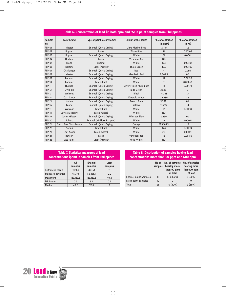|                      | Table 6. Concentration of lead (in both ppm and %) in paint samples from Philippines |                            |                          |                                     |                                   |  |  |  |
|----------------------|--------------------------------------------------------------------------------------|----------------------------|--------------------------|-------------------------------------|-----------------------------------|--|--|--|
| <b>Sample</b><br>no. | <b>Paint brand</b>                                                                   | Type of paint-latex/enamel | Colour of the paints     | <b>Pb</b> concentration<br>(in ppm) | <b>Pb</b> concentration<br>(in %) |  |  |  |
| <b>PLP 01</b>        | Master                                                                               | Enamel (Quick Drying)      | <b>Ultra Marine Blue</b> | 12,704                              | 1.3                               |  |  |  |
| <b>PLP 02</b>        | Boysen                                                                               | Latex                      | <b>Thalo Blue</b>        | 11                                  | 0.00108                           |  |  |  |
| <b>PLP 03</b>        | <b>Boysen</b>                                                                        | Enamel (Quick Drying)      | White                    | 61                                  | 0.0061                            |  |  |  |
| <b>PLP 04</b>        | Hudson                                                                               | Latex                      | Venetian Red             | <b>ND</b>                           |                                   |  |  |  |
| <b>PLP 05</b>        | Mana                                                                                 | Enamel                     | White                    | 40.5                                | 0.00405                           |  |  |  |
| <b>PLP 06</b>        | Destiny                                                                              | Latex (Acrylic)            | <b>Thalo Green</b>       | 40.2                                | 0.00402                           |  |  |  |
| <b>PLP 07</b>        | Challanger                                                                           | Enamel (Quick Drying)      | Red                      | 141                                 | 0.0141                            |  |  |  |
| <b>PLP 08</b>        | Master                                                                               | Enamel (Quick Drying)      | <b>Mandarin Red</b>      | 2,363.5                             | 0.2                               |  |  |  |
| <b>PLP 09</b>        | Popular                                                                              | Enamel (Quick Drying)      | White                    | 13                                  | 0.00126                           |  |  |  |
| <b>PLP 10</b>        | Popular                                                                              | Latex (Flat)               | White                    | $\overline{7}$                      | 0.00066                           |  |  |  |
| <b>PLP 11</b>        | Hudson                                                                               | Enamel (Quick Drying)      | Silver Finish Aluminum   | 18                                  | 0.00179                           |  |  |  |
| <b>PLP 12</b>        | Olympic                                                                              | Enamel (Quick Drying)      | lade Green               | 26,897                              | 3                                 |  |  |  |
| <b>PLP 13</b>        | Welcoat                                                                              | Enamel (Quick Drying)      | <b>Black</b>             | 14.388                              | 1.4                               |  |  |  |
| <b>PLP 14</b>        | Coat Saver                                                                           | Enamel (Quick Drying)      | <b>Emerald Green</b>     | 34,630                              | 3.5                               |  |  |  |
| <b>PLP 15</b>        | <b>Nation</b>                                                                        | Enamel (Quick Drying)      | French Blue              | 5,569.1                             | 0.6                               |  |  |  |
| <b>PLP 16</b>        | Globe                                                                                | Enamel (Quick Drying)      | Yellow                   | 136,114                             | 14                                |  |  |  |
| <b>PLP 17</b>        | Welcoat                                                                              | Latex (Flat)               | White                    | 12                                  | 0.00118                           |  |  |  |
| <b>PLP 18</b>        | Davies Megacryl                                                                      | Latex (Gloss)              | White                    | <b>ND</b>                           |                                   |  |  |  |
| <b>PLP 19</b>        | Davies Gloss-it                                                                      | Enamel (Quick Drying)      | <b>Whisper Blue</b>      | 3,199                               | 0.3                               |  |  |  |
| <b>PLP 20</b>        | Sphero                                                                               | Enamel (Hi-Gloss Lacquer)  | White                    | 3.4                                 | 0.00034                           |  |  |  |
| <b>PLP 21</b>        | Dutch Boy Gloss Masta                                                                | Enamel (Quick Drying)      | Orange                   | 189,163.5                           | 19                                |  |  |  |
| <b>PLP 22</b>        | <b>Nation</b>                                                                        | Latex (Flat)               | White                    | 17.4                                | 0.00174                           |  |  |  |
| <b>PLP 23</b>        | <b>Coat Saver</b>                                                                    | Latex (Gloss)              | White                    | 2.3                                 | 0.00023                           |  |  |  |
| <b>PLP 24</b>        | Boysen                                                                               | Latex                      | Venetian Red             | 16                                  | 0.00159                           |  |  |  |
| <b>PLP 25</b>        | Ace Paint                                                                            | Latex (Acrylic)            | <b>Ultra White</b>       | <b>ND</b>                           |                                   |  |  |  |

 $\overline{\bigoplus}$ 

 $\bigoplus$ 

| <b>Table 7. Statistical measures of lead</b><br>concentrations (ppm) in samples from Philippines |           |      |  |  |  |  |  |
|--------------------------------------------------------------------------------------------------|-----------|------|--|--|--|--|--|
| <b>Enamel</b><br>All<br>Latex<br>samples<br>samples<br>samples                                   |           |      |  |  |  |  |  |
| 17,016.4                                                                                         | 28,354    | 11   |  |  |  |  |  |
| 45,373                                                                                           | 56,435.1  | 12.2 |  |  |  |  |  |
| 189,163.5                                                                                        | 189,163.5 | 40.2 |  |  |  |  |  |
| 0.6                                                                                              | 3.4       | 0.6  |  |  |  |  |  |
| 40.2                                                                                             | 3199      | 9    |  |  |  |  |  |
|                                                                                                  |           |      |  |  |  |  |  |

#### **Table 8. Distribution of samples having lead concentrations more than 90 ppm and 600 ppm**

|                             | No of<br>samples | No. of samples<br>bearing more<br>than 90 ppm<br>of lead | No. of samples<br>bearing more<br>than600 ppm<br>of lead |
|-----------------------------|------------------|----------------------------------------------------------|----------------------------------------------------------|
| <b>Enamel paint Samples</b> | 15               | 10 (66.7%)                                               | 9(60%)                                                   |
| Latex paint Samples         | 10               |                                                          | 0                                                        |
| <b>Total</b>                | 25               | 10 (40%)                                                 | 9(36%)                                                   |

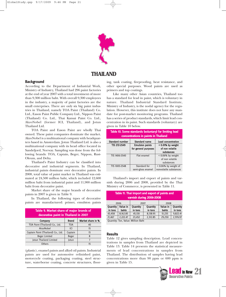

### **THAILAND**

#### **Background**

According to the Department of Industrial Work, Ministry of Industry, Thailand had 296 paint factories at the end of year 2007 with a total investment of more than 9,300 million baht. With overall 9,300 employees in the industry, a majority of paint factories are the small enterprises. There are only six big paint industries in Thailand, namely TOA Paint (Thailand) Co. Ltd., Eason Paint Public Company Ltd., Nippon Paint (Thailand) Co. Ltd., Thai Kansai Paint Co. Ltd., AkzoNobel (former ICI, Thailand), and Jotun Thailand Ltd.

TOA Paint and Eason Paint are wholly Thai owned. These paint companies dominate the market. AkzoNobel is a multinational company with headquarters based in Amsterdam. Jotun Thailand Ltd. is also a multinational company with its head office located in Sandefjord, Norway. Sampling was done from the following brands: TOA, Captain, Beger, Nippon, Rust-Oleum, and Delta.

Thailand's Paint Industry can be classified into decorative and industrial segments. In Thailand, industrial paints dominate over decorative paints. In 2008, total value of paint market in Thailand was estimated at 24,500 million baht, which included 12,600 million baht from industrial paint and 11,900 million baht from decorative paint.

Market share of the major brands of decorative paints in 2007 is given in Table 9.

In Thailand, the following types of decorative paints are manufactured: primer, emulsion paints

| Table 9. Market share of major brands of<br>decorative paint in Thailand in 2007 |              |                   |  |  |  |
|----------------------------------------------------------------------------------|--------------|-------------------|--|--|--|
| <b>Company</b>                                                                   | <b>Brand</b> | Market share in % |  |  |  |
| TOA Paint (Thailand) Co., Ltd.                                                   | <b>TOA</b>   | 40                |  |  |  |
| AkzoNobel                                                                        | ICI          | 15                |  |  |  |
| Captain Paint (Thailand) Co., Ltd.                                               | Captain      | 15                |  |  |  |
| Beger Limited                                                                    | Beger        | 8                 |  |  |  |
| Jotun Thailand Limited                                                           | Jotun        |                   |  |  |  |
| Others                                                                           |              | 15                |  |  |  |

(plastic), enamel paints and alkyd oil paints. Industrial paints are used for automotive refinished paint, motorcycle coating, packaging coating, steel structure, waterborne coating, concrete structures, flooring, tank coating, fireproofing, heat resistance, and other special purposes. Wood paints are used as primers and top coatings.

Like many other Asian countries, Thailand too has a standard for lead in paint, which is voluntary in nature. Thailand Industrial Standard Institute, Ministry of Industry, is the nodal agency for the regulation. However, this institute does not have any mandate for post-market monitoring programs. Thailand has a series of product standards, which limit lead concentration in its paint. Such standards (voluntary) are given in Table 10 below.

| Table 10. Some standards (voluntary) for limiting lead<br>concentrations in paints in Thailand |                        |                                      |  |  |  |  |  |
|------------------------------------------------------------------------------------------------|------------------------|--------------------------------------|--|--|--|--|--|
| <b>Standard number</b><br><b>Standard name</b><br><b>Lead concentration</b>                    |                        |                                      |  |  |  |  |  |
| TIS 272-2549                                                                                   | <b>Emulsion paints</b> | < 0.01% by weight<br>of non volatile |  |  |  |  |  |
|                                                                                                | for general purposes   | substances                           |  |  |  |  |  |
| TIS 1406-2540                                                                                  | Flat enamel            | < 0.06% by weight                    |  |  |  |  |  |
|                                                                                                |                        | of non volatile                      |  |  |  |  |  |
|                                                                                                |                        | substances                           |  |  |  |  |  |
| TIS 1005-2548                                                                                  | Standard for           | < 0.06% by weight of                 |  |  |  |  |  |
|                                                                                                | semi-gloss enamel      | nonvolatile substances               |  |  |  |  |  |

Thailand's import and export of paints and varnish during 2006 and 2008, provided by the Thai Ministry of Commerce, is presented in Table 11.

| Table 11. Thai import and export of paints and<br>varnish during 2006-2008 |                      |                                    |                 |          |                 |  |  |  |
|----------------------------------------------------------------------------|----------------------|------------------------------------|-----------------|----------|-----------------|--|--|--|
|                                                                            | 2006<br>2008<br>2007 |                                    |                 |          |                 |  |  |  |
| <b>Quantity</b>                                                            | Value in             | <b>Quantity</b>                    | <b>Quantity</b> | Value in | <b>Quantity</b> |  |  |  |
| in tons                                                                    | <b>bahts</b>         | in tons                            | in tons         | bahts    | in tons         |  |  |  |
| 43.458                                                                     | 8,162.85             | 45,130                             | 8,138.95        | 51,235   | 9,822.41        |  |  |  |
| 2,976.97<br>2,222.47<br>29,250<br>23,452<br>2,312.85<br>21,467             |                      |                                    |                 |          |                 |  |  |  |
|                                                                            |                      | Quantity: Ton, Value: Million Baht |                 |          |                 |  |  |  |

#### **Results**

Table 12 gives sampling description. Lead concentrations in samples from Thailand are depicted in Table 13. Table 14 presents the statistical measurements of lead concentrations in samples from Thailand. The distribution of samples having lead concentrations more than 90 ppm or 600 ppm is given in Table 15.

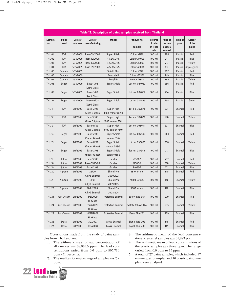|               |                |                     |                                           | Table 12. Description of paint samples received from Thailand |                       |                                              |                                            |                  |                           |
|---------------|----------------|---------------------|-------------------------------------------|---------------------------------------------------------------|-----------------------|----------------------------------------------|--------------------------------------------|------------------|---------------------------|
| Sample<br>no. | Paint<br>brand | Date of<br>purchase | Date of<br>manufacturing                  | <b>Model</b>                                                  | Product no.<br>sample | <b>Volume</b><br>of paint<br>in Thai<br>baht | Price of<br>the can<br>plastic /<br>enamel | Type of<br>paint | Colour<br>of the<br>paint |
| <b>THL 01</b> | <b>TOA</b>     | 1/31/2009           | Base-09/2009                              | <b>Super Shield</b>                                           | Colour G199           | 100 ml                                       | 294                                        | Plastic          | Red                       |
| <b>THL 02</b> | <b>TOA</b>     | 1/31/2009           | Base-12/2008                              | 4 SEASONS                                                     | Colour A4099          | 100 ml                                       | 241                                        | Plastic          | Blue                      |
| <b>THL 03</b> | <b>TOA</b>     | 1/31/2009           | Base-12/2008                              | 4 SEASONS                                                     | Colour A2099          | 100 ml                                       | 217                                        | Plastic          | Yellow                    |
| <b>THL 04</b> | <b>TOA</b>     | 1/31/2009           | Base-09/2008                              | 4 SEASONS                                                     | Colour A3006          | $100$ ml                                     | 137                                        | Plastic          | Apple green               |
| <b>THL 05</b> | Captain        | 1/31/2009           |                                           | <b>Shield Plus</b>                                            | Colour C222           | $100$ ml                                     | 292                                        | Plastic          | Red                       |
| <b>THL 06</b> | Captain        | 1/31/2009           |                                           | Parashield                                                    | Colour G3566          | 100 ml                                       | 249                                        | Plastic          | Blue                      |
| <b>THL 07</b> | Captain        | 1/31/2009           |                                           | Longlife                                                      | Colour L1300          | 100 ml                                       | 284                                        | Plastic          | Yellow                    |
| <b>THL 08</b> | Beger          | 1/31/2009           | <b>Base-11/08</b><br>(Semi Gloss)         | Beger Shield                                                  | Lot no. 084067        | $100$ ml                                     | 256                                        | Plastic          | Red                       |
| <b>THL 09</b> | Beger          | 1/31/2009           | <b>Base-11/08</b><br>(Semi Gloss)         | Beger Shield                                                  | Lot no. 084067        | 100 ml                                       | 274                                        | Plastic          | Blue                      |
| <b>THL 10</b> | Beger          | 1/31/2009           | Base-08/08<br>(Semi Gloss)                | Beger Shield                                                  | Lot no. 084066        | $100$ ml                                     | 234                                        | Plastic          | Green                     |
| <b>THL 11</b> | <b>TOA</b>     | 2/1/2009            | <b>Base-12/08</b><br><b>Gloss Glipton</b> | Super High<br>1208 colour 8093                                | Lot no. 302873        | $100$ ml                                     | 321                                        | Enamel           | Red                       |
| <b>THL 12</b> | <b>TOA</b>     | 2/1/2009            | <b>Base-12/08</b><br><b>Gloss Glipton</b> | Super High<br>1208 colour 7861                                | Lot no. 302873        | $100$ ml                                     | 270                                        | Enamel           | Yellow                    |
| <b>THL 13</b> | <b>TOA</b>     | 2/1/2009            | Base-01/09<br><b>Gloss Glipton</b>        | Super High<br>0109 colour 7349                                | Lot no. 303464        | $100$ ml                                     | 337                                        | Enamel           | Blue                      |
| <b>THL 14</b> | Beger          | 2/1/2009            | Base-12/08<br>(Super Gloss)               | Beger Shield<br>colour 115-6                                  | Lot no. 087949        | $100$ ml                                     | 363                                        | Enamel           | Red                       |
| <b>THL 15</b> | Beger          | 2/1/2009            | Base-01/09<br>(Super Gloss)               | Beger Shield<br>colour 088-6                                  | Lot no. 090095        | $100$ ml                                     | 338                                        | Enamel           | Yellow                    |
| <b>THL 16</b> | Beger          | 2/1/2009            | Base-12/08<br>(Super Gloss)               | Beger Shield<br>colour 031-6                                  | lot no. 087949        | $100$ ml                                     | 217                                        | Enamel           | Blue                      |
| <b>THL 17</b> | Jotun          | 2/1/2009            | Base-12/08                                | Gardex                                                        | S0580-Y               | 100 ml                                       | 477                                        | Enamel           | Red                       |
| <b>THL 18</b> | Jotun          | 2/1/2009            | Base-01/10/08                             | Gardex                                                        | S1080-R               | $100$ ml                                     | 378                                        | Enamel           | Yellow                    |
| <b>THL 19</b> | Jotun          | 2/1/2009            | Base-12/08                                | Gardex                                                        | S4055-B               | 100 ml                                       | 271                                        | Enamel           | Blue                      |
| <b>THL 20</b> | Nippon         | 2/1/2009            | 26/09<br>Alkyd Enamel                     | Shield Pro<br>20090122                                        | 9810 lot no.          | $100$ ml                                     | 140                                        | Enamel           | Red                       |
| <b>THL 21</b> | Nippon         | 2/1/2009            | 13/09<br><b>Alkyd Enamel</b>              | Shield Pro<br>20090105                                        | 9804 lot no.          | 100 ml                                       | 140                                        | Enamel           | Yellow                    |
| <b>THL 22</b> | Nippon         | 2/1/2009            | 12/8/2009<br>Alkyd Enamel                 | Shield Pro<br>20081204                                        | 9807 lot no.          | $100$ ml                                     | 140                                        | Enamel           | Blue                      |
| <b>THL 23</b> | Rust-Oleum     | 2/1/2009            | 8/8/2009<br>Hi Gloss                      | Protective Enamel                                             | Safety Red 964        | $100$ ml                                     | 270                                        | Enamel           | Red                       |
| <b>THL 24</b> | Rust-Oleum     | 2/1/2009            | 11/7/2009<br>Hi Gloss                     | Protective Enamel                                             | Safety Yellow 944     | $100$ ml                                     | 235                                        | Enamel           | Yellow                    |
| <b>THL 25</b> | Rust-Oleum     | 2/1/2009            | 10/27/2008<br>Hi Gloss                    | Protective Enamel                                             | Deep Blue 122         | $100$ ml                                     | 259                                        | Enamel           | Blue                      |
| <b>THL 26</b> | Delta          | 2/1/2009            | $-12/2007$                                | <b>Gloss Enamel</b>                                           | Signal Red 202        | $100$ ml                                     | 149                                        | Enamel           | Red                       |
| <b>THL 27</b> | Delta          | 2/1/2009            | $-107/2008$                               | <b>Gloss Enamel</b>                                           | Royal Blue 403        | 100 ml                                       | 149                                        | Enamel           | Blue                      |
|               |                |                     |                                           |                                                               |                       |                                              |                                            |                  |                           |

Observations made from the study of paint samples from Thailand are:

- 1. The arithmetic mean of lead concentration of all samples was 38,970.5 ppm. The lead concentrations varied from 0.6 ppm to 505,716 ppm (51 percent).
- 2. The median for entire range of samples was 2.2 ppm.

22 **Lead** in New

- 3. The arithmetic mean of the lead concentrations of enamel samples was 61,893 ppm.
- 4. The arithmetic mean of lead concentrations of the plastic samples was three ppm. The range varied from 0.6 ppm to 15 ppm.
- 5. A total of 27 paint samples, which included 17 enamel paint samples and 10 plastic paint samples, were analysed.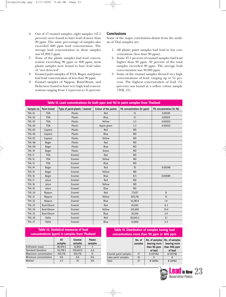- 6. Out of 17 enamel samples, eight samples (47.1 percent) were found to have lead of more than 90 ppm. The same percentage of samples also exceeded 600 ppm lead concentration. The average lead concentration in these samples was 61,892.5 ppm.
- 7. None of the plastic samples had lead concentration exceeding 90 ppm or 600 ppm; most plastic samples were found to have lead value of "not detected".
- 8. Enamel paint samples of TOA, Beger, and Jotun had lead concentration of less than 90 ppm.
- 9. Enamel samples of Nippon, Rust-Oleum, and Delta were found to have very high lead concentrations ranging from 1.4 percent to 51 percent.

#### **Conclusions**

Some of the major conclusions drawn from the analysis of Thai samples are:

- 1. All plastic paint samples had lead in low concentrations (less than 90 ppm).
- 2. Some 47.1 percent of enamel samples had lead higher than 90 ppm. 30 percent of the total samples exceeded 90 ppm. The average lead concentration was 38,969 ppm.
- 3. Some of the enamel samples showed very high concentrations of lead, ranging up to 51 percent. The highest concentration of lead (51 percent) was found in a yellow colour sample (THL 21).

|               |                    | Table 13. Lead concentrations (in both ppm and %) in paint samples from Thailand |                      |                           |                         |
|---------------|--------------------|----------------------------------------------------------------------------------|----------------------|---------------------------|-------------------------|
| Sample no.    | <b>Paint brand</b> | Type of paint-plastic / enamel                                                   | Colour of the paints | Pb concentration (in ppm) | Pb concentration (in %) |
| <b>THL 01</b> | <b>TOA</b>         | Plastic                                                                          | Red                  | 15                        | 0.00149                 |
| <b>THL 02</b> | <b>TOA</b>         | Plastic                                                                          | Blue                 | 3.1                       | 0.00031                 |
| <b>THL 03</b> | <b>TOA</b>         | Plastic                                                                          | Yellow               | 3.3                       | 0.00033                 |
| <b>THL 04</b> | <b>TOA</b>         | Plastic                                                                          | Apple green          | 2.2                       | 0.00022                 |
| <b>THL 05</b> | Captain            | Plastic                                                                          | Red                  | <b>ND</b>                 |                         |
| <b>THL 06</b> | Captain            | Plastic                                                                          | Blue                 | <b>ND</b>                 |                         |
| <b>THL 07</b> | Captain            | Plastic                                                                          | Yellow               | <b>ND</b>                 |                         |
| <b>THL 08</b> | Beger              | Plastic                                                                          | Red                  | <b>ND</b>                 |                         |
| <b>THL 09</b> | Beger              | Plastic                                                                          | Blue                 | <b>ND</b>                 |                         |
| <b>THL 10</b> | Beger              | Plastic                                                                          | Green                | <b>ND</b>                 |                         |
| <b>THL 11</b> | <b>TOA</b>         | Enamel                                                                           | Red                  | <b>ND</b>                 |                         |
| <b>THL 12</b> | <b>TOA</b>         | Enamel                                                                           | Yellow               | <b>ND</b>                 |                         |
| <b>THL 13</b> | <b>TOA</b>         | Enamel                                                                           | Blue                 | <b>ND</b>                 |                         |
| <b>THL 14</b> | Beger              | Enamel                                                                           | Red                  | 35                        | 0.00348                 |
| <b>THL 15</b> | <b>Beger</b>       | Enamel                                                                           | Yellow               | <b>ND</b>                 |                         |
| <b>THL 16</b> | <b>Beger</b>       | Enamel                                                                           | Blue                 | 8.5                       | 0.00085                 |
| <b>THL 17</b> | Jotun              | Enamel                                                                           | Red                  | <b>ND</b>                 |                         |
| <b>THL 18</b> | Jotun              | Enamel                                                                           | Yellow               | <b>ND</b>                 |                         |
| <b>THL 19</b> | Jotun              | Enamel                                                                           | Blue                 | <b>ND</b>                 |                         |
| <b>THL 20</b> | Nippon             | Enamel                                                                           | Red                  | 77,637                    | 8                       |
| <b>THL 21</b> | Nippon             | Enamel                                                                           | Yellow               | 505,716                   | 51                      |
| <b>THL 22</b> | Nippon             | Enamel                                                                           | Blue                 | 14,287.4                  | 1.4                     |
| <b>THL 23</b> | Rust-Oleum         | Enamel                                                                           | Red                  | 43,042                    | 4.3                     |
| <b>THL 24</b> | Rust-Oleum         | Enamel                                                                           | Yellow               | 333,695                   | 33.4                    |
| <b>THL 25</b> | Rust-Oleum         | Enamel                                                                           | Blue                 | 24,260                    | 2.4                     |
| <b>THL 26</b> | Delta              | Enamel                                                                           | Red                  | 30,643.2                  | 3.1                     |
| <b>THL 27</b> | Delta              | Enamel                                                                           | Blue                 | 22,850                    | 2.3                     |

| <b>Table 14. Statistical measures of lead</b><br>concentrations (ppm) in samples from Thailand |                |                   |                           | Table 15. Distribution of samples having lead<br>concentrations more than 90 ppm or 600 ppm |                   |                                |                                |
|------------------------------------------------------------------------------------------------|----------------|-------------------|---------------------------|---------------------------------------------------------------------------------------------|-------------------|--------------------------------|--------------------------------|
|                                                                                                | All<br>samples | Enamel<br>samples | <b>Plastic</b><br>samples |                                                                                             | No. of<br>samples | No. of samples<br>bearing more | No. of samples<br>bearing more |
| Arithmetic mean                                                                                | 38,970.5       | 61,893            |                           |                                                                                             |                   | than 90 ppm                    | than 600 ppm                   |
| Standard deviation                                                                             | 113,718.5      | 139.667.5         | 4.4                       |                                                                                             |                   | of lead                        | of lead                        |
| Maximum concentration                                                                          | 505.716        | 505.716           | 15                        | Enamel paint samples                                                                        | 17                | $8(47.1\%)$                    | $8(47.1\%)$                    |
| Minimum concentration                                                                          | 0.6            | 0.6               | 0.6                       | Latex paint samples                                                                         | 10                | $\bf{0}$                       | $\bf{0}$                       |
| Median                                                                                         | 2.2            | 35                | 0.6                       | Total                                                                                       | 27                | $8(30\%)$                      | $8(30\%)$                      |

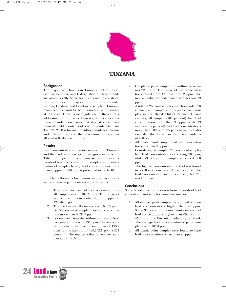

# **TANZANIA**

#### **Background**

The major paint brands in Tanzania include Coral, Sadolin, Goldstar, and Galaxy. Most of these brands are owned locally. Some brands operate in collaboration with foreign players. Out of these brands, Sadolin, Goldstar, and Coral were sampled. Tanzania manufactures paints for both household and industrial purposes. There is no regulation in the country addressing lead in paints. However, there exists a voluntary standard on paints that stipulates the maximum allowable contents of lead in paints. Standard TZS 722:2008 is for matt emulsion paints for interior and exterior use, and the maximum lead content allowed is  $0.045$  percent  $(m/m)$ .

#### **Results**

Lead concentrations in paint samples from Tanzania and their relevant description are given in Table 16. Table 17 depicts the common statistical measurements of lead concentration in samples, while distribution of samples having lead concentrations more than 90 ppm or 600 ppm is presented in Table 18.

The following observations were drawn about lead contents in paint samples from Tanzania.

- 1. The arithmetic mean of lead concentrations in all samples was 11,187.3 ppm. The range of lead concentrations varied from 13 ppm to 120,862.1 ppm.
- 2. The median for all samples was 3,631.5 ppm, i.e., 50 percent of samples have lead concentration more than 3,631.5 ppm.
- 3. For enamel paints the arithmetic mean of lead concentrations was 14,537 ppm. The lead concentrations varied from a minimum of 193.2 ppm to a maximum of 120,862.1 ppm (12.1 percent). The median value for enamel samples was 4,130.5 ppm.
- 4. For plastic paint samples the arithmetic mean was 22.2 ppm. The range of lead concentrations varied from 13 ppm to 40.2 ppm. The median value for water-based samples was 19 ppm.
- 5. A total of 26 paint samples, which included 20 enamel paint samples and six plastic paint samples, were analysed. Out of 20 enamel paint samples, all samples (100 percent) had lead concentration more than 90 ppm, while 19 samples (95 percent) had lead concentrations more than 600 ppm. 95 percent samples also exceeded the Tanzanian voluntary standards of 450 ppm.
- 6. All plastic paint samples had lead concentrations less than 90 ppm.
- 7. Considering all samples, 77 percent of samples had lead concentrations exceeding 90 ppm, while 73 percent of samples exceeded 600 ppm.
- 8. The highest concentration of lead was found in a yellow colour enamel paint sample. The lead concentration in this sample (TNZ 25) was 12.1 percent.

#### **Conclusions**

Some broad conclusions drawn from the study of lead content in paint samples from Tanzania are:

- 1. All enamel paint samples were found to have lead concentrations higher than 90 ppm. Some 95 percent of plastic paint samples had lead concentrations higher than 600 ppm or 450 ppm, the Tanzanian voluntary standard. The average lead concentration of paint samples was 11,187.4 ppm.
- 2. All plastic paint samples were found to have lead concentrations of less than 90 ppm.

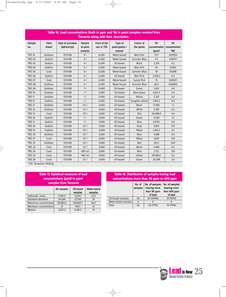|                      | Table 16. Lead concentrations (both in ppm and %) in paint samples received from<br>Tanzania along with their description. |                                |                               |                            |                                      |                                |                              |                             |  |  |
|----------------------|----------------------------------------------------------------------------------------------------------------------------|--------------------------------|-------------------------------|----------------------------|--------------------------------------|--------------------------------|------------------------------|-----------------------------|--|--|
| <b>Sample</b><br>no. | Paint<br>brand                                                                                                             | Date of purchase<br>(dd/mm/yy) | Volume<br>of paint<br>samples | Price of the<br>can in TZS | Type of<br>paint-plastic /<br>enamel | <b>Colour of</b><br>the paints | Pb<br>concentration<br>(ppm) | Pb<br>concentration<br>(% ) |  |  |
| <b>TNZ 01</b>        | Goldstar                                                                                                                   | 13/11/08                       | 4                             | 6,500                      | Water-based                          | <b>Mist Pink</b>               | 19.3                         | 0.00193                     |  |  |
| <b>TNZ 02</b>        | Sadolin                                                                                                                    | 13/11/08                       | 4                             | 6,500                      | Water-based                          | Summer Blue                    | 17.1                         | 0.00171                     |  |  |
| <b>TNZ 03</b>        | Sadolin                                                                                                                    | 13/11/08                       | 4                             | 6,500                      | Oil-based                            | <b>Black</b>                   | 2,219                        | 0.2                         |  |  |
| <b>TNZ 04</b>        | Sadolin                                                                                                                    | 13/11/08                       | 4                             | 6,500                      | Water-based                          | <b>Mist Pink</b>               | 26                           | 0.003                       |  |  |
| <b>TNZ 05</b>        | Coral                                                                                                                      | 13/11/08                       | 4                             | 6,500                      | Water-based                          | <b>Summer Blue</b>             | 18                           | 0.0018                      |  |  |
| <b>TNZ 06</b>        | Sadolin                                                                                                                    | 13/11/08                       | 4                             | 6,500                      | Oil-based                            | <b>Mist Pink</b>               | 2,670.2                      | 0.3                         |  |  |
| <b>TNZ 07</b>        | Coral                                                                                                                      | 13/11/08                       | 4                             | 6,500                      | Water-based                          | <b>Candy Pink</b>              | 13                           | 0.00127                     |  |  |
| <b>TNZ 08</b>        | Goldstar                                                                                                                   | 13/11/08                       | 4                             | 6,500                      | Water-based                          | <b>Summer Blue</b>             | 40.2                         | 0.00402                     |  |  |
| <b>TNZ 09</b>        | Goldstar                                                                                                                   | 13/11/08                       | 1 <sup>1</sup>                | 5,000                      | Oil-based                            | Green                          | 3,651                        | 0.4                         |  |  |
| <b>TNZ 10</b>        | Goldstar                                                                                                                   | 13/11/08                       | 1 <sup>1</sup>                | 5,000                      | Oil-based                            | Akot Green                     | 3,612.2                      | 0.4                         |  |  |
| <b>TNZ 11</b>        | Goldstar                                                                                                                   | 13/11/08                       | 1 <sup>1</sup>                | 5,000                      | Oil-based                            | Yellow                         | 2,522                        | 0.2                         |  |  |
| <b>TNZ 12</b>        | Sadolin                                                                                                                    | 13/11/08                       | 1 <sup>1</sup>                | 5,000                      | Oil-based                            | Sunglow yellow                 | 3,914.2                      | 0.4                         |  |  |
| <b>TNZ 13</b>        | Goldstar                                                                                                                   | 13/11/08                       | $1/2$                         | 3,000                      | Oil-based                            | <b>Black</b>                   | 11,360                       | 1.1                         |  |  |
| <b>TNZ 14</b>        | Goldstar                                                                                                                   | 13/11/08                       | 1/2                           | 3,000                      | Oil-based                            | White                          | 3,387                        | 0.3                         |  |  |
| <b>TNZ 15</b>        | Coral                                                                                                                      | 13/11/08                       | $1/2$                         | 3,000                      | Oil-based                            | Red                            | 44,068.5                     | 4.4                         |  |  |
| <b>TNZ 16</b>        | Sadolin                                                                                                                    | 13/11/08                       | 1 <sup>1</sup>                | 5,000                      | Oil-based                            | Green                          | 31,581                       | 3.1                         |  |  |
| <b>TNZ 17</b>        | Sadolin                                                                                                                    | 13/11/08                       | 1 <sub>1</sub>                | 5,000                      | Oil-based                            | Blue                           | 4,073.1                      | 0.4                         |  |  |
| <b>TNZ 18</b>        | Sadolin                                                                                                                    | 13/11/08                       | $1/2$                         | 3,000                      | Oil-based                            | Grey                           | 9,841                        | 0.9                         |  |  |
| <b>TNZ 19</b>        | Sadolin                                                                                                                    | 13/11/08                       | $1/2$                         | 3,000                      | Oil-based                            | White                          | 1,541.2                      | 0.1                         |  |  |
| <b>TNZ 20</b>        | Goldstar                                                                                                                   | 13/11/08                       | $1/2$                         | 3,000                      | Oil-based                            | Blue                           | 4,188                        | 0.4                         |  |  |
| <b>TNZ 21</b>        | Coral                                                                                                                      | 13/11/08                       | 1/2                           | 3,000                      | Oil-based                            | White                          | 7,602                        | 0.8                         |  |  |
| <b>TNZ 22</b>        | Goldstar                                                                                                                   | 13/11/08                       | 1/2                           | 3,000                      | Oil-based                            | Red                            | 193.2                        | 0.01                        |  |  |
| <b>TNZ 23</b>        | Coral                                                                                                                      | 13/11/08                       | $1/2$                         | 3,000                      | Oil-based                            | <b>Black</b>                   | 5,484                        | 0.5                         |  |  |
| <b>TNZ 24</b>        | Coral                                                                                                                      | 13/11/08                       | 400 ml                        | 3,000                      | Oil-based                            | Blue                           | 7,722                        | 0.8                         |  |  |
| <b>TNZ 25</b>        | Coral                                                                                                                      | 13/11/08                       | 400 ml                        | 3,000                      | Oil-based                            | Yellow                         | 120,862.1                    | 12.1                        |  |  |
| <b>TNZ 26</b>        | Coral                                                                                                                      | 13/11/08                       | $1/2$                         | 3,000                      | Oil-based                            | Green                          | 20,248                       | 2.0                         |  |  |
|                      | T7C. Tanzanian Chilling                                                                                                    |                                |                               |                            |                                      |                                |                              |                             |  |  |

 $\bigoplus$ 

 $\bigoplus$ 

S: Tanzanian Shilling

| <b>Table 17. Statistical measures of lead</b> |  |  |                                       |  |  |  |  |
|-----------------------------------------------|--|--|---------------------------------------|--|--|--|--|
| concentrations (ppm) in paint                 |  |  |                                       |  |  |  |  |
| samples from Tanzania                         |  |  |                                       |  |  |  |  |
|                                               |  |  | All samples   Oil-based   Water-based |  |  |  |  |

|                       |           | samples   | samples |
|-----------------------|-----------|-----------|---------|
| Arithmetic mean       | 11,187.3  | 14.537    | 22.2    |
| Standard deviation    | 24.645    | 27.350    | 10      |
| Maximum concentration | 120.862.1 | 120.862.1 | 40.2    |
| Minimum concentration | 13        | 193.2     | 13      |
| Median                | 3,631.5   | 4,130.5   | 19      |
|                       |           |           |         |

### **Table 18. Distribution of samples having lead concentrations more than 90 ppm or 600 ppm**

| samples from Tanzania |             |                      |                               | No. of              | No. of samples | No. of samples              |                              |  |
|-----------------------|-------------|----------------------|-------------------------------|---------------------|----------------|-----------------------------|------------------------------|--|
|                       | All samples | Oil-based<br>samples | <b>Water-based</b><br>samples |                     | samples        | bearing more<br>than 90 ppm | bearing more<br>than 600 ppm |  |
|                       | 11.187.3    | 14.537               | 22.2                          |                     |                | of lead                     | of lead                      |  |
|                       | 24.645      | 27.350               | 10                            | Oil-based samples   | 20             | 20 (100%)                   | 19 (95%)                     |  |
| ationl                | 120.862.1   | 120,862.1            | 40.2                          | Water-based samples | 6              |                             |                              |  |
| ationl                | 13          | 193.2                | 13                            | Total               | 26             | 20 (77%)                    | 19 (73%)                     |  |
|                       |             |                      |                               |                     |                |                             |                              |  |
|                       |             |                      |                               |                     |                |                             |                              |  |

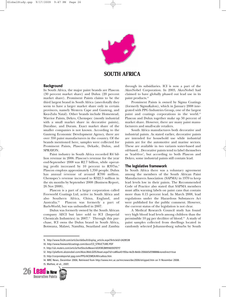

# **SOUTH AFRICA**

#### **Background**

In South Africa, the major paint brands are Plascon (30 percent market share) and Dulux (20 percent market share). Prominent Paints claims to be the third largest brand in South Africa (anecdotally they seem to have a larger market share only in certain provinces, namely Western Cape and Gauteng, and Kwa-Zulu Natal). Other brands include Homestead, Warrior Paints, Dekro, Chemspec (mostly industrial with a small market share in decorative paints), Duraline, and Duram. Exact market share of the smaller companies is not known. According to the Gauteng Economic Development Agency, there are over 350 paint manufacturers in the country. Of the brands mentioned here, samples were collected for Prominent Paints, Plascon, Dekade, Dulux, and SPRAYON.

Paint industry in South Africa recorded R4 billion revenue in 2006. Plascon's revenue for the year end-September 2008 was R2.7 billion, while operating profit increased by 10 percent to R397m.9 Plascon employs approximately 1,350 people. Dulux has annual revenue of around R700 million. Chemspec's revenue increased to R322.5 million in the six months by September 2008 (Business Report, 26 Nov 2008).

Plascon is a part of a larger corporation called Freeworld Coatings Ltd, active in South Africa and also Southern Africa, China, England, and Australia.10 Plascon was formerly a part of BarloWorld, but was unbundled in 2007.

Dulux was formerly owned by the South African company AECI but later sold to ICI (Imperial Chemicals Industries) in  $2007$ .<sup>11</sup> Through this purchase, ICI owns the Dulux brand in South Africa, Botswana, Malawi, Namibia, Swaziland and Zambia

through its subsidiaries. ICI is now a part of the AkzoNobel Corporation. In 2003, AkzoNobel had claimed to have globally phased out lead use in its paint products.<sup>12</sup>

Prominent Paints is owned by Sigma Coatings (formerly SigmaKalon), which in January 2008 integrated with PPG Industries Group, one of the largest paint and coatings corporations in the world.<sup>13</sup> Plascon and Dulux together make up 50 percent of market share. However, there are many paint manufacturers and small-scale retailers.

South Africa manufactures both decorative and industrial paints. As stated earlier, decorative paints are intended for household use while industrial paints are for the automotive and marine sectors. These are available in two variants water-based and oil-based. . Decorative paints tend to label themselves as 'lead-free', but according to both Plascon and Dekro, some industrial paints still contain lead.

#### **The legislative framework**

In South Africa there was a voluntary agreement among the members of the South African Paint Manufacturers Association (SAPMA) in 1970 to keep lead levels low in their paints. The Recommended Code of Practice also stated that SAPMA members must affix warning labels on paint cans that contain more than 0.15 percent lead. In March 2008, lead regulations under the Hazardous Substances Act were published for the public comment. However, the current status of the legislation is not clear.

A Medical Research Council study has found very high blood lead levels among children than the permissible 10 µg per decilitre of blood.14 A study of paint samples collected from dwellings located in randomly selected Johannesburg suburbs by South

<sup>14.</sup> MRC News, December 2006; Retrieved from http://www.mrc.ac.za/mrcnews/dec2006/stripped.htm on 11 November 2008. 15. Mathee, et al., 2007.



<sup>9.</sup> http://www.fin24.com/articles/default/display\_article.aspx?ArticleId=2428538

<sup>10.</sup> http://www.freeworldcoatings.com/docs/CO\_STRUCTURE.PDF

<sup>11.</sup> http://uk.reuters.com/article/hotStocksNews/idUKWLB895820070717

<sup>12.</sup> http://platform.akzonobel.com/Akzo.Web.GDS/Asset.aspx?id=ce8fea43-95ba-4e2b-8ebb-206665d59888&noredirect=true

<sup>13.</sup> http://corporateportal.ppg.com/PPG/ACEMEA/AfricaAsia.htm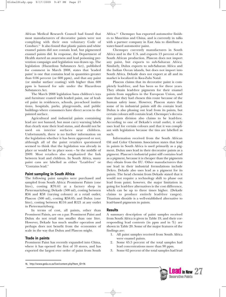African Medical Research Council had found that most manufacturers of decorative paints were not complying with their own voluntary Code of Conduct.15 It also found that plastic paints and white enamel paints did not contain lead, but pigmented enamel paints did. In response, the Department of Health started an awareness and lead poisoning prevention campaign and legislation was drawn up. The legislation (Hazardous Substances Act), published for comment in March 2008, states that 'leaded paint' is one that contains lead in quantities greater than 0.06 percent (or 600 ppm), and that any paint (or similar surface coating) with higher than 600 ppm is banned for sale under the Hazardous Substances Act.

The March 2008 legislation bans children's toys and furniture coated with leaded paint, use of leaded paint in residences, schools, pre-school institutions, hospitals, parks, playgrounds, and public buildings where consumers have direct access to the painted surface.

Agricultural and industrial paints containing lead are not banned, but must carry warning labels that clearly state their lead status, and should not be used on interior surfaces near children. Unfortunately, there is no further information on the legislation whether it has been approved or not; although all of the paint retailers questioned seemed to think that the legislation was already in place or would be in place soon – by the middle of 2009. Most retailers also emphasized the link between lead and children. In South Africa, many paint cans are labelled as either "Lead-free" or "Contains lead."

#### **Paint sampling in South Africa**

The following paint samples were purchased and sampled from South Africa: Prominent Paints (one litre), costing R70.61 at a factory shop in Pietermaritzburg; Dekade (500 ml), costing between R56 and R58 (varying colours) at a retail outlet; Plascon (500 ml), costing R58.05; and Dulux (one litre), costing between R116 and R121 at any outlet in Pietermaritzburg.

In terms of cost, all paints, other than Prominent Paints, are on a par. Prominent Paint and Dulux do not retail tins smaller than one litre. However, Dekade has much smaller operation and perhaps does not benefit from the economies of scale in the way that Dulux and Plascon might.

#### **Trade in paints**

Prominent Paint has recently expanded into China, where it has opened the first of 10 stores, and has exported the largest ever order of paint from South

Chemspec currently manufactures in South Africa and in the U.S. and exports 13 percent of its South African production. Plascon does not import any paint, but exports to sub-Saharan Africa. Similarly, Dulux exports to sub-Saharan Africa and the Indian Ocean islands, but does not import into South Africa. Dekade does not export at all and its market is localized in Kwa-Zulu Natal.

Plascon claims that its decorative paint is completely lead-free, and has been so for three years. They obtain lead-free pigments for their enamel paints from suppliers in the European Union, and state that they had chosen this route because of the human safety issue. However, Plascon states that some of its industrial paints still do contain lead. Dulux is also phasing out lead from its paints, but certain colours still contain lead. Chemspec's decorative paints division also claims to be lead-free. According to one of Dekade's retail outlet, it only uses lead for certain colours and that it was compliant with legislation because the tins are labelled as such.

Information received from the South African Oil and Color Chemists Association states that lead in paints in South Africa is used primarily as a pigment. Dulux uses lead in their decorative paints as a pigment. Plascon's industrial paint still contains lead as a pigment, because it is cheaper than the pigments they obtain from the EU. Other manufacturers that use lead in their industrial formulations include Dekro. Dekade also uses lead as a pigment for its paints. The head chemist from Dekade stated that it would not require a technology shift to phase out lead from paint; however, the major limitation in going for lead-free alternatives is the cost difference, which can be up to three times higher. (Dekade claims to produce entirely lead-free ranges). Titanium dioxide is a well-established alternative to lead-based pigments in paints.

#### **Results**

A summary description of paint samples received from South Africa is given in Table 19, and their corresponding lead contents (in ppm and in %) are shown in Table 20. Some of the major features of the findings are:

- 1. All paint samples received from South Africa were enamel paints.
- 2. Some 65.5 percent of the total samples had lead concentrations more than 90 ppm.
- 3. Some 62 percent of the total samples had lead





Africa.16 Chemspec has exported automotive finishes to Mauritius and China, and is currently in talks with a partner company in East Asia to distribute a water-based automotive paint.

<sup>16.</sup> http://www.geda.co.za/live/content.php?Item\_ID=76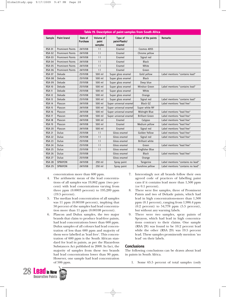|               | Table 19. Description of paint samples from South Africa |                            |                               |                                     |                        |                                   |  |  |  |  |
|---------------|----------------------------------------------------------|----------------------------|-------------------------------|-------------------------------------|------------------------|-----------------------------------|--|--|--|--|
| <b>Sample</b> | <b>Paint brand</b>                                       | Date of<br><b>Purchase</b> | Volume of<br>paint<br>samples | Type of<br>paint-Plastic/<br>enamel | Colour of the paints   | <b>Remarks</b>                    |  |  |  |  |
| <b>RSA 01</b> | <b>Prominent Paints</b>                                  | 24/11/08                   | 1 <sup>1</sup>                | Enamel                              | Cosmos 4055            |                                   |  |  |  |  |
| <b>RSA 02</b> | <b>Prominent Paints</b>                                  | 24/11/08                   | 1 <sup>1</sup>                | Enamel                              | Chrome yellow          |                                   |  |  |  |  |
| <b>RSA 03</b> | <b>Prominent Paints</b>                                  | 24/11/08                   | 1 <sup>1</sup>                | Enamel                              | Signal red             |                                   |  |  |  |  |
| <b>RSA 04</b> | <b>Prominent Paints</b>                                  | 24/11/08                   | 1 <sup>1</sup>                | Enamel                              | <b>Black</b>           |                                   |  |  |  |  |
| <b>RSA 05</b> | <b>Prominent Paints</b>                                  | 24/11/08                   | 1 <sup>1</sup>                | Enamel                              | White                  |                                   |  |  |  |  |
| <b>RSA 06</b> | <b>Prominent Paints</b>                                  | 24/11/08                   | 1 <sup>1</sup>                | Enamel                              | Green                  |                                   |  |  |  |  |
| <b>RSA 07</b> | Dekade                                                   | 25/11/08                   | 500 ml                        | Super gloss enamel                  | Gold yellow            | Label mentions "contains lead"    |  |  |  |  |
| <b>RSA 08</b> | Dekade                                                   | 25/11/08                   | 500 ml                        | Super gloss enamel                  | <b>Black</b>           |                                   |  |  |  |  |
| <b>RSA 09</b> | Dekade                                                   | 25/11/08                   | 500 ml                        | Super gloss enamel                  | Deep blue              |                                   |  |  |  |  |
| <b>RSA 10</b> | Dekade                                                   | 25/11/08                   | 500 ml                        | Super gloss enamel                  | <b>Windsor Green</b>   | Label mentions "contains lead"    |  |  |  |  |
| <b>RSA 11</b> | Dekade                                                   | 25/11/08                   | 500 ml                        | Super gloss enamel                  | White                  |                                   |  |  |  |  |
| <b>RSA 12</b> | Dekade                                                   | 25/11/08                   | 500 ml                        | Super gloss enamel                  | Orange                 |                                   |  |  |  |  |
| <b>RSA 13</b> | Dekade                                                   | 25/11/08                   | 500 ml                        | Super gloss enamel                  | Signal red             | Label mentions "contains lead"    |  |  |  |  |
| <b>RSA 14</b> | Plascon                                                  | 24/11/08                   | 500 ml                        | Super universal enamel              | <b>Black GZ</b>        | Label mentions "lead free"        |  |  |  |  |
| <b>RSA 15</b> | Plascon                                                  | 24/11/08                   | 500 ml                        | Super universal enamel              | Super white NY         |                                   |  |  |  |  |
| <b>RSA 16</b> | Plascon                                                  | 24/11/08                   | 500 ml                        | Super universal enamel              | Midnight Blue          | Label mentions "lead free"        |  |  |  |  |
| <b>RSA 17</b> | Plascon                                                  | 24/11/08                   | 500 ml                        | Super universal enamel              | <b>Brilliant Green</b> | Label mentions "lead free"        |  |  |  |  |
| <b>RSA 18</b> | Plascon                                                  | 24/11/08                   | 500 ml                        | Enamel                              | Calypso                | Label mentions "lead free"        |  |  |  |  |
| <b>RSA 19</b> | Plascon                                                  | 24/11/08                   | 500 ml                        | Enamel                              | Medium yellow          | Label mentions "lead free"        |  |  |  |  |
| <b>RSA 20</b> | Plascon                                                  | 24/11/08                   | 500 ml                        | Enamel                              | Signal red             | Label mentions "lead free"        |  |  |  |  |
| <b>RSA 21</b> | <b>Dulux</b>                                             | 25/11/08                   | 1 <sup>1</sup>                | Gloss enamel                        | Golden Yellow          | Label mentions "lead free"        |  |  |  |  |
| <b>RSA 22</b> | <b>Dulux</b>                                             | 25/11/08                   | 1 <sup>1</sup>                | Gloss enamel                        | Signal red             | Label mentions "lead free"        |  |  |  |  |
| <b>RSA 23</b> | <b>Dulux</b>                                             | 25/11/08                   | 1 <sup>1</sup>                | Gloss enamel                        | <b>Brilliant white</b> |                                   |  |  |  |  |
| <b>RSA 24</b> | <b>Dulux</b>                                             | 25/11/08                   | 1 <sup>1</sup>                | Gloss enamel                        | Green                  | Label mentions "lead free"        |  |  |  |  |
| <b>RSA 25</b> | <b>Dulux</b>                                             | 25/11/08                   | 1 <sup>1</sup>                | Gloss enamel                        | Kingfisher Blue        |                                   |  |  |  |  |
| <b>RSA 26</b> | <b>Dulux</b>                                             | 25/11/08                   |                               | Gloss enamel                        | <b>Black</b>           | Label mentions "lead free"        |  |  |  |  |
| <b>RSA 27</b> | <b>Dulux</b>                                             | 25/11/08                   |                               | Gloss enamel                        | Orange                 |                                   |  |  |  |  |
| <b>RSA 28</b> | <b>SPRAYON</b>                                           | 24/11/08                   | 250 ml                        | Spray paint                         | Tangerine              | Label mentions "contains no lead" |  |  |  |  |
| <b>RSA 29</b> | <b>SPRAYON</b>                                           | 24/11/08                   | 250 ml                        | Spray paint                         | Sunshine yellow        | Label mentions "contains no lead" |  |  |  |  |

concentration more than 600 ppm.

- 4. The arithmetic mean of the lead concentrations of all samples was 19,862 ppm (two percent) with lead concentrations varying from three ppm (0.0003 percent) to 195,289 ppm (19.5 percent).
- 5. The median lead concentration of all samples was 11 ppm (0.00108 percent), implying that 50 percent of the samples had lead concentration more than 11 ppm (0.00108 percent).
- 6. Plascon and Dulux samples, the two major brands that claim to produce lead-free paints, had lead concentrations lower than 600 ppm. Dulux samples of all colours had lead concentration of less than 600 ppm and majority of them were labelled as 'lead free'. This concentration of 600 ppm is the South African standard for lead in paints, as per the Hazardous Substances Act published in 2008. In fact, the majority of samples from these two brands had lead concentrations lower than 90 ppm. However, one sample had lead concentration of 506 ppm.
- 7. Interestingly not all brands follow their own agreed code of practices of labelling paint cans if it contains lead more than 1,500 ppm (or 0.1 percent).
- 8. There were five samples, three of Prominent Paints and two of Dekade paints, which had lead in high concentrations-more than 1,500 ppm (0.1 percent), ranging from 1,986.4 ppm (0.2 percent) to 54,778 ppm (5.5 percent), but without any warning labels.
- 9. There were two samples, spray paints of Sprayon, which had lead in high concentrations contrary to their claims. One sample (RSA 28) was found to be 10.2 percent lead while the other (RSA 29) was 19.5 percent lead. These samples prominently mention 'no lead' on their labels.

#### **Conclusions**

The following conclusions can be drawn about lead in paints in South Africa.

1. Some 65.5 percent of total samples (only

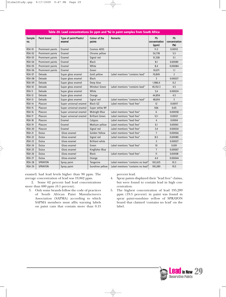|                      | Table 20. Lead concentrations (in ppm and %) in paint samples from South Africa |                                  |                         |                                   |                              |                             |  |  |  |
|----------------------|---------------------------------------------------------------------------------|----------------------------------|-------------------------|-----------------------------------|------------------------------|-----------------------------|--|--|--|
| <b>Sample</b><br>no. | <b>Paint brand</b>                                                              | Type of paint-Plastic/<br>enamel | Colour of the<br>paints | <b>Remarks</b>                    | Pb<br>concentration<br>(ppm) | Pb<br>concentration<br>(% ) |  |  |  |
| <b>RSA 01</b>        | Prominent paints                                                                | Enamel                           | Cosmos 4055             |                                   | 11.2                         | 0.00112                     |  |  |  |
| <b>RSA 02</b>        | Prominent paints                                                                | Enamel                           | Chrome yellow           |                                   | 54,778                       | 5.5                         |  |  |  |
| <b>RSA 03</b>        | Prominent paints                                                                | Enamel                           | Signal red              |                                   | 51,338                       | 5.1                         |  |  |  |
| <b>RSA 04</b>        | Prominent paints                                                                | Enamel                           | <b>Black</b>            |                                   | 8.1                          | 0.00081                     |  |  |  |
| <b>RSA 05</b>        | Prominent paints                                                                | Enamel                           | White                   |                                   | 8.4                          | 0.00084                     |  |  |  |
| <b>RSA 06</b>        | Prominent paints                                                                | Enamel                           | Green                   |                                   | 10,671                       | 1.1                         |  |  |  |
| <b>RSA 07</b>        | <b>Dekade</b>                                                                   | Super gloss enamel               | Gold yellow             | Label mentions "contains lead"    | 19,849                       | $\overline{2}$              |  |  |  |
| <b>RSA 08</b>        | Dekade                                                                          | Super gloss enamel               | <b>Black</b>            |                                   | 3                            | 0.00027                     |  |  |  |
| <b>RSA 09</b>        | Dekade                                                                          | Super gloss enamel               | Deep blue               |                                   | 1,986.4                      | 0.2                         |  |  |  |
| <b>RSA 10</b>        | Dekade                                                                          | Super gloss enamel               | <b>Windsor Green</b>    | Label mentions "contains lead"    | 45,152.3                     | 4.5                         |  |  |  |
| <b>RSA 11</b>        | Dekade                                                                          | Super gloss enamel               | White                   |                                   | 3.4                          | 0.00034                     |  |  |  |
| <b>RSA 12</b>        | Dekade                                                                          | Super gloss enamel               | Orange                  |                                   | 44,854                       | 4.5                         |  |  |  |
| <b>RSA 13</b>        | Dekade                                                                          | Super gloss enamel               | Signal red              | Label mentions "contains lead"    | 48,814                       | 5                           |  |  |  |
| <b>RSA 14</b>        | Plascon                                                                         | Super universal enamel           | <b>Black GZ</b>         | Label mentions "lead free"        | 12                           | 0.00117                     |  |  |  |
| <b>RSA 15</b>        | Plascon                                                                         | Super universal enamel           | Super white NY          |                                   | 506                          | 0.05                        |  |  |  |
| <b>RSA 16</b>        | Plascon                                                                         | Super universal enamel           | Midnight Blue           | Label mentions "lead free"        | 6                            | 0.00058                     |  |  |  |
| <b>RSA 17</b>        | Plascon                                                                         | Super universal enamel           | <b>Brilliant Green</b>  | Label mentions "lead free"        | 12.1                         | 0.00121                     |  |  |  |
| <b>RSA 18</b>        | Plascon                                                                         | Enamel                           | Calypso                 | Label mentions "lead free"        | $\overline{4}$               | 0.0004                      |  |  |  |
| <b>RSA 19</b>        | Plascon                                                                         | Enamel                           | Medium yellow           | Label mentions "lead free"        | 6.1                          | 0.00061                     |  |  |  |
| <b>RSA 20</b>        | Plascon                                                                         | Enamel                           | Signal red              | Label mentions "lead free"        | 3.4                          | 0.00034                     |  |  |  |
| <b>RSA 21</b>        | Dulux                                                                           | Gloss enamel                     | Golden Yellow           | Label mentions "lead free"        | $\overline{7}$               | 0.00066                     |  |  |  |
| <b>RSA 22</b>        | Dulux                                                                           | Gloss enamel                     | Signal red              | Label mentions "lead free"        | 8.5                          | 0.00085                     |  |  |  |
| <b>RSA 23</b>        | <b>Dulux</b>                                                                    | Gloss enamel                     | <b>Brilliant white</b>  |                                   | $\overline{3}$               | 0.00027                     |  |  |  |
| <b>RSA 24</b>        | Dulux                                                                           | Gloss enamel                     | Green                   | Label mentions "lead free"        | 10 <sup>10</sup>             | 0.001                       |  |  |  |
| <b>RSA 25</b>        | Dulux                                                                           | Gloss enamel                     | Kingfisher Blue         |                                   | $\overline{7}$               | 0.00067                     |  |  |  |
| <b>RSA 26</b>        | <b>Dulux</b>                                                                    | Gloss enamel                     | <b>Black</b>            | Label mentions "lead free"        | 11                           | 0.00108                     |  |  |  |
| <b>RSA 27</b>        | <b>Dulux</b>                                                                    | Gloss enamel                     | Orange                  |                                   | 4.4                          | 0.00044                     |  |  |  |
| <b>RSA 28</b>        | <b>SPRAYON</b>                                                                  | Spray paint                      | Tangerine               | Label mentions "contains no lead" | 102,625                      | 10.3                        |  |  |  |
| <b>RSA 29</b>        | <b>SPRAYON</b>                                                                  | Spray paint                      | Sunshine yellow         | Label mentions "contains no lead" | 195,289                      | 19.5                        |  |  |  |

enamel) had lead levels higher than 90 ppm. The average concentration of lead was 19,862 ppm.

2. Some 62 percent had lead concentrations more than 600 ppm (0.1 percent).

3. Only some brands follow the code of practices of South African Paint Manufacturers Association (SAPMA) according to which SAPMA members must affix warning labels on paint cans that contain more than 0.15

percent lead.

- 4. Spray paints displayed their "lead free" claims, but were found to contain lead in high concentration.
- 5. The highest concentration of lead 195,289 ppm (19.5 percent) in paint was found in spray paint-sunshine yellow of SPRAYON brand that claimed 'contains no lead' on the label.

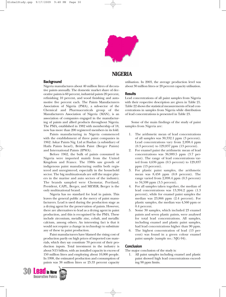

### **NIGERIA**

#### **Background**

Nigeria manufactures about 40 million litres of decorative paints annually. The domestic market share of decorative paints is 60 percent, industrial paints 20 percent, refinishing 10 percent, and wood finishing and automotive five percent each. The Paints Manufacturers Association of Nigeria (PMA), a sub-sector of the Chemical and Pharmaceuticals group of the Manufacturers Association of Nigeria (MAN), is an association of companies engaged in the manufacturing of paints and allied products throughout Nigeria. The PMA, established in 1982 with membership of 18, now has more than 200 registered members in its fold.

Paints manufacturing in Nigeria commenced with the establishment of three paint companies in 1962: Askar Paints Nig. Ltd at Ibadan (a subsidiary of Haifa Paints Israel), British Paint (Berger Paints) and International Paints (IPWA).

Before 1962, the bulk of paints consumed in Nigeria were imported mainly from the United Kingdom and France. The 1980s saw growth of indigenous paint manufacturing outfits both registered and unregistered, especially in the household sector. The big multinationals are still the major players in the marine and auto sectors of the industry. The brands sampled were Chemstar, Portland, President, CAPL, Berger, and MEYER; Berger is the only multinational brand.

Nigeria has no standard for lead in paints. This leaves the general public at the mercy of paint manufacturers. Lead is used during the production stage as a drying agent for the preservation of paints. However, there are alternatives to lead as a drying agent in paint production, and this is recognised by the PMA. These include zirconium, metallic zinc, cobalt, and metallic calcium, among others. An interesting fact is that it would not require a change in technology to substitute any of these in paint production.

Paint manufacturers have blamed the rising cost of production partly on high prices of imported raw materials, which they say constitute 70 percent of their production inputs. Total investment in the industry is about N15 billion, with an installed capacity in excess of 150 million litres and employing about 10,000 people. In 1998, the estimated production and consumption of paints was 38 million litres or 25.33 percent capacity



utilisation. In 2003, the average production level was about 30 million litres or 20 percent capacity utilisation.

#### **Results**

Lead concentrations of all paint samples from Nigeria with their respective description are given in Table 21. Table 22 shows the statistical measurements of lead concentrations in samples from Nigeria while distribution of lead concentrations is presented in Table 23.

Some of the main findings of the study of paint samples from Nigeria are:

- The arithmetic mean of lead concentrations of all samples was 30,332.1 ppm (3 percent). Lead concentrations vary from 2,898.4 ppm (0.3 percent) to 129,837 ppm (13 percent).
- 2. For enamel paint the arithmetic mean of lead concentrations was 36,989.5 ppm (3.7 percent). The range of lead concentrations varied from 4,636 ppm (0.5 percent) to 129,837 ppm (13 percent).
- 3. For plastic paint samples, the arithmetic mean was 8,458 ppm (0.8 percent). The range varied from 2,898.4 ppm (0.3 percent) to 34,598 ppm (3.5 percent).
- 4. For all samples taken together, the median of lead concentrations was 13,394.2 ppm (1.3 percent), while for enamel paint samples the median was 23,866 ppm (2.4 percent). For plastic samples, the median was 4,560 ppm or 0.4 percent.
- 5. Some 30 samples, which included 23 enamel paints and seven plastic paints, were analysed for total lead concentrations. All samples, including enamel and plastic paint samples, had lead concentrations higher than 90 ppm.
- 6. The highest concentration of lead (13 percent) was found in a green colour enamel paint sample (sample no.: NJG 04).

#### **Conclusion**

The major conclusion of the study is:

1. All paint samples including enamel and plastic paint showed high lead concentrations exceeding 90 ppm limits.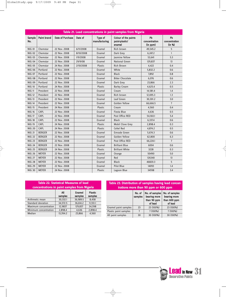|               | Table 21. Lead concentrations in paint samples from Nigeria |                  |           |                          |                                                  |                                 |                               |  |  |  |
|---------------|-------------------------------------------------------------|------------------|-----------|--------------------------|--------------------------------------------------|---------------------------------|-------------------------------|--|--|--|
| Sample<br>No. | <b>Paint brand</b>                                          | Date of Purchase | Date of   | Type of<br>manufacturing | Colour of the paints<br>paint-plastic/<br>enamel | Pb<br>concentration<br>(in ppm) | Pb<br>concentration<br>(in %) |  |  |  |
| <b>NIG 01</b> | Chemstar                                                    | 22 Nov. 2008     | 6/11/2008 | Enamel                   | Rich brown                                       | 49,545.2                        | 5                             |  |  |  |
| <b>NIG 02</b> | Chemstar                                                    | 22 Nov. 2008     | 8/10/2008 | Enamel                   | Dark Grey                                        | 6,247.2                         | $\mathbf{1}$                  |  |  |  |
| <b>NIG 03</b> | Chemstar                                                    | 22 Nov. 2008     | 1/9/2008  | Enamel                   | <b>lasmine Yellow</b>                            | 53.641                          | 5.3                           |  |  |  |
| <b>NIG 04</b> | Chemstar                                                    | 22 Nov. 2008     | 29/9/08   | Enamel                   | National Green                                   | 129,837                         | 13                            |  |  |  |
| <b>NIG 05</b> | Chemstar                                                    | 24 Nov. 2008     | 2/10/2008 | <b>Plastic</b>           | <b>Rich Brown</b>                                | 4,422                           | 0.4                           |  |  |  |
| <b>NIG 06</b> | Portland                                                    | 22 Nov. 2008     |           | Enamel                   | White                                            | 5,832.2                         | 0.6                           |  |  |  |
| <b>NIG 07</b> | Portland                                                    | 22 Nov. 2008     |           | Enamel                   | <b>Black</b>                                     | 7.892                           | 0.8                           |  |  |  |
| <b>NIG 08</b> | Portland                                                    | 22 Nov. 2008     |           | Enamel                   | <b>Bitter Chocolate</b>                          | 6,076                           | 0.6                           |  |  |  |
| <b>NIG 09</b> | Portland                                                    | 22 Nov. 2008     |           | Enamel                   | Dark Grey                                        | 23,866                          | 2.3                           |  |  |  |
| <b>NIG 10</b> | Portland                                                    | 24 Nov. 2008     |           | <b>Plastic</b>           | <b>Barley Cream</b>                              | 4,625.4                         | 0.5                           |  |  |  |
| <b>NIG 11</b> | President                                                   | 22 Nov. 2008     |           | Enamel                   | Cream                                            | 14,581.4                        | 1.4                           |  |  |  |
| <b>NIG 12</b> | President                                                   | 22 Nov. 2008     |           | Enamel                   | Rich brown                                       | 12,695.3                        | 1.3                           |  |  |  |
| <b>NIG 13</b> | President                                                   | 22 Nov. 2008     |           | Enamel                   | Leaf Green                                       | 30,301.2                        | 3.0                           |  |  |  |
| <b>NIG 14</b> | President                                                   | 22 Nov. 2008     |           | Enamel                   | Golden Yellow                                    | 66,666.5                        | $\overline{7}$                |  |  |  |
| <b>NIG 15</b> | President                                                   | 24 Nov. 2008     |           | Plastic                  | Cream                                            | 4,560                           | 0.4                           |  |  |  |
| <b>NIG 16</b> | <b>CAPL</b>                                                 | 22 Nov. 2008     |           | Enamel                   | <b>Fiesta Blue</b>                               | 4,636                           | 0.5                           |  |  |  |
| <b>NIG 17</b> | CAPL                                                        | 22 Nov. 2008     |           | Enamel                   | Post Office RED                                  | 54,160.1                        | 5.4                           |  |  |  |
| <b>NIG 18</b> | <b>CAPL</b>                                                 | 22 Nov. 2008     |           | Enamel                   | <b>Black</b>                                     | 6,337.4                         | 0.6                           |  |  |  |
| <b>NIG 19</b> | <b>CAPL</b>                                                 | 24 Nov. 2008     |           | Plastic                  | Mobil Clove Grey                                 | 2,898.4                         | 0.3                           |  |  |  |
| <b>NIG 20</b> | CAPL                                                        | 24 Nov. 2008     |           | Plastic                  | Celtel Red                                       | 4,874.2                         | 0.5                           |  |  |  |
| <b>NIG 21</b> | <b>BERGER</b>                                               | 22 Nov. 2008     |           | Enamel                   | Emrade Green                                     | 5,674.3                         | 0.6                           |  |  |  |
| <b>NIG 22</b> | <b>BERGER</b>                                               | 22 Nov. 2008     |           | Enamel                   | Golden Yellow                                    | 62,800                          | 6.3                           |  |  |  |
| <b>NIG 23</b> | <b>BERGER</b>                                               | 22 Nov. 2008     |           | Enamel                   | Post Office RED                                  | 66,224.1                        | $\overline{7}$                |  |  |  |
| <b>NIG 24</b> | <b>BERGER</b>                                               | 22 Nov. 2008     |           | Enamel                   | <b>Brilliant Blue</b>                            | 6004                            | 0.6                           |  |  |  |
| <b>NIG 25</b> | <b>BERGER</b>                                               | 24 Nov. 2008     |           | <b>Plastic</b>           | <b>Brilliant White</b>                           | 3228                            | 0.3                           |  |  |  |
| <b>NIG 26</b> | <b>MEYER</b>                                                | 22 Nov. 2008     |           | Enamel                   | Orange                                           | 50490                           | 5.0                           |  |  |  |
| <b>NIG 27</b> | <b>MEYER</b>                                                | 22 Nov. 2008     |           | Enamel                   | Red                                              | 126340                          | 13                            |  |  |  |
| <b>NIG 28</b> | <b>MEYER</b>                                                | 22 Nov. 2008     |           | Enamel                   | <b>Black</b>                                     | 46820.3                         | 5                             |  |  |  |
| <b>NIG 29</b> | <b>MEYER</b>                                                | 22 Nov. 2008     |           | Enamel                   | <b>Pilot Blue</b>                                | 14093                           | 1.4                           |  |  |  |
| <b>NIG 30</b> | <b>MEYER</b>                                                | 24 Nov. 2008     |           | <b>Plastic</b>           | Lagoon Blue                                      | 34598                           | 3.4                           |  |  |  |

 $\overline{\varphi}$ 

 $\rightarrow$ 

| <b>Table 22. Statistical Measures of lead</b><br>concentrations in paint samples from Nigeria |                |                          |                           |  |  |  |  |
|-----------------------------------------------------------------------------------------------|----------------|--------------------------|---------------------------|--|--|--|--|
|                                                                                               | All<br>samples | <b>Enamel</b><br>samples | <b>Plastic</b><br>samples |  |  |  |  |
| Arithmetic mean                                                                               | 30,332.1       | 36,989.5                 | 8,458                     |  |  |  |  |
| Standard deviation                                                                            | 34,572.5       | 36,614.2                 | 11,551.1                  |  |  |  |  |
| Maximum concentration                                                                         | 12,9837        | 129,837                  | 34,598                    |  |  |  |  |
| Minimum concentration                                                                         | 2,898.4        | 4,636                    | 2,898.4                   |  |  |  |  |
| Median                                                                                        | 13,394.2       | 23,866                   | 4,560                     |  |  |  |  |

 $\rightarrow$ 

| Table 23. Distribution of samples having lead concen-<br>trations more than 90 ppm or 600 ppm |                   |                                                          |                                                           |  |  |  |  |  |
|-----------------------------------------------------------------------------------------------|-------------------|----------------------------------------------------------|-----------------------------------------------------------|--|--|--|--|--|
|                                                                                               | No. of<br>samples | No. of samples<br>bearing more<br>than 90 ppm<br>of lead | No. of samples<br>bearing more<br>than 600 ppm<br>of lead |  |  |  |  |  |
| Enamel paint samples                                                                          | 23                | 23 (100%)                                                | 23 (100%)                                                 |  |  |  |  |  |
| Plastic paint samples                                                                         | $\overline{7}$    | 7 (100%)                                                 | 7 (100%)                                                  |  |  |  |  |  |
| All paint samples                                                                             | 30                | 30 (100%)                                                | 30 (100%)                                                 |  |  |  |  |  |

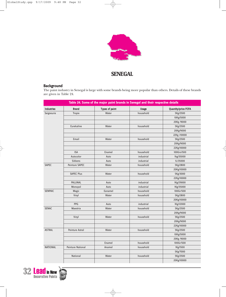

# **SENEGAL**

### **Background**

The paint industry in Senegal is large with some brands being more popular than others. Details of these brands are given in Table 24.

|                   |                   |                       | Table 24. Some of the major paint brands in Senegal and their respective details |                            |
|-------------------|-------------------|-----------------------|----------------------------------------------------------------------------------|----------------------------|
| <b>Industries</b> | <b>Brand</b>      | <b>Types of paint</b> | <b>Usage</b>                                                                     | <b>Quantity/price FCFA</b> |
| Seigneurie        | <b>Tropix</b>     | Water                 | household                                                                        | 5Kg/2500                   |
|                   |                   |                       |                                                                                  | 10Kg/5000                  |
|                   |                   |                       |                                                                                  | 20Kg /9000                 |
|                   | Eurekaline        | Water                 | household                                                                        | 5Kg/2500                   |
|                   |                   |                       |                                                                                  | 20Kg/9000                  |
|                   |                   |                       |                                                                                  | 22Kg /10000                |
|                   | Email             | Water                 | household                                                                        | 5Kg/2500                   |
|                   |                   |                       |                                                                                  | 20Kg/9000                  |
|                   |                   |                       |                                                                                  | 22Kg/10000                 |
|                   | <b>ISA</b>        | Enamel                | household                                                                        | 100Grs/500                 |
|                   | Autocolor         | Auto                  | industrial                                                                       | 1kg/35000                  |
|                   | <b>Sikkens</b>    | Auto                  | industrial                                                                       | 1L/35000                   |
| <b>SAPEC</b>      | Peinture SAPEC    | Water                 | household                                                                        | 5Kg/2800                   |
|                   |                   |                       |                                                                                  | 20Kg/10000                 |
|                   | <b>SAPEC Plus</b> | Water                 | household                                                                        | 5Kg/3000                   |
|                   |                   |                       |                                                                                  | 22Kg/10000                 |
|                   | PALLINAL          | Auto                  | industrial                                                                       | 1Kg/29000                  |
|                   | Monopol           | Auto                  | industrial                                                                       | 1Kg/35000                  |
| <b>SENPAIC</b>    | Magic             | Eanamel               | household                                                                        | 100Gr/500                  |
|                   | Vinyl             | Water                 | household                                                                        | 5Kg/2800                   |
|                   |                   |                       |                                                                                  | 20Kg/10000                 |
|                   | PPG               | Auto                  | industrial                                                                       | 1Kg/12000                  |
| <b>SENAC</b>      | Maestria          | Water                 | household                                                                        | 5Kg/2500                   |
|                   |                   |                       |                                                                                  | 20Kg/9000                  |
|                   | Vinyl             | Water                 | household                                                                        | 5Kg/2500                   |
|                   |                   |                       |                                                                                  | 20Kg/9000                  |
|                   |                   |                       |                                                                                  | 22Kg/10000                 |
| <b>ASTRAL</b>     | Peinture Astral   | Water                 | household                                                                        | 5Kg/2500                   |
|                   |                   |                       |                                                                                  | 10Kg/5000                  |
|                   |                   |                       |                                                                                  | 20Kg /9000                 |
|                   |                   | Enamel                | household                                                                        | 100Gr/500                  |
| <b>NATIONAL</b>   | Peinture National | Anamel                | household                                                                        | 1Kg/1500                   |
|                   |                   |                       |                                                                                  | 5Kg/7000                   |
|                   | National          | Water                 | household                                                                        | 5Kg/2500                   |
|                   |                   |                       |                                                                                  | 20Kg/10000                 |

32 **Lead** in New

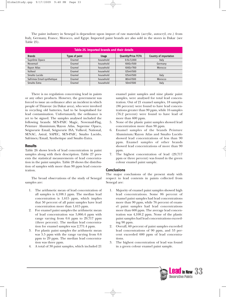The paint industry in Senegal is dependent upon import of raw materials (acrylic, autocryl, etc.) from Italy, Germany, France, Morocco, and Egypt. Imported paint brands are also sold in the stores in Dakar (see Table 25).

| Table 25. Imported brands and their details |                |              |                            |                               |  |  |
|---------------------------------------------|----------------|--------------|----------------------------|-------------------------------|--|--|
| <b>Brands</b>                               | Types of paint | <b>Usage</b> | <b>Quantity/Price FCFA</b> | <b>Country of importation</b> |  |  |
| Suprême Opaco                               | Enamel         | household    | 0.5L/3,000                 | Italy                         |  |  |
| Novemail                                    | Enamel         | household    | 100Gr/500                  | Germany                       |  |  |
| Rayon Atlas                                 | Enamel         | household    | 100Gr/700                  | Morocco                       |  |  |
| Vulkeol                                     | Enamel         | household    | 125ml/500                  |                               |  |  |
| Smalto Lucido                               | Enamel         | household    | 125ml/500                  | Italy                         |  |  |
| Safrimex Email-synthetique                  | Enamel         | household    | 80ml/500                   | Morocco                       |  |  |
| Smalto Extra                                | Enamel         | household    | 50ml/500                   | Italy                         |  |  |

There is no regulation concerning lead in paints or any other products. However, the government was forced to issue an ordinance after an incident in which people of Thiaroye (in Dakar area), who were involved in recycling old batteries, had to be hospitalised for lead contamination. Unfortunately, the ordinance is yet to be signed. The samples analysed included the following brands: SEN-PAIC Magic, Novemail-Flag, Peinture Aluminium/Rayon Atlas, Supreme Opaco, Seigneurie Email, Seigneurie ISA, Vulkeol, National, SENAC, Astral, SAPEC, SEN-PAIC, Smalto Lucido, Safrimex/Email, Synthetique and Smalto Extra.

#### **Results**

Table 26 shows levels of lead concentration in paint samples along with their description. Table 27 presents the statistical measurements of lead concentration in the paint samples. Table 28 shows the distribution of samples with more than 90 ppm lead concentration.

The broad observations of the study of Senegal samples are:

- 1. The arithmetic mean of lead concentration of all samples is 4,108.1 ppm. The median lead concentration is 1,615 ppm, which implies that 50 percent of all paint samples have lead concentration more than 1,615 ppm.
- 2. For enamel paint samples the arithmetic mean of lead concentration was 5,866.4 ppm with range varying from 0.6 ppm to 29,717 ppm (three percent). The median lead concentration for enamel samples was 2,771.4 ppm.
- 3. For plastic paint samples the arithmetic mean was 5.5 ppm with the range varying from 0.6 ppm to 29 ppm. The median lead concentration was three ppm.
- 4. A total of 30 paint samples, which included 21

enamel paint samples and nine plastic paint samples, were analysed for total lead concentration. Out of 21 enamel samples, 18 samples (86 percent) were found to have lead concentrations greater than 90 ppm, while 16 samples (76.2 percent) were found to have lead of more than 600 ppm.

- 5. None of the plastic paint samples showed lead concentration more than 90 ppm.
- 6. Enamel samples of the brands Peinture Aluminium/Rayon Atlas and Smalto Lucido showed lead concentrations of less than 90 ppm. Enamel samples of other brands showed lead concentrations of more than 90 ppm.
- 7. The highest concentration of lead (29,717 ppm or three percent) was found in the green colour enamel paint sample.

#### **Conclusions**

The major conclusions of the present study with respect to lead contents in paints collected from Senegal are:

- 1. Majority of enamel paint samples showed high lead concentrations. Some 86 percent of enamel paint samples had lead concentrations more than 90 ppm, while 76 percent of enamel paint samples had lead concentrations more than 600 ppm. The average lead concentration was 4,108.2 ppm. None of the plastic paint samples had lead concentrations exceeding 90 ppm.
- 2. Overall, 60 percent of paint samples exceeded lead concentrations of 90 ppm, and 53 percent exceeded 600 ppm of lead concentrations.
- 3. The highest concentration of lead was found in a green colour enamel paint sample.

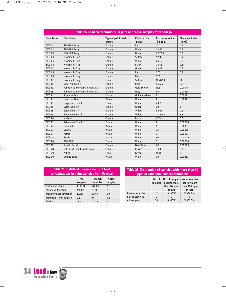| Table 26. Lead concentrations (in ppm and %) in samples from Senegal |                                 |                                   |                                |                              |                            |  |  |
|----------------------------------------------------------------------|---------------------------------|-----------------------------------|--------------------------------|------------------------------|----------------------------|--|--|
| Sample no.                                                           | <b>Paint brand</b>              | Type of paint-plastic /<br>enamel | <b>Colour of the</b><br>paints | Pb concentration<br>(in ppm) | Pb concentration<br>(in %) |  |  |
| <b>SEG 01</b>                                                        | <b>SEN-PAIC Magic</b>           | Enamel                            | Red                            | 3,721                        | 0.4                        |  |  |
| <b>SEG 02</b>                                                        | <b>SEN-PAIC Magic</b>           | Enamel                            | White                          | 2,646.1                      | 0.3                        |  |  |
| <b>SEG 03</b>                                                        | <b>SEN-PAIC Magic</b>           | Enamel                            | Green                          | 2,972.5                      | 0.3                        |  |  |
| <b>SEG 04</b>                                                        | Novemail- Flag                  | Enamel                            | Yellow                         | 9,946                        | 0.9                        |  |  |
| <b>SEG 05</b>                                                        | Novemail- Flag                  | Enamel                            | White                          | 1,597.1                      | 0.2                        |  |  |
| <b>SEG 06</b>                                                        | Novemail- Flag                  | Enamel                            | <b>Black</b>                   | 2,656                        | 0.3                        |  |  |
| <b>SEG 07</b>                                                        | Novemail- Flag                  | Enamel                            | Green                          | 4,638                        | 0.5                        |  |  |
| <b>SEG 08</b>                                                        | Novemail- Flag                  | Enamel                            | Red                            | 2,771.4                      | 0.3                        |  |  |
| <b>SEG 09</b>                                                        | Novemail- Flag                  | Enamel                            | Blue                           | 572                          | 0.1                        |  |  |
| <b>SEG 10</b>                                                        | Novemail- Flag                  | Enamel                            | Yellow                         | 10,282.4                     | 1.0                        |  |  |
| <b>SEG 11</b>                                                        | <b>SEN-PAIC Magic</b>           | Enamel                            | Blue                           | 1,632.2                      | 0.2                        |  |  |
| <b>SEG 12</b>                                                        | Peinture Aluminium/ Rayon Atlas | Enamel                            | Gold colour                    | 15.5                         | 0.00155                    |  |  |
| <b>SEG 13</b>                                                        | Peinture Aluminium/ Rayon Atlas | Enamel                            | Grey                           | 50                           | 0.00498                    |  |  |
| <b>SEG 14</b>                                                        | Supreme Opaco                   | Plastic                           | Golden Yellow                  | $\mathbf{1}$                 | 0.0001                     |  |  |
| <b>SEG 15</b>                                                        | Supreme Opaco                   | Plastic                           | White                          | $\mathbf{1}$                 | 0.0001                     |  |  |
| <b>SEG 16</b>                                                        | Seigneurie Email                | Enamel                            | White                          | 2,135                        | 0.2                        |  |  |
| <b>SEG 17</b>                                                        | Seigneurie ISA                  | Enamel                            | Green                          | 29,717                       | $\overline{3}$             |  |  |
| <b>SEG 18</b>                                                        | Seigneurie ISA                  | Enamel                            | Yellow                         | 5,966                        | 0.6                        |  |  |
| <b>SEG 19</b>                                                        | Seigneurie Email                | Enamel                            | Yellow                         | 24,164.4                     | 2.4                        |  |  |
| <b>SEG 20</b>                                                        | Vulkeol                         | Enamel                            | <b>Black</b>                   | 472.4                        | 0.04                       |  |  |
| <b>SEG 21</b>                                                        | Seigneurie Email                | Plastic                           | White                          | $\mathbf{1}$                 | 0.00006                    |  |  |
| <b>SEG 22</b>                                                        | National                        | Plastic                           | White                          | 5.3                          | 0.00053                    |  |  |
| <b>SEG 23</b>                                                        | <b>SENAC</b>                    | Plastic                           | White                          | 3.1                          | 0.00031                    |  |  |
| <b>SEG 24</b>                                                        | Astral                          | Plastic                           | White                          | 3                            | 0.00027                    |  |  |
| <b>SEG 25</b>                                                        | <b>SAPEC</b>                    | Plastic                           | White                          | 0.6                          | 0.00006                    |  |  |
| <b>SEG 26</b>                                                        | SEN-PAIC                        | Plastic                           | White                          | $\overline{7}$               | 0.00066                    |  |  |
| <b>SEG 27</b>                                                        | Smalto Lucido                   | Enamel                            | Dark Grey                      | 0.6                          | 0.00006                    |  |  |
| <b>SEG 28</b>                                                        | Safrimex/ Email Synthetique     | Enamel                            | <b>Brown</b>                   | 3,098                        | 0.3                        |  |  |
| <b>SEG 29</b>                                                        | Astral                          | Enamel                            | Green                          | 14,143                       | 1.4                        |  |  |
| <b>SEG 30</b>                                                        | Smalto Extra                    | Plastic                           | White                          | 29                           | 0.00287                    |  |  |

#### All Enamel Plastic samples samples samples Arithmetic mean | 4,108.14 | 5,866.4 | 5.5 Standard deviation 7,160.2 7,970 9 Maximum concentration 29,717 29,717 29 **Table 27. Statistical measurements of lead concentrations in paint samples from Senegal**

1,615 2,771.4 3

Minimum concentration 0.6 0.6 0.6 0.6<br>Median 1,615 2,771.4 3

#### **Table 28. Distribution of samples with more than 90 ppm or 600 ppm lead concentrations**

|                 | No. of<br>samples | No. of samples<br>bearing more<br>than 90 ppm | No. of samples<br>bearing more<br>than 600 ppm |
|-----------------|-------------------|-----------------------------------------------|------------------------------------------------|
|                 |                   | of lead                                       | of lead                                        |
| Enamel samples  | 21                | 18 (86%)                                      | 16 (76.2%)                                     |
| Plastic samples | q                 |                                               |                                                |
| All samples     | 30                | 18 (60%)                                      | 16 (53.3%)                                     |

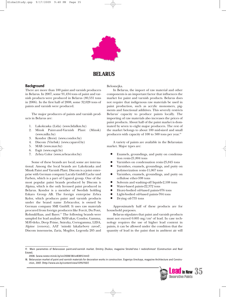

### **BELARUS**

#### **Background**

There are more than 100 paint and varnish producers in Belarus. In 2007, some 91,434 tons of paint and varnish products were produced in Belarus (80,531 tons in 2006). In the first half of 2008, some 32,028 tons of paints and varnish were produced.

The major producers of paints and varnish products in Belarus are:

- 1. Lakokraska (Lida) (www.lidalkm.by)
- 2. Minsk Paint-and-Varnish Plant (Minsk) (www.mlkz.by)
- 3. Kondor (Brest) (www.condor.by)
- 4. Discom (Vitebsk) (www.caparol.by)
- 5. MAB (www.mav.by)
- 6. Esgit (www.esgit.by)
- 7. Zebra Color (www.zebracolor.by)

Some of these brands are local; some are international. Among the local brands are Lakokraska and Minsk Paint and Varnish Plant. Discom is a joint enterprise with German company Lacufa GmbH Lacke und Farben, which is a part of Caparol group. One of the most popular paint brands produced by Discom is Alpina, which is the only licensed paint produced in Belarus. Kondor is a member of Swedish holding Eskaro Group AB. The foreign enterprise Zebra Kolor, which produces paint and varnish products under the brand name Zebracolor, is owned by German company SMI GmbH. It uses raw materials procured from foreign producers like Forcit, Du Pont, Rohm&Haas, and Bayer.17 The following brands were sampled for lead analysis: MAV-akav, Condor, Gamma, MAV-deko, Deep Prime, Sniezka, Cvetogamma, LIDA, Alpine (renova), AAT 'minski lakafarbovy zavod', Discom innenneiss, Zaria, Mogilov, Legenda 205 and

#### Belosnejka.

In Belarus, the import of raw material and other components is an important factor that influences the market for paint and varnish products. Belarus does not require that indigenous raw materials be used in paint production, such as acrylic monomers, pigments and functional additives. This severely restricts Belarus' capacity to produce paints locally. The importing of raw materials also increases the prices of paint products. About half of the paint market is dominated by seven to eight major producers. The rest of the market belongs to about 100 mid-sized and small producers with capacity of 100 to 500 tons per year.<sup>18</sup>

A variety of paints are available in the Belarusian market. Major types are:

- Enamels, groundings, and putty on condensation resin-21,804 tons
- Varnishes on condensation resin-25,845 tons
- Varnishes, enamels, groundings, and putty on polymerization resin-11,067 tons
- Varnishes, enamels, groundings, and putty on cellulose ether-598 tons
- Solvents and washing-off liquids-2,108 tons
- Water-based paints-22,372 tons
- <sup>Q</sup> Heavy-bodied oil-based paints-976 tons
- <sup>Q</sup> Light-bodied oil-based paints-704 tons
- Drying oil-735 tons

Approximately half of these products are for household purposes.

Belarus stipulates that paint and varnish products must not exceed 0.005 mg/cm2 of lead. In case technology requires the use of higher lead content in paints, it can be allowed under the condition that the quantity of lead in the paint dust in ambient air will

<sup>18.</sup> Belarussian market of paint and varnish materials for decoration works in construction. Evgeniya Ureckaya, magazine Architecture and Construction, 2007. (http://www.ais.by/content/view/1295/150/)



<sup>17.</sup> Main parametres of Belarussian paint-and-varnish market. Dmitriy Zhukov, magazine Stroitel'stvo I nedvizhimost' (Construction and Real Estate),

<sup>2008. (</sup>www.nestor.minsk.by/sn/2008/38/sn83815.html)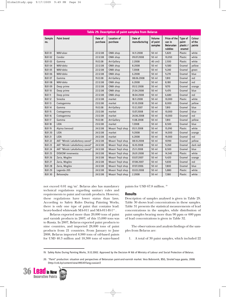|                      | Table 29. Description of paint samples from Belarus |                     |                                |                          |                                      |                                                        |                                          |                            |
|----------------------|-----------------------------------------------------|---------------------|--------------------------------|--------------------------|--------------------------------------|--------------------------------------------------------|------------------------------------------|----------------------------|
| <b>Sample</b><br>no. | <b>Paint brand</b>                                  | Date of<br>purchase | <b>Location of</b><br>purchase | Date of<br>manufacturing | <b>Volume</b><br>of paint<br>samples | Price of the<br>can in<br><b>Belarusian</b><br>rubbles | Type of<br>paint-<br>plastic /<br>enamel | Colour<br>of the<br>paints |
| <b>BLR 01</b>        | MAV-akav                                            | 22.12.08            | OMA shop                       | 14.11.2008               | 50 ml                                | 5,820                                                  | Plastic                                  | white                      |
| <b>BLR 02</b>        | Condor                                              | 22.12.08            | OMA shop                       | 09.07.2008               | 50 ml                                | 10,050                                                 | Plastic                                  | white                      |
| <b>BLR 03</b>        | Gamma                                               | 19.12.08            | Art-Gallery                    | 2.2008                   | 40 cm3                               | 2,930                                                  | Plastic                                  | white                      |
| <b>BLR 04</b>        | MAV-deko                                            | 22.12.08            | OMA shop                       | 8.2008                   | 50 ml                                | 9,580                                                  | Enamel                                   | yellow                     |
| <b>BLR 05</b>        | MAV-deko                                            | 22.12.08            | OMA shop                       | 7.2008                   | 50 ml                                | 9,240                                                  | Enamel                                   | green                      |
| <b>BLR 06</b>        | MAV-deko                                            | 22.12.08            | OMA shop                       | 6.2008                   | 50 ml                                | 9,270                                                  | Enamel                                   | blue                       |
| <b>BLR 07</b>        | Gamma                                               | 19.12.08            | Art-Gallery                    | 08.06.2008               | 50 ml                                | 7,810                                                  | Enamel                                   | red                        |
| <b>BLR 08</b>        | MAV-deko                                            | 22.12.08            | OMA shop                       | 6.2008                   | 50 ml                                | 8,180                                                  | Enamel                                   | red                        |
| <b>BLR 09</b>        | Deep prime                                          | 22.12.08            | OMA shop                       | 05.12.2008               | 50 ml                                | 9270                                                   | Enamel                                   | orange                     |
| <b>BLR 10</b>        | Deep prime                                          | 22.12.08            | OMA shop                       | 21.04.2008               | 50 ml                                | 9,470                                                  | Enamel                                   | blue                       |
| <b>BLR 11</b>        | Deep prime                                          | 22.12.08            | OMA shop                       | 18.04.2008               | 50 ml                                | 6,680                                                  | Enamel                                   | red                        |
| <b>BLR 12</b>        | Sniezka                                             | 22.12.08            | market                         | 18.11.2008               | 50 ml                                | 10,000                                                 | Plastic                                  | white                      |
| <b>BLR 13</b>        | Cvetogamma                                          | 23.12.08            | market                         | 01.10.2008               | 50 ml                                | 8,000                                                  | Enamel                                   | yellow                     |
| <b>BLR 14</b>        | Gamma                                               | 19.12.08            | Art-Gallery                    | 15.12.2007               | 50 ml                                | 7,810                                                  | Enamel                                   | blue                       |
| <b>BLR 15</b>        | Cvetogamma                                          | 23.12.08            | market                         | 13.07.2008               | 50 ml                                | 10,000                                                 | Enamel                                   | blue                       |
| <b>BLR 16</b>        | Cvetogamma                                          | 23.12.08            | market                         | 24.06.2008               | 50 ml                                | 10,000                                                 | Enamel                                   | red                        |
| <b>BLR 17</b>        | Gamma                                               | 19.12.08            | Art-Gallery                    | 11.08.2008               | 50 ml                                | 7,810                                                  | Enamel                                   | yellow                     |
| <b>BLR 18</b>        | <b>LIDA</b>                                         | 23.12.08            | market                         | 7.2008                   | 50 ml                                | 8,500                                                  | Enamel                                   | blue                       |
| <b>BLR 19</b>        | Alpina (renova)                                     | 24.12.08            | Moazri Trejd shop              | 05.11.2008               | 50 ml                                | 15,090                                                 | Plastic                                  | white                      |
| <b>BLR 20</b>        | <b>LIDA</b>                                         | 24.12.08            | market                         | 9.2008                   | 50 ml                                | 14,000                                                 | Enamel                                   | orange                     |
| <b>BLR 21</b>        | <b>LIDA</b>                                         | 24.12.08            | market                         | 6.2008                   | 50 ml                                | 19,000                                                 | Enamel                                   | red                        |
| <b>BLR 22</b>        | AAT "Minski Lakafarbovy zavod"                      | 24.12.08            | Moazri Trejd shop              | 08.10.2008               | 50 ml                                | 10390                                                  | Enamel                                   | yellow                     |
| <b>BLR 23</b>        | AAT "Minski Lakafarbovy zavod"                      | 24.12.08            | Moazri Trejd shop              | 16.10.2008               | 50 ml                                | 9,260                                                  | Enamel                                   | dark red                   |
| <b>BLR 24</b>        | AAT "Minski Lakafarbovy zavod"                      | 24.12.08            | Moazri Trejd shop              | 25.11.2008               | 50 ml                                | 8,500                                                  | Enamel                                   | blue                       |
| <b>BLR 25</b>        | <b>DISKOM</b> innenweiss                            | 24.12.08            | Moazri Trejd shop              | 26.01.2008               | 50 ml                                | 14,540                                                 | Plastic                                  | white                      |
| <b>BLR 26</b>        | Zaria, Mogilev                                      | 24.12.08            | Moazri Trejd shop              | 03.07.2007               | 50 ml                                | 9,420                                                  | Enamel                                   | orange                     |
| <b>BLR 27</b>        | Zaria, Mogilev                                      | 24.12.08            | Moazri Trejd shop              | 07.08.2007               | 50 ml                                | 9,830                                                  | Enamel                                   | red                        |
| <b>BLR 28</b>        | Zaria, Mogilev                                      | 24.12.08            | Moazri Trejd shop              | 07.07.2006               | 50 ml                                | 7,800                                                  | Enamel                                   | blue                       |
| <b>BLR 29</b>        | Legenda 205                                         | 24.12.08            | Moazri Trejd shop              | 03.03.2008               | 50 ml                                | 5,880                                                  | Plastic                                  | white                      |
| <b>BLR 30</b>        | Belosnejka                                          | 24.12.08            | Moazri Trejd shop              | 2.2008                   | 50 ml                                | 7,580                                                  | Plastic                                  | white                      |

not exceed 0.01 mg/m3 . Belarus also has mandatory technical regulations regarding sanitary rules and requirements to paint and varnish products. However, these regulations have lower status than laws. According to Safety Rules During Painting Works, there is only one type of paint that contains lead: heavy-bodied whitewash MA-011 and MA-011-H-1<sup>19</sup>.

Belarus exported more than 20,000 tons of paint and varnish products in 2007, of this 15,000 tons was to Russia. In 2007, Belarus exported paint products to nine countries, and imported 28,000 tons of paint products from 21 countries. From January to June 2008, Belarus imported 8,900 tons of oil-based paints for USD 40.3 million and 18,300 tons of water-based

paints for USD 67.8 million. 20

#### **Results**

Description of samples analysed is given in Table 29. Table 30 shows lead concentrations in these samples. Table 31 presents the statistical measurements of lead concentrations in the samples, while distribution of paint samples bearing more than 90 ppm or 600 ppm of lead concentrations is given in Table 32.

The observations and analysis findings of the samples from Belarus are:

1. A total of 30 paint samples, which included 22

<sup>20. &</sup>quot;Paint" production: situation and perspectives of Belarusian paint-and-varnish market. Vera Bobrovnik, BSG, Stroitel'naya gazeta, 2008. (http://cnb.by/content/view/495/47/lang,russian/)



<sup>19.</sup> Safety Rules During Painting Works, 31.12.2002. Approved by the Decision # 166 of Ministry of Labour and Social Protection of Belarus.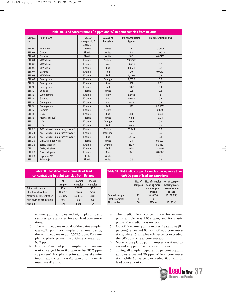|               | Table 30. Lead concentrations (in ppm and %) in paint samples from Belarus |                                      |                         |                           |                      |  |  |  |
|---------------|----------------------------------------------------------------------------|--------------------------------------|-------------------------|---------------------------|----------------------|--|--|--|
| Sample<br>no. | <b>Paint brand</b>                                                         | Type of<br>paint-plastic /<br>enamel | Colour of<br>the paints | Pb concentration<br>(ppm) | Pb concentration (%) |  |  |  |
| <b>BLR 01</b> | MAV-akav                                                                   | <b>Plastic</b>                       | White                   | $\mathbf{1}$              | 0.0001               |  |  |  |
| <b>BLR 02</b> | Condor                                                                     | Plastic                              | White                   | 2.4                       | 0.00024              |  |  |  |
| <b>BLR 03</b> | Gamma                                                                      | Plastic                              | White                   | 18.3                      | 0.00183              |  |  |  |
| <b>BLR 04</b> | MAV-deko                                                                   | Enamel                               | Yellow                  | 59,387.2                  | 6                    |  |  |  |
| <b>BLR 05</b> | MAV-deko                                                                   | Enamel                               | Green                   | 1,650.5                   | 0.2                  |  |  |  |
| <b>BLR 06</b> | MAV-deko                                                                   | Enamel                               | Blue                    | 1,992.1                   | 0.2                  |  |  |  |
| <b>BLR 07</b> | Gamma                                                                      | Enamel                               | Red                     | 20                        | 0.00197              |  |  |  |
| <b>BLR 08</b> | MAV-deko                                                                   | Enamel                               | Red                     | 2.470.1                   | 0.2                  |  |  |  |
| <b>BLR 09</b> | Deep prime                                                                 | Enamel                               | Orange                  | 2,637.2                   | 0.3                  |  |  |  |
| <b>BLR 10</b> | Deep prime                                                                 | Enamel                               | Blue                    | 161                       | 0.02                 |  |  |  |
| <b>BLR 11</b> | Deep prime                                                                 | Enamel                               | Red                     | 3708                      | 0.4                  |  |  |  |
| <b>BLR 12</b> | Sniezka                                                                    | Plastic                              | White                   | 0.6                       | 0.6                  |  |  |  |
| <b>BLR 13</b> | Cvetogamma                                                                 | Enamel                               | Yellow                  | 2,8468                    | $\overline{3}$       |  |  |  |
| <b>BLR 14</b> | Gamma                                                                      | Enamel                               | Blue                    | 1,974.3                   | 0.2                  |  |  |  |
| <b>BLR 15</b> | Cvetogamma                                                                 | Enamel                               | Blue                    | 1705                      | 0.2                  |  |  |  |
| <b>BLR 16</b> | Cvetogamma                                                                 | Enamel                               | Red                     | 57.2                      | 0.00572              |  |  |  |
| <b>BLR 17</b> | Gamma                                                                      | Enamel                               | Yellow                  | 6                         | 0.0006               |  |  |  |
| <b>BLR 18</b> | <b>LIDA</b>                                                                | Enamel                               | Blue                    | 386                       | 0.04                 |  |  |  |
| <b>BLR 19</b> | Alpina (renova)                                                            | Plastic                              | White                   | 418.1                     | 0.04                 |  |  |  |
| <b>BLR 20</b> | <b>LIDA</b>                                                                | Enamel                               | Orange                  | 4019                      | 0.4                  |  |  |  |
| <b>BLR 21</b> | <b>LIDA</b>                                                                | Enamel                               | Red                     | 679.5                     | 0.1                  |  |  |  |
| <b>BLR 22</b> | AAT "Minski Lakafarbovy zavod"                                             | Enamel                               | Yellow                  | 6984.4                    | 0.7                  |  |  |  |
| <b>BLR 23</b> | AAT "Minski Lakafarbovy zavod"                                             | Enamel                               | Dark red                | 0.6                       | 0.6                  |  |  |  |
| <b>BLR 24</b> | AAT "Minski Lakafarbovy zavod"                                             | Enamel                               | Blue                    | 3,797.5                   | 0.4                  |  |  |  |
| <b>BLR 25</b> | <b>DISKOM</b> innenweiss                                                   | Plastic                              | White                   | 24                        | 0.00237              |  |  |  |
| <b>BLR 26</b> | Zaria, Mogilev                                                             | Enamel                               | Orange                  | 462.4                     | 0.04624              |  |  |  |
| <b>BLR 27</b> | Zaria, Mogilev                                                             | Enamel                               | Red                     | 889                       | 0.0889               |  |  |  |
| <b>BLR 28</b> | Zaria, Mogilev                                                             | Enamel                               | Blue                    | 812.3                     | 0.08123              |  |  |  |
| <b>BLR 29</b> | Legenda 205                                                                | Plastic                              | White                   | 0.6                       | 0.6                  |  |  |  |
| <b>BLR 30</b> | Belosnejka                                                                 | Plastic                              | White                   | 0.6                       | 0.6                  |  |  |  |

| Table 31. Statistical measurements of lead   |  |  |
|----------------------------------------------|--|--|
| concentrations in paint samples from Belarus |  |  |

|                       | All<br>samples | <b>Enamel</b><br>samples | <b>Plastic</b><br>samples |
|-----------------------|----------------|--------------------------|---------------------------|
| Arithmetic mean       | 4091           | 5,557.5                  | 58.2                      |
| Standard deviation    | 11,681.5       | 13,416                   | 145.7                     |
| Maximum concentration | 59,387.2       | 59,387.2                 | 418.1                     |
| Minimum concentration | 0.6            | 0.6                      | 0.6                       |
| Median                | 571            | 1.678                    | 1.7                       |

enamel paint samples and eight plastic paint samples, were analysed for total lead concentrations.

- 2. The arithmetic mean of all of the paint samples was 4,091 ppm. For samples of enamel paints, the arithmetic mean was 5,557.5 ppm. For samples of plastic paints, the arithmetic mean was 58.2 ppm
- 3. In case of enamel paint samples, lead concentration ranged from 0.6 ppm to 59,387.2 ppm (6 percent). For plastic paint samples, the minimum lead content was 0.6 ppm and the maximum was 418.1 ppm.

| Table 32. Distribution of paint samples having more than |                                   |  |
|----------------------------------------------------------|-----------------------------------|--|
|                                                          | 90/600 ppm of lead concentrations |  |

|                        | No. of<br>samples | No. of samples<br>bearing more<br>than 90 ppm<br>of lead | No. of samples<br>bearing more<br>than 600 ppm<br>of lead |
|------------------------|-------------------|----------------------------------------------------------|-----------------------------------------------------------|
| Enamel samples         | 22                | 18 (82%)                                                 | 15 (68.2%)                                                |
| <b>Plastic samples</b> | 8                 | $\Omega$                                                 | $\cup$                                                    |
| All samples            | 30                | 18(60%)                                                  | 15 (50%)                                                  |

- 4. The median lead concentration for enamel paint samples was 1,678 ppm, and for plastic paints, the median was two ppm.
- 5. Out of 22 enamel paint samples, 18 samples (82 percent) exceeded 90 ppm of lead concentrations, while 15 samples (68 percent) exceeded the 600 ppm of lead concentration.
- 6. None of the plastic paint samples was found to exceed 90 ppm of lead concentrations.
- 7. Taking all samples together, 60 percent of paint samples exceeded 90 ppm of lead concentration, while 50 percent exceeded 600 ppm of lead concentration.

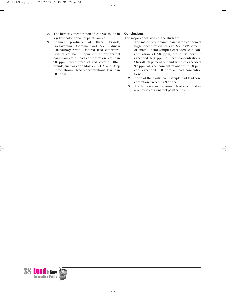- 8. The highest concentration of lead was found in a yellow colour enamel paint sample.
- 9. Enamel products of three brands, Cvetogamma, Gamma, and AAT "Minski Lakafarbovy zavod", showed lead concentrations of less than 90 ppm. Out of four enamel paint samples of lead concentration less than 90 ppm, three were of red colour. Other brands, such as Zaria Mogilev, LIDA, and Deep Prime showed lead concentrations less than 600 ppm.

#### **Conclusions**

The major conclusions of the study are:

- 1. The majority of enamel paint samples showed high concentrations of lead. Some 82 percent of enamel paint samples exceeded lead concentration of 90 ppm, while 68 percent exceeded 600 ppm of lead concentrations. Overall, 60 percent of paint samples exceeded 90 ppm of lead concentrations while 50 percent exceeded 600 ppm of lead concentrations.
- 2. None of the plastic paint sample had lead concentration exceeding 90 ppm.
- 3. The highest concentration of lead was found in a yellow colour enamel paint sample.

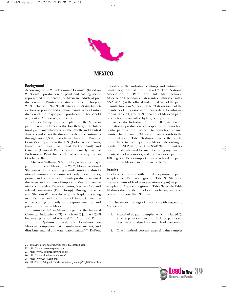

### **MEXICO**

#### **Background**

According to the 2004 Economic Census<sup>21</sup> (based on 2003 data), production of paint and coating sector represented 0.52 percent of Mexican industrial production value. Paints and coatings production for year 2003 included 1,094,598,000 litres and 58,764.44 metric tons of powder and ceramic paints. A brief introduction of the major paint producers in household segment in Mexico is given below.

Comex Group is a major player in the Mexican paint market.<sup>22</sup> Comex is the fourth largest architectural paint manufacturer in the North and Central America and serves the diverse needs of the customers through over 3,300 retails from Canada to Panama. Comex's companies in the U.S. (Color, Wheel Paints, Frazee Paint, Kwal Paint, and Parker Paint) and Canada (General Paint) were formerly part of Professional Paint Inc. (PPI), which it acquired in October 2004.

Sherwin Williams, S.A. de C.V., is another major paint industry in Mexico. In 2007, Monterrey-based Sherwin Williams, a leading manufacturer and distributor of automotive after-market body fillers, putties, primer, and other vehicle refinish products, acquired the assets and business of important Mexican companies such as Flex Recubrimientos, S.A de C.V., and related companies (Flex Group). During the same year, Sherwin Williams also acquired Napko, a leading manufacturer and distributor of industrial maintenance coatings primarily for the government oil and power industries in Mexico.

Pintusayer ICI in Mexico is part of the Imperial Chemical Industries (ICI), which on 2 January 2008 became part of AkzoNobel.<sup>23</sup> Optimus Paints (Pinturas Optimus), Berel, and Contimex are Mexican companies that manufacture, market, and distribute enamel and water-based paints.<sup>24, 25</sup> DuPont paints segment of the market.<sup>26</sup> The National Association of Paint and Ink Manufacturers (Asociación Nacional de Fabricantes Pinturas y Tintas, ANAFAPYT) is the official and united face of the paint manufacturers in Mexico. Table 33 shows some of the members of this association. According to information in Table 34, around 97 percent of Mexican paint production is controlled by large companies. As per the Industrial Census of 2003, 42 percent

operates in the industrial coatings and automotive

of national production corresponds to household plastic paints and 19 percent to household enamel paints. The remaining 39 percent corresponds to the industrial sector. Table 36 shows some of the regulations related to lead in paints in Mexico. According to regulation NOM-015/1-SCFI/SSA-1994, the limit for lead in materials used for manufacturing toys, instruments, school accessories, and graphic device paints is 100 mg/kg. Export-import figures related to paint industries in Mexico are given in Table 37.

#### **Results**

Lead concentrations with the descriptions of paint samples from Mexico are given in Table 38. Statistical measurements of lead concentrations (ppm) in paint samples for Mexico are given in Table 39, while Table 40 shows the distribution of samples having lead concentrations more than 90 ppm.

The major findings of the study with respect to Mexico are:

- 1. A total of 30 paint samples, which included 20 enamel paint samples and 10 plastic paint samples, were analysed for total lead concentrations.
- 2. One hundred percent enamel paint samples



<sup>21.</sup> http://me.economia.gob.mx:81/site/482/default.aspx

<sup>22.</sup> http://www.thecomexgroup.com/

<sup>23.</sup> http://www.icipaints.com/index.jsp

<sup>24.</sup> http://www.elpoderdelcolor.com/

<sup>25.</sup> http://www.berel.com.mx/

<sup>26.</sup> http://www2.dupont.com/Performance\_Coatings/es\_MX/index.html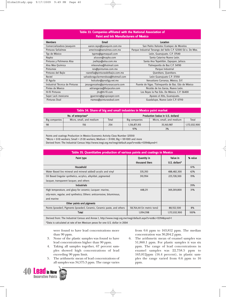#### **Table 33. Companies affiliated with the National Association of Paint and Ink Manufacturers of Mexico**

| <b>Members</b>                 | Email                              | Location                                                     |  |  |  |  |
|--------------------------------|------------------------------------|--------------------------------------------------------------|--|--|--|--|
| Comercializadora Jasaquim      | aaron.rayo@jasaquim.com.mx         | San Pedro Xalostoc Ecatepec de Morelos                       |  |  |  |  |
| Pinturas Señalmex              | amerinos@senalmex.com.mx           | Parque Industrial Tenango del Valle C.P. 52300 Ed o. De Mex. |  |  |  |  |
| Typ de México                  | typmx@gamaquali.com                | León, Guanajuato. C.P. 37540                                 |  |  |  |  |
| Napko                          | alcocer@napko.com                  | Santa Catarina Nuevo León.                                   |  |  |  |  |
| Pinturas y Polimeros Alsa      | jvallejo@alsa.com.mx               | Santa Ana Tepetitlán, Zapopan, Jalisco.                      |  |  |  |  |
| Alva Mex Química               | mleonalva@hotmail.com              | Tlalnepantla de Baz C.P. 54190                               |  |  |  |  |
| Pintumex                       | isis@pintumex.com.mx               | Parque Industrial                                            |  |  |  |  |
| Pinturas del Bajío             | rzanella@pinturasdelbajio.com.mx   | Querétaro, Querétaro.                                        |  |  |  |  |
| Rectel                         | salvadoraguilarmendoza@hotmail.com | León Guanajuato C.P. 37350                                   |  |  |  |  |
| El Aguila                      | holcolor@prodigy.net.mx            | Venustiano Carranza, México, D.F.                            |  |  |  |  |
| Industrial Técnica de Pinturas | jesusgonzalez@pinturasacuario.com  | Puente de Vigas. Tlalnepantla de Baz. Edo de México          |  |  |  |  |
| Pintex de Mexico               | adriangarza@forjacolor.com         | Nicolás de los Garza, Nuevo León.                            |  |  |  |  |
| Hi-fil Pinturas                | jhc@hi-fil.com                     | Los Reyes la Paz Edo. De México. C.P. 56400                  |  |  |  |  |
| Sayer Lack mexicana            | jguerrero@gruposayer.com           | Apaseo el Alto, Guanajuato.                                  |  |  |  |  |
| Pinturas Doal                  | rtamez@pinturasdoal.com            | Guadalupe, Nuevo León C.P. 67110                             |  |  |  |  |

| Table 34. Share of big and small industries in Mexico paint market |                          |       |               |                                    |               |  |  |  |
|--------------------------------------------------------------------|--------------------------|-------|---------------|------------------------------------|---------------|--|--|--|
|                                                                    | No. of enterprises*      |       |               | Production (value in U.S. dollars) |               |  |  |  |
| Big companies                                                      | Micro, small, and medium | Total | Big companies | Micro, small, and medium           | Total         |  |  |  |
| 98                                                                 | 156                      | 254   | 1,136,871,913 | 35,160,987                         | 1,172,032,900 |  |  |  |
|                                                                    |                          |       | 97%           | 3%                                 |               |  |  |  |

Paints and coatings Production in Mexico Economic Activity Class Number 325510 \*Micro = 0-10 workers; Small = 21-30 workers; Medium = 31-100; Big = 101-1001 and more

Derived from: The Industrial Census http://www.inegi.org.mx/inegi/default.aspx?s=est&c=13394&pred=1

| Table 35. Quantitative production of various paints and coatings in Mexico |                            |               |         |  |  |  |
|----------------------------------------------------------------------------|----------------------------|---------------|---------|--|--|--|
| Paint type                                                                 | <b>Quantity in</b>         | Value in      | % value |  |  |  |
|                                                                            | thousand liters            | U.S. dollars* |         |  |  |  |
| <b>Household</b>                                                           |                            |               | 61%     |  |  |  |
| Water Based (no mineral and mineral added) acrylic and vinyl               | 335,393                    | 488,482,300   | 42%     |  |  |  |
| Oil Based (regular synthetics, acrylics, alkyildal, pigmented              | 310,994                    | 225,728,300   | 19%     |  |  |  |
| lacquer, transparent lacquer, and others                                   |                            |               |         |  |  |  |
| <b>Industrials</b>                                                         |                            |               | 39%     |  |  |  |
| High temperature, and glazy for ceramic; Lacquer: marine,                  | 448,211                    | 369,269,800   | 31%     |  |  |  |
| oily-resin, regular, and synthetics; Others: anticorrosive, bituminous,    |                            |               |         |  |  |  |
| and marine                                                                 |                            |               |         |  |  |  |
| Other paints and pigments                                                  |                            |               |         |  |  |  |
| Paints (powder), Pigments (powder), Ceramic, Ceramic paste, and others     | 58,764,44 (in metric tons) | 88,552,500    | 8%      |  |  |  |
| Total                                                                      | 1.094.598                  | 1,172,032,900 | 100%    |  |  |  |

Derived from: The Industrial Census and Annex 1, http://www.inegi.org.mx/inegi/default.aspx?s=est&c=13394&pred=1 \*Data is calculated at rate of ten Mexican pesos for one U.S. dollar in 2004

were found to have lead concentrations more than 90 ppm.

- 3. None of the plastic samples was found to have lead concentrations higher than 90 ppm.
- 4. Taking all samples together, 67 percent samples showed high concentrations of lead exceeding 90 ppm limit.
- 5. The arithmetic mean of lead concentrations of all samples was 34,575.3 ppm. The range varies



from 0.6 ppm to 163,812 ppm. The median concentration was 30,204.2 ppm.

6. The arithmetic mean of enamel samples was 51,860.1 ppm. For plastic samples it was six ppm. The range of lead concentrations in enamel samples was 22,758.5 ppm to 163,812ppm (16.4 percent), in plastic samples the range varied from 0.6 ppm to 16 ppm.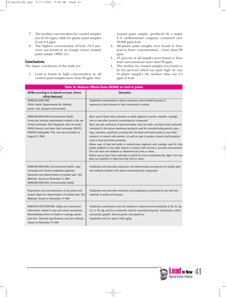- 7. The median concentration for enamel samples was 45,614 ppm, while for plastic paint samples it was 4.4 ppm.
- 8. The highest concentration of lead (16.4 percent) was found in an orange colour enamel paint sample (MXC-11).

#### **Conclusions**

The major conclusions of the study are:

1. Lead is found in high concentration in all enamel paint samples-more than 90 ppm. One enamel paint sample, produced by a major U.S. multinational company, contained over 30,000 ppm lead.

- 2. All plastic paint samples were found to have lead in lower concentrations – lower than 90 ppm.
- 3. 67 percent of all samples were found to have lead concentrations more than 90 ppm.
- 4. The median for enamel samples was found to be five percent, which was quite high. In case of plastic samples, the median value was 4.4 ppm of lead.

| Table 36. Mexican Official Rules (NOMs) on lead in paints                                                                                                                                                                                                                   |                                                                                                                                                                                                                                                                                                                                                                                                                                                                                                                                                                                                                                                                                                                                                                                                                                                                                                                                       |  |  |  |
|-----------------------------------------------------------------------------------------------------------------------------------------------------------------------------------------------------------------------------------------------------------------------------|---------------------------------------------------------------------------------------------------------------------------------------------------------------------------------------------------------------------------------------------------------------------------------------------------------------------------------------------------------------------------------------------------------------------------------------------------------------------------------------------------------------------------------------------------------------------------------------------------------------------------------------------------------------------------------------------------------------------------------------------------------------------------------------------------------------------------------------------------------------------------------------------------------------------------------------|--|--|--|
| (NOMs according to its Spanish acronym, Norma<br>official Mexicana)                                                                                                                                                                                                         | <b>Description</b>                                                                                                                                                                                                                                                                                                                                                                                                                                                                                                                                                                                                                                                                                                                                                                                                                                                                                                                    |  |  |  |
| NOM-003-SSA1-1993                                                                                                                                                                                                                                                           | Establishes requirement to advise consumers about health hazards of                                                                                                                                                                                                                                                                                                                                                                                                                                                                                                                                                                                                                                                                                                                                                                                                                                                                   |  |  |  |
| Public health. Requirements for labeling<br>paints, inks, lacquers and enamels.                                                                                                                                                                                             | exposure to lead solvents or lead compounds in paints.                                                                                                                                                                                                                                                                                                                                                                                                                                                                                                                                                                                                                                                                                                                                                                                                                                                                                |  |  |  |
| NOM-004-SSA1-1993 Environmental Health.<br>Limits and sanitary requirements related to the use<br>of lead monoxide, PbO (litargirio), lead red oxide,<br>Pb3O4 (minio), and basic lead carbonate 2PbCO3<br>Pb(OH)2 (albayalde). This rule was amended on<br>August 12, 2004 | Bans uses of basic lead carbonate as white pigment in paints, enamels, coatings,<br>inks or any other products containing this compound.<br>Bans use and commerce of lead monoxide, lead red oxide, and basic lead carbonate<br>contained in the above mentioned products used for manufacturing pencils, pens,<br>toys, cosmetics, plasticine, printing inks, furniture and home paints or any other<br>products in contact with persons, as well as uses in pottery, ceramic and porcelain<br>used in food and drink processes.<br>Allows uses of lead red oxide in anticorrosive pigments and coatings used for ship<br>paints, platform or any other objects in contact with marine or corrosive environment.<br>This rule does not establish or determine any limit or value.<br>Allows uses of basic lead carbonate in paints for mirror manufacturing. Again, this rule<br>does not establish or determine any limit or value. |  |  |  |
| NOM-005-SSA1-1993, Environmental Health. Lead<br>chromate and chromo molybdate pigments.<br>Extraction and determination of soluble lead. Test<br>Methods. Issued on November 17, 1994<br>NOM-006-SSA1-1993, Environmental Health.                                          | Establishes and describes extraction and determination procedures for soluble lead<br>test methods related to the above-mentioned lead compounds.                                                                                                                                                                                                                                                                                                                                                                                                                                                                                                                                                                                                                                                                                                                                                                                     |  |  |  |
| Preparation and acid extractions of dry paints and<br>lacquer layers for determination of soluble lead. Test<br>Methods. Issued on November 17, 1994                                                                                                                        | Establishes and describes extraction and preparation procedures for dry lead test<br>methods in paints and lacquer.                                                                                                                                                                                                                                                                                                                                                                                                                                                                                                                                                                                                                                                                                                                                                                                                                   |  |  |  |
| NOM-015/1-SCFI/SSA-1994. Safety and commercial<br>information related to toys and school accessories.<br>Bioavailability limits of metals in coatings, paints<br>and inks. Chemical specifications and test methods.<br>Issued on November 17, 1994                         | Establishes specification and test methods to determine bio-availability of Sb, As, Ba,<br>Cd, Cr, Pb, Hg, and Se in materials used for manufacturing toys, instruments, school<br>accessories, graphic devices paints, and plasticine.<br>Establishes limit for lead at 100 mg/kg.                                                                                                                                                                                                                                                                                                                                                                                                                                                                                                                                                                                                                                                   |  |  |  |

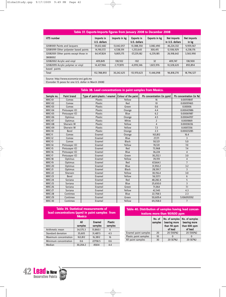| Table 37. Exports-Imports figures from January 2008 to December 2008 |                            |               |                                   |                      |                                |                      |  |
|----------------------------------------------------------------------|----------------------------|---------------|-----------------------------------|----------------------|--------------------------------|----------------------|--|
| <b>HTS</b> number                                                    | Imports in<br>U.S. dollars | Imports in kg | <b>Exports in</b><br>U.S. dollars | <b>Exports in kg</b> | Net imports<br>in U.S. dollars | Net imports<br>in kg |  |
| 32081001 Paints and lacquers                                         | 59,612,682                 | 13,042,057    | $-13,388,350$                     | 3,082,490            | 46,224,332                     | 9,959,567            |  |
| 32081099 Other polyester based paints                                | 14,190,572                 | 4,538,591     | $-1,253,643$                      | 300.415              | 12,936,929                     | 4,238,176            |  |
| 32082001 Other paints except those in<br>3808002                     | 64.147.824                 | 9,805,175     | $-37.229.182$                     | 6.239.185            | 26.918.642                     | 3,565,990            |  |
| 32082002 Acrylic and vinyl                                           | 409.849                    | 138,932       | $-102$                            | 32                   | 409,747                        | 138.900              |  |
| 32082099 Acrylic polymer or vinyl                                    | 14,427,966                 | 2,717,870     | $-4,099,346$                      | 1.823.976            | 10,328,620                     | 893,894              |  |
| based paints                                                         |                            |               |                                   |                      |                                |                      |  |
| Total                                                                | 152,788,893                | 30.242.625    | $-55.970.623$                     | 11.446.098           | 96.818.270                     | 18,796,527           |  |

Source: http://www.economia-snci.gob.mx

(Consider 15 pesos for one U.S. dollar in March 2008)

| Table 38. Lead concentrations in paint samples from Mexico. |                    |                                                    |              |                           |                         |
|-------------------------------------------------------------|--------------------|----------------------------------------------------|--------------|---------------------------|-------------------------|
| Sample no.                                                  | <b>Paint brand</b> | Type of paint-plastic / enamel Colour of the paint |              | Pb concentration (in ppm) | Pb concentration (in %) |
| <b>MXC-01</b>                                               | Comex              | Plastic                                            | Yellow       | 16                        | 0.00159847              |
| <b>MXC-02</b>                                               | Comex              | Plastic                                            | Red          | 10                        | 0.00097465              |
| <b>MXC-03</b>                                               | Comex              | Plastic                                            | Green        | 0.6                       | 0.00006                 |
| MXC-04                                                      | Pintusayer ICI     | Plastic                                            | Orange       | 4.4                       | 0.00043986              |
| <b>MXC-05</b>                                               | Pintusayer ICI     | Plastic                                            | Blue         | 6.2                       | 0.00061987              |
| <b>MXC-06</b>                                               | Optimus            | Plastic                                            | Orange       | 4.5                       | 0.00044707              |
| <b>MXC-07</b>                                               | Optimus            | Plastic                                            | White        | $\overline{2}$            | 0.0001869               |
| <b>MXC-08</b>                                               | Sherwin W          | Plastic                                            | Yellow       | $\overline{4}$            | 0.00036136              |
| <b>MXC-09</b>                                               | Sherwin W          | Plastic                                            | Yellow       | 7.3                       | 0.0007256               |
| <b>MXC-10</b>                                               | Berel              | Plastic                                            | Orange       | 2.3                       | 0.00023285              |
| <b>MXC-11</b>                                               | Comex              | Enamel                                             | Orange       | 163,812                   | 16.4                    |
| <b>MXC-12</b>                                               | Comex              | Enamel                                             | Blue         | 27,171                    | 3                       |
| <b>MXC-13</b>                                               | Comex              | Enamel                                             | <b>Black</b> | 50,521                    | 5.0                     |
| <b>MXC-14</b>                                               | Pintusayer ICI     | Enamel                                             | Yellow       | 70,531                    | 7.0                     |
| <b>MXC-15</b>                                               | Pintusayer ICI     | Enamel                                             | Red          | 73,968                    | 7.4                     |
| <b>MXC-16</b>                                               | Pintusayer ICI     | Enamel                                             | Blue         | 36,224                    | $\overline{4}$          |
| <b>MXC-17</b>                                               | Pintusayer ICI     | Enamel                                             | Green        | 30,252.1                  | 3.0                     |
| <b>MXC-18</b>                                               | Optimus            | Enamel                                             | Yellow       | 39,159                    | 4                       |
| <b>MXC-19</b>                                               | Optimus            | Enamel                                             | Red          | 67.664.1                  | $\overline{7}$          |
| <b>MXC-20</b>                                               | Optimus            | Enamel                                             | Blue         | 31,950.2                  | 3.2                     |
| <b>MXC-21</b>                                               | Optimus            | Enamel                                             | <b>Black</b> | 28,591.7                  | 3                       |
| <b>MXC-22</b>                                               | Sherwin            | Enamel                                             | Yellow       | 30,156.4                  | 3.0                     |
| <b>MXC-23</b>                                               | Berel              | Enamel                                             | Yellow       | 56,537.1                  | 6                       |
| <b>MXC-24</b>                                               | Soriana            | Enamel                                             | Red          | 48,282.4                  | 5                       |
| <b>MXC-25</b>                                               | Soriana            | Enamel                                             | Blue         | 25,650.0                  | 3                       |
| <b>MXC-26</b>                                               | Soriana            | Enamel                                             | Green        | 71,064                    | 7.1                     |
| <b>MXC-27</b>                                               | Soriana            | Enamel                                             | Yellow       | 42,945                    | 4.3                     |
| <b>MXC-28</b>                                               | Contimex           | Enamel                                             | Blue         | 22,758.5                  | 2.3                     |
| <b>MXC-29</b>                                               | Contimex           | Enamel                                             | Green        | 50,609.4                  | 5.106093592             |
| <b>MXC-30</b>                                               | Contimex           | Enamel                                             | Yellow       | 69,358.0                  | $\overline{7}$          |

 $\oplus$ 

| <b>Table 39. Statistical measurements of</b><br>lead concentrations (ppm) in paint samples from<br><b>Mexico</b> |                |                          |                           |  |  |
|------------------------------------------------------------------------------------------------------------------|----------------|--------------------------|---------------------------|--|--|
|                                                                                                                  | All<br>samples | <b>Enamel</b><br>samples | <b>Plastic</b><br>samples |  |  |
| Arithmetic mean                                                                                                  | 34,575.3       | 51,860.1                 | 6                         |  |  |
| Standard deviation                                                                                               | 35,605         | 31,487.5                 | 4.5                       |  |  |
| Maximum concentration                                                                                            | 163,812        | 16,3812                  | 16                        |  |  |
| Minimum concentration                                                                                            | 0.6            | 22758.5                  | 0.6                       |  |  |
| Median                                                                                                           | 30.204.2       | 45614                    | 4.4                       |  |  |

#### **Table 40. Distribution of samples having lead concentrations more than 90/600 ppm**

|                       | No. of<br>samples | No. of samples<br>bearing more<br>than 90 ppm<br>of lead | No. of samples<br>bearing more<br>than 600 ppm<br>of lead |
|-----------------------|-------------------|----------------------------------------------------------|-----------------------------------------------------------|
| Enamel paint samples  | 20                | 20 (100%)                                                | 20 (100%)                                                 |
| Plastic paint samples | 10                |                                                          |                                                           |
| All paint samples     | 30                | 20 (67%)                                                 | 20 (67%)                                                  |

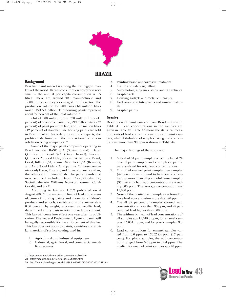

### **BRAZIL**

#### **Background**

Brazilian paint market is among the five biggest markets of the world. Its own consumption however is very small – the annual per capita consumption is 5.5 litres. There are around 300 manufacturers and 17,000 direct employees engaged in this sector. The production volume for 2008 was 864 million litres worth USD 5.4 billion. The housing paints represent about 77 percent of the total volume. <sup>27</sup>

Out of 800 million litres, 328 million litres (41 percent) of economic paint line, 299 million litres (37 percent) of paint premium line, and 173 million litres (12 percent) of standard line housing paints are sold in Brazil market. According to industry experts, the profits are declining, and the trend is towards the consolidation of big companies. <sup>28</sup>

Some of the major paint companies operating in Brazil include: BASF S/A (Suvinil brand); Dacar Quimica do Brasil S/A (Dacar brand); Eucatex Quimica e Mineral Ltda.; Sherwin Williams do Brasil; Coral; Killing S/A; Renner Sayerlack S/A (Renner); and AkzoNobel Ltda. (Coral paints). Of these companies, only Dacar, Eucatex, and Lukscolor are Brazilian, the others are multinationals. The paint brands that were sampled included Dacar, Coral/Coralamine, Suvinil, Sherwin Williams Novacor, Renner, Coral-Coralit, and 3 RM.

According to law no. 11762 published on 4 August 2008,<sup>29</sup> the maximum limit of lead in the manufacture of housing paints and those for children's products and schools, varnish and similar materials is 0.06 percent by weight, expressed as metallic lead, determined in dry basis or total non-volatile content. This law will come into effect one year after its publication. The Federal Environment Agency, Ibama, will be legally responsible for the enforcement of this law. This law does not apply to paints, varnishes and similar materials of surface coating used in:

- 1. Agricultural and industrial equipment
- 2. Industrial, agricultural, and commercial metallic structures
- 3. Painting-based anticorrosive treatment
- 4. Traffic and safety signalling
- 5. Auto-motors, airplanes, ships, and rail vehicles
- 6. Graphic arts
- 7. Housing gadgets and metallic furniture
- 8. Exclusive-use artistic paints and similar materials
- 9. Graphic paints

#### **Results**

Description of paint samples from Brazil is given in Table 41. Lead concentrations in the samples are given in Table 42. Table 43 shows the statistical measurements of lead concentrations in Brazil paint samples, while distribution of samples having lead concentrations more than 90 ppm is shown in Table 44.

The major findings of the study are:

- 1. A total of 31 paint samples, which included 24 enamel paint samples and seven plastic paints, were analysed for total lead concentrations.
- 2. Out of 24 enamel paint samples, ten samples (42 percent) were found to have lead concentrations more than 90 ppm, while nine samples (37 percent) had lead concentrations exceeding 600 ppm. The average concentration was 15,000 ppm.
- 3. None of the plastic paint samples was found to have lead concentration more than 90 ppm.
- 4. Overall 32 percent of samples showed lead concentrations more than 90 ppm, and 28 percent had lead higher than 600 ppm.
- 5. The arithmetic mean of lead concentrations of all samples was 11,618.3 ppm; for enamel samples, 15,004.1 ppm; and for plastic samples, 9.8 ppm.
- 6. Lead concentrations for enamel samples varied from 0.6 ppm to 170,258.4 ppm (17 percent). For plastic samples, the lead concentrations ranged from 0.6 ppm to 14.4 ppm. The median for enamel paint samples was 40 ppm.



<sup>27.</sup> http://www.abrafati.com.br/bn\_conteudo.asp?cod=94

<sup>28.</sup> http://maquina.com.br/revista/qd469/tintas.html

<sup>29.</sup> http://www.planalto.gov.br/ccivil\_03/\_Ato2007-2010/2008/Lei/L11762.htm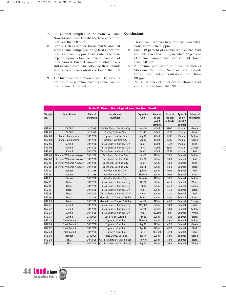- 7. All enamel samples of Sherwin Williams Novacor and Coral-Coralit had lead concentrations less than 90 ppm.
- 8. Brands such as Renner, Dacar, and Suvinil had some enamel samples showing lead concentrations less than 90 ppm. Lead contents seem to depend upon colour of enamel samples of these brands. Enamel samples of white, black and in some cases blue colour of these brands showed lead concentrations lower than 90 ppm.
- 9. The highest concentration of lead (17 percent) was found in a yellow colour enamel sample from Renner (BRZ 14).

#### **Conclusions**

- 1. Plastic paint samples have low lead concentrations, lower than 90 ppm
- 2. Some 42 percent of enamel samples had lead contents lower than 90 ppm, while 37 percent of enamel samples had lead contents lower than 600 ppm.
- 3. All enamel paint samples of brands, such as Sherwin Williams Novacor and Coral-Coralit, had lead concentrations lower than 90 ppm.
- 4. Not all samples of other brands showed lead concentrations lower than 90 ppm.

| Table 41. Description of paint samples from Brazil |                                 |                     |                                 |                                  |                                      |                                 |                                         |                         |
|----------------------------------------------------|---------------------------------|---------------------|---------------------------------|----------------------------------|--------------------------------------|---------------------------------|-----------------------------------------|-------------------------|
| Sample<br>no.                                      | <b>Paint brand</b>              | Date of<br>purchase | <b>Location of</b><br>purchase  | <b>Expiration</b><br><b>Date</b> | Volume<br>of the<br>paint<br>samples | Price of<br>the can<br>in Reals | Type of<br>paint-<br>plastic/<br>enamel | Colour of<br>the paints |
| <b>BRZ 01</b>                                      | <b>DACAR</b>                    | 31/12/08            | Rei das Tintas, Curitiba City   | Nov-10                           | 80ml                                 | 17.00                           | Plastic                                 | Green                   |
| <b>BRZ 02</b>                                      | <b>DACAR</b>                    | 31/12/08            | Darka, Curitiba City            | $Oct-10$                         | 80ml                                 | 10.00                           | Plastic                                 | Blue                    |
| <b>BRZ 03</b>                                      | Coral / Coralamine              | 30/12/08            | Diprotec Curitiba City          | Sep-10                           | 80ml                                 | 15.00                           | Plastic                                 | Yellow                  |
| <b>BRZ 04</b>                                      | Coral / Coralamine              | 30/12/08            | Diprotec, Curitiba City         | Sep-10                           | 80ml                                 | 15.00                           | <b>Plastic</b>                          | Green                   |
| <b>BRZ 05</b>                                      | Suvinil                         | 30/12/08            | Tintas Guarize, Curitiba City   | Sep-11                           | 80 <sub>ml</sub>                     | 13.12                           | <b>Plastic</b>                          | Blue                    |
| <b>BRZ 06</b>                                      | Suvinil                         | 30/12/08            | Tintas Guarize, Curitiba City   | $Jul-11$                         | 80ml                                 | 15.64                           | Plastic                                 | Orange                  |
| <b>BRZ 07</b>                                      | Suvinil                         | 30/12/08            | Tintas Guarize, Curitiba City   | Sep-11                           | 80ml                                 | 17.33                           | Plastic                                 | Red                     |
| <b>BRZ 08</b>                                      | <b>Sherwin Williams Novacor</b> | 30/12/08            | Buchholtz, Curitiba City        | $Jan-10$                         | 225ml                                | 5.00                            | Enamel                                  | Yellow                  |
| <b>BRZ 09</b>                                      | Sherwin Williams Novacor        | 30/12/08            | Buchholtz, Curitiba City        | Apr-11                           | 225ml                                | 5.00                            | Enamel                                  | Red                     |
| <b>BRZ 10</b>                                      | Sherwin Williams Novacor        | 30/12/08            | Buchholtz, Curitiba City        | Feb-11                           | 225ml                                | 5.00                            | Enamel                                  | Blue                    |
| <b>BRZ 11</b>                                      | <b>Sherwin Williams Novacor</b> | 30/12/08            | Buchholtz, Curitiba City        | $ un-11 $                        | 225ml                                | 5.00                            | Enamel                                  | <b>Black</b>            |
| <b>BRZ 12</b>                                      | Renner                          | 18/12/08            | Condor, Curitiba City           | $ ul-10$                         | 225ml                                | 6.92                            | Enamel                                  | Red                     |
| <b>BRZ 13</b>                                      | Renner                          | 18/12/08            | Condor, Curitiba City           | Nov-09                           | 225ml                                | 6.92                            | Enamel                                  | Blue                    |
| <b>BRZ 14</b>                                      | Renner                          | 30/12/08            | Condor, Curitiba City           | May-10                           | 225ml                                | 5.00                            | Enamel                                  | Yellow                  |
| <b>BRZ 15</b>                                      | Dacar                           | 30/12/08            | Tintas Guarize, Curitiba City   | Oct-11                           | 225ml                                | 4.30                            | Enamel                                  | White                   |
| <b>BRZ 16</b>                                      | Dacar                           | 30/12/08            | Tintas Guarize, Curitiba City   | Feb-12                           | 225ml                                | 4.30                            | Enamel                                  | Green                   |
| <b>BRZ 17</b>                                      | Dacar                           | 30/12/08            | Tintas Guarize, Curitiba City   | Aug-11                           | 225ml                                | 4.30                            | Enamel                                  | <b>Black</b>            |
| <b>BRZ 18</b>                                      | Dacar                           | 30/12/08            | Tintas Guarize, Curitiba City   | Nov-11                           | 225ml                                | 4.30                            | Enamel                                  | Red                     |
| <b>BRZ 19</b>                                      | Dacar                           | 23/12/08            | Mercado das Tintas, Curitiba    | Feb-11                           | 225ml                                | 4.00                            | Enamel                                  | Blue                    |
| <b>BRZ 20</b>                                      | Dacar                           | 23/12/08            | Mercado das Tintas, Curitiba    | <b>Nov-10</b>                    | 225ml                                | 4.00                            | Enamel                                  | Orange                  |
| <b>BRZ 21</b>                                      | Suvinil                         | 30/12/08            | Tintas Guarize, Curitiba City   | May-09                           | 225ml                                | 5.60                            | Enamel                                  | Red                     |
| <b>BRZ 22</b>                                      | Suvinil                         | 30/12/08            | Tintas Guarize, Curitiba City   | <b>Nov-10</b>                    | 225m                                 | 5.60                            | Enamel                                  | Yellow                  |
| <b>BRZ 23</b>                                      | Suvinil                         | 30/12/08            | Tintas Guarize, Curitiba City   | Aug-11                           | 112,5ml                              | 3.10                            | Enamel                                  | White                   |
| <b>BRZ 24</b>                                      | Suvinil                         | 2/1/2009            | Casa Haisi, Curitiba            | $Jan-12$                         | 225ml                                | 8.25                            | Enamel                                  | <b>Black</b>            |
| <b>BRZ 25</b>                                      | Coral-Coralit                   | 30/12/08            | Diprotec, Curitiba              | Nov-09                           | 225ml                                | 4.90                            | Enamel                                  | Yellow                  |
| <b>BRZ 26</b>                                      | Coral-Coralit                   | 30/12/08            | Diprotec, Curitiba              | Sep-10                           | 225ml                                | 4.90                            | Enamel                                  | Green                   |
| <b>BRZ 27</b>                                      | Coral-Coralit                   | 30/12/08            | Diprotec, Curitiba              | Apr-12                           | 225ml                                | 4.90                            | Enamel                                  | <b>Black</b>            |
| <b>BRZ 28</b>                                      | Coral-Coralit                   | 30/12/08            | Diprotec, Curitiba              | $ ul-11 $                        | 112,5ml                              | 3.90                            | Enamel                                  | Red                     |
| <b>BRZ 29</b>                                      | Renner                          | 2/1/2009            | Tintas Darka, Curitiba          | $ ul-10$                         | 225ml                                | 5.50                            | Enamel                                  | Green                   |
| <b>BRZ 30</b>                                      | 3RM                             | 30/12/08            | Cia. Brasileira de Distribuiçao | Nov-10                           | 225ml                                | 5.99                            | Enamel                                  | <b>Black</b>            |
| <b>BRZ 31</b>                                      | 3RM                             | 30/12/08            | Cia. Brasileira de Distribuição | Sep-10                           | 225ml                                | 5.99                            | Enamel                                  | White                   |

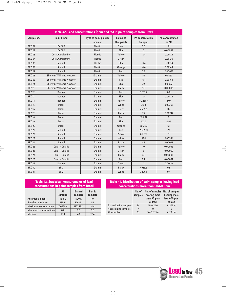| Table 42. Lead concentrations (ppm and %) in paint samples from Brazil |                                 |                        |              |                  |                         |  |
|------------------------------------------------------------------------|---------------------------------|------------------------|--------------|------------------|-------------------------|--|
| Sample no.                                                             | <b>Paint brand</b>              | Type of paint-plastic/ | Colour of    | Pb concentration | <b>Pb</b> concentration |  |
|                                                                        |                                 | enamel                 | the paints   | (in ppm)         | (in %)                  |  |
| <b>BRZ 01</b>                                                          | <b>DACAR</b>                    | <b>Plastic</b>         | Green        | 0.6              | $\overline{0}$          |  |
| <b>BRZ 02</b>                                                          | <b>DACAR</b>                    | Plastic                | Blue         | $\overline{7}$   | 0.00068                 |  |
| <b>BRZ 03</b>                                                          | Coral/Coralamine                | <b>Plastic</b>         | Yellow       | 12.4             | 0.00124                 |  |
| <b>BRZ 04</b>                                                          | Coral/Coralamine                | <b>Plastic</b>         | Green        | 14               | 0.00136                 |  |
| <b>BRZ 05</b>                                                          | Suvinil                         | Plastic                | Blue         | 13.4             | 0.00134                 |  |
| <b>BRZ 06</b>                                                          | Suvinil                         | Plastic                | Orange       | 14.4             | 0.00144                 |  |
| <b>BRZ 07</b>                                                          | Suvinil                         | <b>Plastic</b>         | Red          | 7.5              | 0.00075                 |  |
| <b>BRZ 08</b>                                                          | <b>Sherwin Williams Novacor</b> | Enamel                 | Yellow       | 53               | 0.0053                  |  |
| <b>BRZ 09</b>                                                          | Sherwin Williams Novacor        | Enamel                 | Red          | 16.4             | 0.00164                 |  |
| <b>BRZ 10</b>                                                          | <b>Sherwin Williams Novacor</b> | Enamel                 | Blue         | 22               | 0.0022                  |  |
| <b>BRZ 11</b>                                                          | <b>Sherwin Williams Novacor</b> | Enamel                 | <b>Black</b> | 9.5              | 0.00095                 |  |
| <b>BRZ 12</b>                                                          | Renner                          | Enamel                 | Red          | 5,633.2          | 0.6                     |  |
| <b>BRZ 13</b>                                                          | Renner                          | Enamel                 | Blue         | 12.4             | 0.00124                 |  |
| <b>BRZ 14</b>                                                          | Renner                          | Enamel                 | Yellow       | 170,258.4        | 17.0                    |  |
| <b>BRZ 15</b>                                                          | Dacar                           | Enamel                 | White        | 26.3             | 0.00263                 |  |
| <b>BRZ 16</b>                                                          | Dacar                           | Enamel                 | Green        | 7,665.5          | 0.7                     |  |
| <b>BRZ 17</b>                                                          | Dacar                           | Enamel                 | <b>Black</b> | 25               | 0.00247                 |  |
| <b>BRZ 18</b>                                                          | Dacar                           | Enamel                 | Red          | 19,081           | $\overline{z}$          |  |
| <b>BRZ 19</b>                                                          | Dacar                           | Enamel                 | Blue         | 573.2            | 0.05                    |  |
| <b>BRZ 20</b>                                                          | Dacar                           | Enamel                 | Orange       | 60,713.1         | 6.1                     |  |
| <b>BRZ 21</b>                                                          | Suvinil                         | Enamel                 | Red          | 20,957.1         | 2.1                     |  |
| <b>BRZ 22</b>                                                          | Suvinil                         | Enamel                 | Yellow       | 66,126           | $\overline{7}$          |  |
| <b>BRZ 23</b>                                                          | Suvinil                         | Enamel                 | White        | 55.4             | 0.00554                 |  |
| <b>BRZ 24</b>                                                          | Suvinil                         | Enamel                 | <b>Black</b> | 4.3              | 0.00043                 |  |
| <b>BRZ 25</b>                                                          | Coral - Coralit                 | Enamel                 | Yellow       | 10 <sup>10</sup> | 0.00096                 |  |
| <b>BRZ 26</b>                                                          | Coral - Coralit                 | Enamel                 | Green        | 6                | 0.00059                 |  |
| <b>BRZ 27</b>                                                          | Coral - Coralit                 | Enamel                 | <b>Black</b> | 0.6              | 0.00006                 |  |
| <b>BRZ 28</b>                                                          | Coral - Coralit                 | Enamel                 | Red          | 8.2              | 0.00082                 |  |
| <b>BRZ 29</b>                                                          | Renner                          | Enamel                 | Green        | 12               | 0.00119                 |  |
| <b>BRZ 30</b>                                                          | 3RM                             | Enamel                 | <b>Black</b> | 4935.5           | 0.5                     |  |
| <b>BRZ 31</b>                                                          | 3RM                             | Enamel                 | White        | 3896.1           | 0.4                     |  |

 $\overline{\varphi}$ 

 $\rightarrow$ 

| <b>Table 43. Statistical measurements of lead</b><br>concentrations in paint samples from Brazil |                |                          |                           |  |  |  |
|--------------------------------------------------------------------------------------------------|----------------|--------------------------|---------------------------|--|--|--|
|                                                                                                  | All<br>samples | <b>Enamel</b><br>samples | <b>Plastic</b><br>samples |  |  |  |
| Arithmetic mean                                                                                  | 11618.3        | 15004.1                  | 10                        |  |  |  |
| Standard deviation                                                                               | 33564          | 37635.1                  | 5.1                       |  |  |  |
| Maximum concentration                                                                            | 170258.4       | 170258.4                 | 14.4                      |  |  |  |
| Minimum concentrations<br>0.6<br>0.6<br>0.6                                                      |                |                          |                           |  |  |  |
| Median                                                                                           | 16.4           | 40                       | 12.4                      |  |  |  |

 $\rightarrow$ 

| Table 44. Distribution of paint samples having lead<br>concentrations more than 90/600 pm |                   |                                                          |                                                           |  |
|-------------------------------------------------------------------------------------------|-------------------|----------------------------------------------------------|-----------------------------------------------------------|--|
|                                                                                           | No. of<br>samples | No. of samples<br>bearing more<br>than 90 ppm<br>of lead | No. of samples<br>bearing more<br>than 600 ppm<br>of lead |  |
| Enamel paint samples                                                                      | 24                | 10 (42%)                                                 | 9(37.5%)                                                  |  |
| Plastic paint samples                                                                     |                   |                                                          |                                                           |  |
| All samples                                                                               | 31                | 10 (32.2%)                                               | 9(28.1%)                                                  |  |

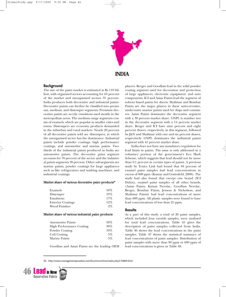

### **INDIA**

#### **Background**

The size of the paint market is estimated at Rs 110 billion, with organized sectors accounting for 65 percent of the market and unorganised sectors 35 percent. India produces both decorative and industrial paints. Decorative paints can further be classified into premium, medium, and distemper segments. Premium decorative paints are acrylic emulsions used mostly in the metropolitan areas. The medium range segments consist of enamels, which are popular in smaller cities and towns. Distempers are economy products demanded in the suburban and rural markets. Nearly 20 percent of all decorative paints sold are distempers, in which the unorganised sector has the dominance. Industrial paints include powder coatings, high performance coatings, and automotive and marine paints. Twothirds of the industrial paints produced in India are automotive paints. The decorative paint segment accounts for 70 percent of the sector and the industrial paints segments 30 percent. Other sub-segments are marine paints, powder coatings for large appliances such as like refrigerators and washing machines, and industrial coatings.

#### Market share of various decorative paint products<sup>30</sup>

| Enamels                  | $50\%$ |
|--------------------------|--------|
| Distemper                | 19%    |
| Emulsions                | 17%    |
| <b>Exterior Coatings</b> | 12%    |
| <b>Wood Finishes</b>     | 9%     |

#### Market share of various industrial paint products

| <b>Automotive Paints</b>        | 50% |
|---------------------------------|-----|
| <b>High Performance Coating</b> | 30% |
| <b>Powder Coating</b>           | 10% |
| Coil Coating                    | 5%  |
| <b>Marine Paints</b>            | 5%  |
|                                 |     |

Goodlass and Asian Paints are the leading OEM

players. Berger and Goodlass lead in the solid powder coating segment used for decoration and protection of large appliances, electronic equipment, and auto components. ICI and Asian Paints lead the segment of solvent based paints for sheets. Shalimar and Bombay Paints are the major players in these anti-corrosive, underwater marine paints used for ships and containers. Asian Paints dominates the decorative segment with a 38 percent market share. GNPL is number two in the decorative segment with a 14 percent market share. Berger and ICI have nine percent and eight percent shares, respectively, in this segment, followed by J&N and Shalimar with one and six percent shares, respectively. GNPL dominates the industrial paints segment with 41 percent market share.

India does not have any mandatory regulation for lead limits in paints. The issue is only addressed in a voluntary portion of the government's Eco Mark Scheme, which suggests that lead should not be more than 0.1 percent in certain types of paints. A previous study by Toxics Link had found that 84 percent of enamel paint samples had lead concentrations in excess of 600 ppm (Kumar and Gottesfeld, 2008). The study had also found that except one brand (ICI Dulux), enamel paint samples of all other brands, (Asian Paints, Kansai Nerolac, Goodlass Nerolac, Berger, Bombay Paints, Jenson & Nicholson, and Shalimar Paints) had lead concentrations of more than 600 ppm. All plastic samples were found to have lead concentrations of less than 25 ppm.

#### **Results**

As a part of this study, a total of 26 paint samples, which included four varnish samples, were analysed for total lead concentrations. Table 45 gives the description of paint samples collected from India. Table 46 shows the lead concentrations in the paint samples. Table 47 shows the statistical summary of lead concentrations of paint samples. Distribution of paint samples with more than 90 ppm or 600 ppm of lead concentrations is given in Table 48.

30. http://www.managementparadise.com/forums/archive/index.php/t-72869.html

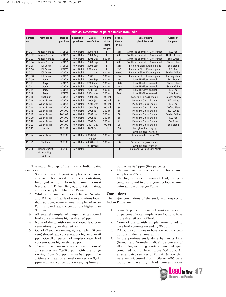| Table 45. Description of paint samples from India |                                             |                     |                         |                        |                                      |                               |                                  |                                |
|---------------------------------------------------|---------------------------------------------|---------------------|-------------------------|------------------------|--------------------------------------|-------------------------------|----------------------------------|--------------------------------|
| <b>Sample</b><br>no.                              | <b>Paint brand</b>                          | Date of<br>purchase | Location of<br>purchase | Date of<br>manufacture | Volume<br>of the<br>paint<br>samples | Price of<br>the can<br>in Rs. | Type of paint-<br>plastic/enamel | <b>Colour of</b><br>the paints |
| <b>IND 01</b>                                     | Kansai Nerolac                              | 15/01/09            | New Delhi               | 2008 Aug               | 1 <sup>1</sup>                       | 237                           | Synthetic Enamel Hi-Gloss finish | P.O. Red                       |
| <b>IND 02</b>                                     | Kansai Nerolac                              | 15/01/09            | New Delhi               | 2008 Aug               | 1 <sup>1</sup>                       | 208                           | Synthetic Enamel Hi-Gloss finish | N. Bus Green                   |
| <b>IND 03</b>                                     | Kansai Nerolac                              | 15/01/09            | New Delhi               | 2008 Oct               | 500 ml                               | 112                           | Synthetic Enamel Hi-Gloss finish | <b>Brill White</b>             |
| <b>IND 04</b>                                     | Kansai Nerolac                              | 15/01/09            | New Delhi               | 2008 Sep               | 1 <sup>1</sup>                       | 208                           | Synthetic Enamel Hi-Gloss finish | Oxford Blue                    |
| <b>IND 05</b>                                     | <b>ICI Dulux</b>                            | 15/01/09            | New Delhi               | 2008 Sep               | 1 <sup>1</sup>                       | 247                           | Premium Gloss Enamel paint       | <b>Bus Green</b>               |
| <b>IND 06</b>                                     | <b>ICI Dulux</b>                            | 15/01/09            | New Delhi               | 2008 Mar               | 1 <sup>1</sup>                       | 192                           | Premium Gloss Enamel paint       | P.O. Red                       |
| <b>IND 07</b>                                     | <b>ICI Dulux</b>                            | 15/01/09            | New Delhi               | 2008 Mar               | 500 ml                               | 95.60                         | Premium Gloss Enamel paint       | Golden Yellow                  |
| <b>IND 08</b>                                     | <b>ICI Dulux</b>                            | 15/01/09            | New Delhi               | 2008 Oct               | 500 ml                               | 116                           | Premium Gloss Enamel paint       | <b>Blazing white</b>           |
| <b>IND 09</b>                                     | Berger                                      | 15/01/09            | New Delhi               | 2008 Sep               | 500 ml                               | 116.4                         | Luxol Hi-Gloss enamel            | <b>Bus Green</b>               |
| <b>IND 10</b>                                     | Berger                                      | 15/01/09            | New Delhi               | 2008 Mar               | 500 ml                               | 88.8                          | Luxol Hi-Gloss enamel            | Oxford Blue                    |
| <b>IND 11</b>                                     | Berger                                      | 15/01/09            | New Delhi               | 2008 Aug               | 500 ml                               | 101.4                         | Luxol Hi-Gloss enamel            | Snow White                     |
| <b>IND 12</b>                                     | Berger                                      | 15/01/09            | New Delhi               | 2008 Jun               | 500 ml                               | 110.9                         | Luxol Hi-Gloss enamel            | P.O. Red                       |
| <b>IND 13</b>                                     | Berger                                      | 15/01/09            | New Delhi               | 2008 May               | 500 ml                               | 96.6                          | Luxol Hi-Gloss enamel            | G Yellow                       |
| <b>IND 14</b>                                     | Shalimar                                    | 15/01/09            | New Delhi               | 2008 Sep               | 100 ml                               | 31                            | Superlac Hi-gloss enamel         | Golden Yellow                  |
| <b>IND 15</b>                                     | <b>Asian Paints</b>                         | 15/01/09            | New Delhi               | 2008 Jul               | 100 ml                               | 33                            | Premium Gloss Enamel             | BLZ. White                     |
| <b>IND 16</b>                                     | <b>Asian Paints</b>                         | 15/01/09            | New Delhi               | 2008 Oct               | 100 ml                               | 35                            | Premium Gloss Enamel             | P.O. Red                       |
| <b>IND 17</b>                                     | <b>Asian Paints</b>                         | 15/01/09            | New Delhi               | 2008 Aug               | 100 ml                               | 35                            | Premium Gloss Enamel             | Oxford Blue                    |
| <b>IND 18</b>                                     | <b>Asian Paints</b>                         | 20/1/09             | New Delhi               | 2008 Jul               | 200 ml                               | 58                            | Premium Gloss Enamel             | BLZ. White                     |
| <b>IND 19</b>                                     | <b>Asian Paints</b>                         | 20/1/09             | New Delhi               | 2008 Jun               | 200 ml                               | 58                            | Premium Gloss Enamel             | Golden Yellow                  |
| <b>IND 20</b>                                     | <b>Asian Paints</b>                         | 20/1/09             | New Delhi               | 2008 Jul               | 200 ml                               | 59                            | Premium Gloss Enamel             | P.O. Red                       |
| <b>IND 21</b>                                     | <b>Asian Paints</b>                         | 20/1/09             | New Delhi               | 2008 Oct               | 200 ml                               | 61                            | Premium Gloss Enamel             | OX Blue                        |
| <b>IND 22</b>                                     | <b>Asian Paints</b>                         | 20/1/09             | New Delhi               | 2008 May               | 100 ml                               | 29                            | Premium Gloss Enamel             | <b>Bus Green</b>               |
| <b>IND 23</b>                                     | <b>Nerolac</b>                              | 26/2/09             | New Delhi               | 2007-Oct               | 1 <sub>L</sub>                       | 170                           | Full gloss hard drying           |                                |
|                                                   |                                             |                     |                         |                        |                                      |                               | synthetic clear varnish          |                                |
| <b>IND 24</b>                                     | <b>Asian Paints</b>                         | 26/2/09             | New Delhi               | 2008-Oct B.            | 500 ml                               | 103                           | Clear sunthetic Enamel VA        |                                |
|                                                   |                                             |                     |                         | No. 174                |                                      |                               |                                  |                                |
| <b>IND 25</b>                                     | Shalimar                                    | 26/2/09             | <b>New Delhi</b>        | 2008-Feb B.            | 500 ml                               | 80                            | Superlac Hi-gloss enamel         |                                |
|                                                   |                                             |                     |                         | No. SL9538             |                                      |                               | Synthetic clear Varnish          |                                |
| <b>IND 26</b>                                     | Honda 29/110,<br>Vishwas Nagar,<br>Delhi-32 | 26/2/09             | New Delhi               |                        | 1 <sub>L</sub>                       | 90                            | Pale Copal Varnish City Paints   |                                |

The major findings of the study of Indian paint samples are:

- 1. Some 26 enamel paint samples, which were analysed for total lead concentration, belonged to four brands, namely Kansai Nerolac, ICI Dulux, Berger, and Asian Paints, and one sample of Shalimar Paints.
- 2. While all enamel samples of Kansai Nerolac and ICI Dulux had lead concentrations lower than 90 ppm, some enamel samples of Asian Paints showed lead concentrations higher than 90 ppm.
- 3. All enamel samples of Berger Paints showed lead concentrations higher than 90 ppm.
- 4. None of the varnish sample showed lead concentrations higher than 90 ppm.
- 5. Out of 22 enamel samples, eight samples (36 percent) showed lead concentrations higher than 90 ppm. Overall 31 percent of samples showed lead concentrations higher than 90 ppm.
- 6. The arithmetic mean of lead concentrations of all samples was 7,966.3 ppm with the range varying from 0.6 ppm to 49,593 ppm. The arithmetic mean of enamel samples was 9,411 ppm with lead concentration ranging from 8.1

ppm to 49,593 ppm (five percent)

- 7. The median lead concentration for enamel samples was 25 ppm.
- 8. The highest concentration of lead, five percent, was found in a bus green colour enamel paint sample of Berger Paints.

#### **Conclusions**

The major conclusions of the study with respect to Indian Paints are:

- 1. Some 36 percent of enamel paint samples and 31 percent of total samples were found to have more than 90 ppm of lead.
- 2. None of the varnish samples were found to have lead contents exceeding 90 ppm.
- 3. ICI Dulux continues to have low lead concentrations in their enamel paints.
- 4. In the previous study done by Toxics Link (Kumar and Gottesfeld, 2008), 38 percent of all samples, including plastic and enamel types, contained lead at levels above 600 ppm. All enamel paint samples of Kansai Nerolac that were manufactured from 2003 to 2005 were found to have high lead concentrations

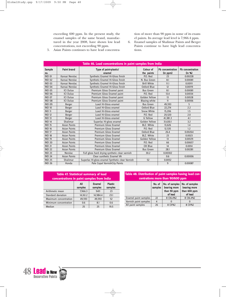exceeding 600 ppm. In the present study, the enamel samples of the same brand, manufactured in the year 2008, have shown low lead concentrations, not exceeding 90 ppm.

tion of more than 90 ppm in some of its enamel paints. Its average lead level is 7,966.4 ppm.

- 6. Enamel samples of Shalimar Paints and Berger Paints continue to have high lead concentrations.
- 5. Asian Paints continues to have lead concentra-

| Table 46. Lead concentrations in paint samples from India |                     |                                                  |                         |                                     |                                   |  |  |
|-----------------------------------------------------------|---------------------|--------------------------------------------------|-------------------------|-------------------------------------|-----------------------------------|--|--|
| <b>Sample</b><br>no.                                      | <b>Paint brand</b>  | Type of paint-plastic/<br>enamel                 | Colour of<br>the paints | <b>Ph</b> concentration<br>(in ppm) | <b>Pb</b> concentration<br>(in %) |  |  |
| <b>IND 01</b>                                             | Kansai Nerolac      | Synthetic Enamel Hi-Gloss finish                 | P.O. Red                | 23                                  | 0.00228                           |  |  |
| <b>IND 02</b>                                             | Kansai Nerolac      | Synthetic Enamel Hi-Gloss finish                 | N. Bus Green            | 8.1                                 | 0.00081                           |  |  |
| <b>IND 03</b>                                             | Kansai Nerolac      | Synthetic Enamel Hi-Gloss finish                 | <b>Brill White</b>      | 11.1                                | 0.00111                           |  |  |
| <b>IND 04</b>                                             | Kansai Nerolac      | Synthetic Enamel Hi-Gloss finish                 | Oxford Blue             | 12                                  | 0.00119                           |  |  |
| <b>IND 05</b>                                             | <b>ICI Dulux</b>    | Premium Gloss Enamel paint                       | <b>Bus Green</b>        | 8.1                                 | 0.00081                           |  |  |
| <b>IND 06</b>                                             | <b>ICI Dulux</b>    | Premium Gloss Enamel paint                       | P.O. Red                | 13.4                                | 0.00134                           |  |  |
| <b>IND 07</b>                                             | <b>ICI Dulux</b>    | Premium Gloss Enamel paint                       | Golden Yellow           | 13                                  | 0.00128                           |  |  |
| <b>IND 08</b>                                             | <b>ICI Dulux</b>    | Premium Gloss Enamel paint                       | <b>Blazing white</b>    | 11                                  | 0.00106                           |  |  |
| <b>IND 09</b>                                             | Berger              | Luxol Hi-Gloss enamel                            | <b>Bus Green</b>        | 49.593                              | 5                                 |  |  |
| <b>IND 10</b>                                             | Berger              | Luxol Hi-Gloss enamel                            | Oxford Blue             | 22,274                              | 2.2                               |  |  |
| <b>IND 11</b>                                             | Berger              | Luxol Hi-Gloss enamel                            | Snow White              | 15,206                              | 1.5                               |  |  |
| <b>IND 12</b>                                             | Berger              | Luxol Hi-Gloss enamel                            | P.O. Red                | 20,520                              | 2.0                               |  |  |
| <b>IND 13</b>                                             | Berger              | Luxol Hi-Gloss enamel                            | G Yellow                | 41,381.3                            | 4.1                               |  |  |
| <b>IND 14</b>                                             | Shalimar            | Superlac Hi-gloss enamel                         | Golden Yellow           | 31,630.1                            | 3.2                               |  |  |
| <b>IND 15</b>                                             | <b>Asian Paints</b> | Premium Gloss Enamel                             | <b>BLZ. White</b>       | 13,626                              | 1.4                               |  |  |
| <b>IND 16</b>                                             | <b>Asian Paints</b> | Premium Gloss Enamel                             | P.O. Red                | 12,535                              | 1.2                               |  |  |
| <b>IND 17</b>                                             | <b>Asian Paints</b> | Premium Gloss Enamel                             | Oxford Blue             | 26.4                                | 0.00264                           |  |  |
| <b>IND 18</b>                                             | <b>Asian Paints</b> | Premium Gloss Enamel                             | <b>BLZ.</b> White       | 23                                  | 0.0023                            |  |  |
| <b>IND 19</b>                                             | <b>Asian Paints</b> | Premium Gloss Enamel                             | Golden Yellow           | 13                                  | 0.00129                           |  |  |
| <b>IND 20</b>                                             | <b>Asian Paints</b> | Premium Gloss Enamel                             | P.O. Red                | 66                                  | 0.00657                           |  |  |
| <b>IND 21</b>                                             | <b>Asian Paints</b> | Premium Gloss Enamel                             | OX Blue                 | 14                                  | 0.0014                            |  |  |
| <b>IND 22</b>                                             | <b>Asian Paints</b> | Premium Gloss Enamel                             | <b>Bus Green</b>        | 28.1                                | 0.00281                           |  |  |
| <b>IND 23</b>                                             | Nerolac             | Full gloss hard drying synthetic clear varnish   | 30.2                    | 0.00302                             |                                   |  |  |
| <b>IND 24</b>                                             | <b>Asian Paints</b> | Clear sunthetic Enamel VA                        |                         | 0.6                                 | 0.00006                           |  |  |
| <b>IND 25</b>                                             | Shalimar            | Superlac Hi-gloss enamel Synthetic clear Varnish | 52                      | 0.0052                              |                                   |  |  |
| <b>IND 26</b>                                             | Honda               | Pale Copal VarnishCity Paints                    |                         | 9                                   | 0.00087                           |  |  |

#### All Enamel Plastic<br>samples samples samples samples Arithmetic mean 7,966.3 9411 23 Standard deviation 14,161.2 14,984.4 23.1 Maximum concentration | 49,593 | 49,593 | 52 **Table 47. Statistical summary of lead concentrations in paint samples from India**

Minimum concentration | 0.6 | 8.1 | 0.6 Median 25 25 25 19.5

#### **Table 48. Distribution of paint samples having lead concentrations more than 90/600 ppm**

|                       | No. of<br>samples | No. of samples<br>bearing more<br>than 90 ppm<br>of lead | No. of samples<br>bearing more<br>than 600 ppm<br>of lead |
|-----------------------|-------------------|----------------------------------------------------------|-----------------------------------------------------------|
| Enamel paint samples  | 22                | 8 (36.4%)                                                | 8 (36.4%)                                                 |
| Varnish paint samples |                   |                                                          |                                                           |
| All paint samples     | 26                | 8(31%)                                                   | 8(31%)                                                    |

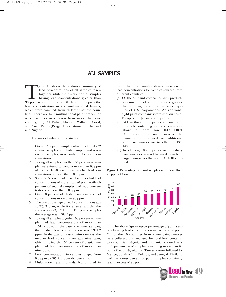# **ALL SAMPLES**

Table 49 shows the statistical summary of<br>
lead concentrations of all samples taken<br>
together, while the distribution of samples<br>
having lead concentrations greater than<br>
90 ppm is given in Table 50. Table 51 depicts the lead concentrations of all samples taken together, while the distribution of samples having lead concentrations greater than lead concentration in the multinational brands, which were sampled from different source countries. There are four multinational paint brands for which samples were taken from more than one country, i.e., ICI Dulux, Sherwin Williams, Coral, and Asian Paints (Berger International in Thailand and Nigeria).

The major findings of the study are:

- 1. Overall 317 paint samples, which included 232 enamel samples, 78 plastic samples and seven varnish samples, were analyzed for lead concentrations.
- 2. Taking all samples together, 53 percent of samples were found to contain more than 90 ppm of lead, while 50 percent samples had lead concentrations of more than 600 ppm.
- 3. Some 68.5 percent of enamel samples had lead concentrations of more than 90 ppm, while 65 percent of enamel samples had lead concentrations of more than 600 ppm.
- 4. Only 10 percent of plastic paint samples had concentrations more than 90 ppm.
- 5. The overall average of lead concentrations was 18,220.3 ppm, while for enamel samples the average was 23,707.1 ppm. For plastic samples the average was 1,508.5 ppm.
- 6. Taking all samples together, 50 percent of samples had lead concentrations of more than 1,541.2 ppm. In the case of enamel samples, the median lead concentration was 3,914.2 ppm. In the case of plastic paint samples, the median lead concentration was nine ppm, which implied that 50 percent of plastic samples had lead concentrations of more than nine ppm.
- Lead concentrations in samples ranged from 0.6 ppm to 505,716 ppm (51 percent).
- 8. Multinational paint brands, brands used in

more than one country, showed variation in lead concentrations for samples sourced from different countries.

- (a) Of the 54 paint companies with products containing lead concentrations greater than 90 ppm, six were subsidiary companies of U.S. corporations. An additional eight paint companies were subsidiaries of European or Japanese companies.
- (b) At least three of the paint companies with products containing lead concentrations above 90 ppm have ISO 14001 Certification in the country in which the paints were purchased. An additional seven companies claim to adhere to ISO 14001.
- (c) In addition, 10 companies are subsidiary companies or market licensed brands of larger companies that are ISO 14001 certified.

#### Figure 1: Percentage of paint samples with more than 90 ppm of Lead



The above figure depicts percentage of paint samples bearing lead concentration in excess of 90 ppm. Out of the 10 countries from where paint samples were collected and analysed for total lead contents, two countries, Nigeria and Tanzania, showed very high percentage of samples containing more than 90 ppm of lead. Nigeria and Tanzania were followed by Mexico, South Africa, Belarus, and Senegal. Thailand had the lowest percent of paint samples containing lead in excess of 90 ppm.

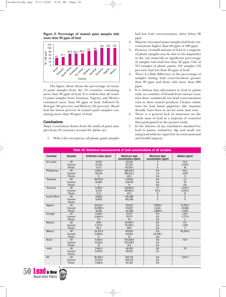#### Figure 2: Percentage of enamel paint samples with more than 90 ppm of lead



The figure above shows the percentage of enamel paint samples from the 10 countries containing more than 90 ppm of lead. It is evident that all enamel paint samples from Tanzania, Nigeria, and Mexico contained more than 90 ppm of lead, followed by Senegal (86 percent) and Belarus (82 percent). Brazil had the lowest percent of enamel paint samples containing more than 90 ppm of lead.

#### **Conclusions**

Major conclusions drawn from the study of paint samples from 10 countries around the globe are:

1. With a few exceptions, all plastic paint samples

had low lead concentrations, often below 90 ppm

- 2. Majority of enamel paint samples had lead concentrations higher than 90 ppm or 600 ppm.
- 3. Presence of small amount of lead in a majority of plastic samples may be due to the impurities in the raw materials as significant percentage of samples had lead less than 20 ppm. Out of 317 samples of plastic paints, 101 samples (32 percent) had less than 20 ppm of lead.
- 4. There is a little difference in the percentage of samples having lead concentrations greater than 90 ppm and those with more than 600 ppm.
- 5. It is obvious that alternatives to lead in paints exist, as a number of brands from various countries show consistently low lead concentrations even in their enamel products. Cleaner substitutes for lead based pigments, like titanium dioxide, have been in use for some time now.
- 6. There is a general lack of awareness on the whole issue of lead in a majority of countries that participated in the present study.
- 7. In the absence of any mandatory standard for lead in paints, industries, big and small, are using lead without regard for its environmental and health impacts.

| Table 49. Statistical measurements of lead concentrations of all samples |                |                       |                                     |                                     |                  |  |  |
|--------------------------------------------------------------------------|----------------|-----------------------|-------------------------------------|-------------------------------------|------------------|--|--|
| <b>Countries</b>                                                         | <b>Samples</b> | Arithmetic mean (ppm) | Maximum lead<br>concentration (ppm) | Minimum lead<br>concentration (ppm) | Median (ppm)     |  |  |
| Sri Lanka                                                                | All            | 15,927                | 137,325                             | 4                                   | 34.4             |  |  |
|                                                                          | Enamel         | 25,210                | 137,325                             | 4                                   | 5,137.4          |  |  |
|                                                                          | Plastic        | 4,177                 | 45,743.1                            | 6                                   | 18               |  |  |
| Philippines                                                              | All            | 17,016.4              | 189,163.5                           | 0.6                                 | 40.2             |  |  |
|                                                                          | Enamel         | 28,354                | 189,163.5                           | 3.4                                 | 3,199            |  |  |
|                                                                          | Plastic        | 11                    | 40.2                                | 0.6                                 | 9                |  |  |
| <b>Thailand</b>                                                          | All            | 38,970.5              | 5,05716                             | 0.6                                 | $\overline{2.2}$ |  |  |
|                                                                          | Enamel         | 61,893                | 5,05716                             | 0.6                                 | 35               |  |  |
|                                                                          | Plastic        | 3                     | 15                                  | 0.6                                 | 0.6              |  |  |
| Tanzania                                                                 | All            | 11.187.3              | 120,862.1                           | 13                                  | 3,631.5          |  |  |
|                                                                          | Enamel         | 14,537                | 120,862.1                           | 193.2                               | 4,130.5          |  |  |
|                                                                          | Plastic        | 22.2                  | 40.2                                | 13                                  | 19               |  |  |
| South Africa                                                             | All            | 19,862                | 195,289                             | 3                                   | 11               |  |  |
|                                                                          | Enamel         | 19,862                | 195,289                             | 3                                   | 11               |  |  |
|                                                                          | Plastic        |                       |                                     |                                     |                  |  |  |
| Nigeria                                                                  | All            | 30.332.1              | 129,837                             | 2,898.4                             | 13,394.2         |  |  |
|                                                                          | Enamel         | 36,989.5              | 129,837                             | 4,636                               | 23,866           |  |  |
|                                                                          | Plastic        | 8,458                 | 34,598                              | 2,898.4                             | 4,560            |  |  |
| Senegal                                                                  | All            | 4.108.1               | 29,717                              | 0.6                                 | 1.615            |  |  |
|                                                                          | Enamel         | 5,866.4               | 29,717                              | 0.6                                 | 2,771.4          |  |  |
|                                                                          | Plastic        | 5.5                   | 29                                  | 0.6                                 | 3                |  |  |
| <b>Belarus</b>                                                           | All            | 4091                  | 59,387.2                            | 0.6                                 | 571.             |  |  |
|                                                                          | Enamel         | 5,557.5               | 59,387.2                            | 0.6                                 | 1,678            |  |  |
|                                                                          | Plastic        | 58.2                  | 418.1                               | 0.6                                 | $\overline{2}$   |  |  |
| Mexico                                                                   | All            | 34,575.3              | 163,812                             | 0.6                                 | 30,204.2         |  |  |
|                                                                          | Enamel         | 51,860.1              | 163,812                             | 22,758.5                            |                  |  |  |
|                                                                          | Plastic        | 6                     | 16                                  | 0.6                                 |                  |  |  |
| <b>Brazil</b>                                                            | All            | 11.618.3              | 170,258.4                           | 0.6                                 | 16.4             |  |  |
|                                                                          | Enamel         | 15,004.1              | 170,258.4                           | 0.6                                 |                  |  |  |
|                                                                          | Plastic        | 10 <sup>10</sup>      | 14.4                                | 0.6                                 |                  |  |  |
| India                                                                    | All            | 7,966.3               | 49,593                              | 0.6                                 | 25               |  |  |
|                                                                          | Enamel         | 9,410.6               | 49,593                              | 8.1                                 |                  |  |  |
|                                                                          | Plastic        |                       |                                     |                                     |                  |  |  |
| All                                                                      | All            | 18,220.3              | 505,716                             | 0.6                                 | 1,541.2          |  |  |
|                                                                          | Enamel         | 23,707.1              | 505,716                             | 0.6                                 |                  |  |  |
|                                                                          | Plastic        | 1,508.4               | 45,743                              | 0.6                                 |                  |  |  |
|                                                                          |                |                       |                                     |                                     |                  |  |  |

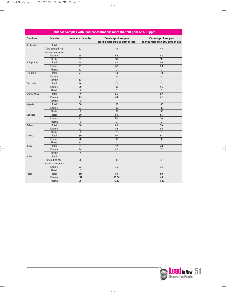$\rightarrow$ 

| Table 50. Samples with lead concentrations more than 90 ppm or 600 ppm |                  |                          |                                                           |                                                            |  |  |
|------------------------------------------------------------------------|------------------|--------------------------|-----------------------------------------------------------|------------------------------------------------------------|--|--|
| <b>Countries</b>                                                       | <b>Samples</b>   | <b>Number of Samples</b> | Percentage of samples<br>bearing more than 90 ppm of lead | Percentage of samples<br>bearing more than 600 ppm of lead |  |  |
| Sri Lanka                                                              | <b>Total</b>     |                          |                                                           |                                                            |  |  |
|                                                                        | (including three | 33                       | 45                                                        | 45                                                         |  |  |
|                                                                        | varnish samples) |                          |                                                           |                                                            |  |  |
|                                                                        | Enamel           | 19                       | 68                                                        | 68                                                         |  |  |
|                                                                        | Plastic          | 11                       | 10                                                        | 10                                                         |  |  |
| Philippines                                                            | Total            | 25                       | 40                                                        | 36                                                         |  |  |
|                                                                        | Enamel           | 15                       | 67                                                        | 60                                                         |  |  |
|                                                                        | Plastic          | 10                       | $\mathbf{0}$                                              | $\mathbf{0}$                                               |  |  |
| Thailand                                                               | Total            | 27                       | 30                                                        | 30                                                         |  |  |
|                                                                        | Enamel           | 17                       | 47                                                        | 47                                                         |  |  |
|                                                                        | Plastic          | 10                       | $\pmb{0}$                                                 | $\pmb{0}$                                                  |  |  |
| Tanzania                                                               | Total            | 26                       | 77                                                        | 73                                                         |  |  |
|                                                                        | Enamel           | 20                       | 100                                                       | 95                                                         |  |  |
|                                                                        | Plastic          | 6                        | $\mathbf 0$                                               | $\mathbf{0}$                                               |  |  |
| South Africa                                                           | Total            | 29                       | 65                                                        | 62                                                         |  |  |
|                                                                        | Enamel           | 29                       | 65                                                        | 62                                                         |  |  |
|                                                                        | Plastic          | $\mathbf{0}$             |                                                           |                                                            |  |  |
| Nigeria                                                                | <b>Total</b>     | 30                       | 100                                                       | 100                                                        |  |  |
|                                                                        | Enamel           | 23                       | 100                                                       | 100                                                        |  |  |
|                                                                        | Plastic          | $\overline{7}$           | 100                                                       | 100                                                        |  |  |
| Senegal                                                                | <b>Total</b>     | 30                       | 60                                                        | 53                                                         |  |  |
|                                                                        | Enamel           | 21                       | 86                                                        | 76                                                         |  |  |
|                                                                        | Plastic          | 9                        | $\pmb{0}$                                                 | $\pmb{0}$                                                  |  |  |
| <b>Belarus</b>                                                         | <b>Total</b>     | 30                       | 60                                                        | 50                                                         |  |  |
|                                                                        | Enamel           | 22                       | 82                                                        | 68                                                         |  |  |
|                                                                        | Plastic          | 8                        | $\mathbf 0$                                               | $\mathbf{0}$                                               |  |  |
| Mexico                                                                 | Total            | 30                       | 67                                                        | 67                                                         |  |  |
|                                                                        | Enamel           | 20                       | 100                                                       | 100                                                        |  |  |
|                                                                        | Plastic          | 10                       | $\mathbf{0}$                                              | $\mathbf{0}$                                               |  |  |
| <b>Brazil</b>                                                          | Total            | $\overline{31}$          | $\overline{32}$                                           | 28                                                         |  |  |
|                                                                        | Enamel           | 24                       | 42                                                        | 37                                                         |  |  |
|                                                                        | Plastic          | $\overline{7}$           | $\mathbf{0}$                                              | $\mathbf{0}$                                               |  |  |
| India                                                                  | Total            |                          |                                                           |                                                            |  |  |
|                                                                        | (including four  | 26                       | 31                                                        | 31                                                         |  |  |
|                                                                        | varnish samples) |                          |                                                           |                                                            |  |  |
|                                                                        | Enamel           | 22                       | 36                                                        | 36                                                         |  |  |
|                                                                        | Plastic          | $\mathbf 0$              |                                                           |                                                            |  |  |
| <b>Total</b>                                                           | Total            | $\overline{317}$         | 53                                                        | 50                                                         |  |  |
|                                                                        | Enamel           | 232                      | 68.50                                                     | 65                                                         |  |  |
|                                                                        | Plastic          | 78                       | 10.20                                                     | 10.20                                                      |  |  |

 $\Rightarrow$ 

 $\rightarrow$ 

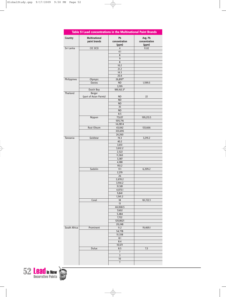|                | Table 51 Lead concentrations in the Multinational Paint Brands |                              |                                   |
|----------------|----------------------------------------------------------------|------------------------------|-----------------------------------|
| <b>Country</b> | <b>Multinational</b><br>paint brands                           | Pb<br>concentration<br>(ppm) | Avg. Pb<br>concentration<br>(ppm) |
| Sri Lanka      | CIC (ICI)                                                      | $\overline{4}$               | 11.02                             |
|                |                                                                | 4.1                          |                                   |
|                |                                                                | 8<br>$\overline{9}$          |                                   |
|                |                                                                | 8                            |                                   |
|                |                                                                | 10.2                         |                                   |
|                |                                                                | 21.2                         |                                   |
|                |                                                                | 14.3                         |                                   |
|                |                                                                | 20.4                         |                                   |
| Philippines    | Olympic                                                        | 26,897*                      |                                   |
|                | <b>Davies</b>                                                  | ND<br>3,199                  | 1,599.5                           |
|                | Dutch Boy                                                      | 189,163.3*                   |                                   |
| Thailand       | Berger                                                         |                              |                                   |
|                | (part of Asian Paints)                                         | <b>ND</b>                    | 22                                |
|                |                                                                | ND                           |                                   |
|                |                                                                | <b>ND</b>                    |                                   |
|                |                                                                | 35                           |                                   |
|                |                                                                | <b>ND</b>                    |                                   |
|                |                                                                | 8.5                          |                                   |
|                | Nippon                                                         | 77,637                       | 199,213.5                         |
|                |                                                                | 505,716<br>14,287.4          |                                   |
|                | Rust Oleum                                                     | 43,042                       | 133,666                           |
|                |                                                                | 333,695                      |                                   |
|                |                                                                | 24,260                       |                                   |
| Tanzania       | Goldstar                                                       | 19.3                         | 3,219.2                           |
|                |                                                                | 40.2                         |                                   |
|                |                                                                | 3,651                        |                                   |
|                |                                                                | 3,612.2                      |                                   |
|                |                                                                | 2,522                        |                                   |
|                |                                                                | 11,360                       |                                   |
|                |                                                                | 3,387                        |                                   |
|                |                                                                | 4,188<br>193.2               |                                   |
|                | Sadolin                                                        | 17.1                         | 6,209.2                           |
|                |                                                                | 2,219                        |                                   |
|                |                                                                | 26                           |                                   |
|                |                                                                | 2,670.2                      |                                   |
|                |                                                                | 3,914.2                      |                                   |
|                |                                                                | 31,581                       |                                   |
|                |                                                                | 4,073.1                      |                                   |
|                |                                                                | 9,841                        |                                   |
|                | Coral                                                          | 1,541.2<br>18                | 161,722.1                         |
|                |                                                                | 13                           |                                   |
|                |                                                                | 44,068.5                     |                                   |
|                |                                                                | 7,602                        |                                   |
|                |                                                                | 5,484                        |                                   |
|                |                                                                | 7,722                        |                                   |
|                |                                                                | 120,8621                     |                                   |
|                |                                                                | 20,248                       |                                   |
| South Africa   | Prominent                                                      | 11.2                         | 19,469.1                          |
|                |                                                                | 54,778<br>51,338             |                                   |
|                |                                                                | 8.1                          |                                   |
|                |                                                                | 8.4                          |                                   |
|                |                                                                | 10,671                       |                                   |
|                | Dulux                                                          | 8.5                          | 7.3                               |
|                |                                                                | 7                            |                                   |
|                |                                                                | 3                            |                                   |
|                |                                                                | 10                           |                                   |
|                |                                                                | $\overline{7}$               |                                   |

 $\overline{\bigoplus}$ 

 $\bigoplus$ 



 $\rightarrow$ 

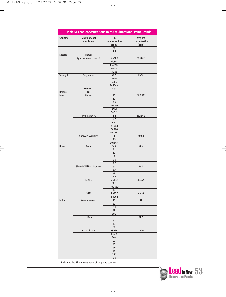I

 $\rightarrow$ 

| Table 51 Lead concentrations in the Multinational Paint Brands |                                      |                              |                                   |  |  |
|----------------------------------------------------------------|--------------------------------------|------------------------------|-----------------------------------|--|--|
| Country                                                        | <b>Multinational</b><br>paint brands | Pb<br>concentration<br>(ppm) | Avg. Pb<br>concentration<br>(ppm) |  |  |
|                                                                |                                      | 11<br>4.4                    |                                   |  |  |
| Nigeria                                                        | Berger                               |                              |                                   |  |  |
|                                                                | (part of Asian Paints)               | 5,674.3                      | 28,786.1                          |  |  |
|                                                                |                                      | 62,800                       |                                   |  |  |
|                                                                |                                      | 66,224.1                     |                                   |  |  |
|                                                                |                                      | 6,004                        |                                   |  |  |
|                                                                |                                      | 3,228                        |                                   |  |  |
| Senegal                                                        | Seigneurie                           | 2135<br>29717                | 15496                             |  |  |
|                                                                |                                      | 5966                         |                                   |  |  |
|                                                                |                                      | 24,164.4                     |                                   |  |  |
|                                                                | National                             | $5.3*$                       |                                   |  |  |
| <b>Belarus</b>                                                 | Nil                                  |                              |                                   |  |  |
| Mexico                                                         | Comex                                | 16                           | 40,255.1                          |  |  |
|                                                                |                                      | 10 <sup>°</sup>              |                                   |  |  |
|                                                                |                                      | 0.6                          |                                   |  |  |
|                                                                |                                      | 163,812                      |                                   |  |  |
|                                                                |                                      | 27,171<br>50,521             |                                   |  |  |
|                                                                | Pintu sayer ICI                      | 4.4                          | 35,164.3                          |  |  |
|                                                                |                                      | 6.2                          |                                   |  |  |
|                                                                |                                      | 70,531                       |                                   |  |  |
|                                                                |                                      | 73,968                       |                                   |  |  |
|                                                                |                                      | 36,224                       |                                   |  |  |
|                                                                |                                      | 30,252.1                     |                                   |  |  |
|                                                                | <b>Sherwin Williams</b>              | 4                            | 10,056                            |  |  |
|                                                                |                                      | 7.3                          |                                   |  |  |
| <b>Brazil</b>                                                  | Coral                                | 30,156.4<br>12.4             | 8.5                               |  |  |
|                                                                |                                      | 14                           |                                   |  |  |
|                                                                |                                      | 10                           |                                   |  |  |
|                                                                |                                      | 6                            |                                   |  |  |
|                                                                |                                      | 0.6                          |                                   |  |  |
|                                                                |                                      | 8.2                          |                                   |  |  |
|                                                                | <b>Sherwin Williams Novacor</b>      | 53                           | 25.2                              |  |  |
|                                                                |                                      | 16.4                         |                                   |  |  |
|                                                                |                                      | 22                           |                                   |  |  |
|                                                                | Renner                               | 9.5<br>5,633.2               |                                   |  |  |
|                                                                |                                      | 12.4                         | 43,979                            |  |  |
|                                                                |                                      | 170,258.4                    |                                   |  |  |
|                                                                |                                      | 12                           |                                   |  |  |
|                                                                | 3RM                                  | 4,935.5                      | 4,416                             |  |  |
|                                                                |                                      | 3,896.1                      |                                   |  |  |
| India                                                          | Kansia Nerolac                       | 23                           | 17                                |  |  |
|                                                                |                                      | 8.1                          |                                   |  |  |
|                                                                |                                      | 11.1<br>12                   |                                   |  |  |
|                                                                |                                      | 30.2                         |                                   |  |  |
|                                                                | <b>ICI Dulux</b>                     | 8.1                          | 11.2                              |  |  |
|                                                                |                                      | 13.4                         |                                   |  |  |
|                                                                |                                      | 12                           |                                   |  |  |
|                                                                |                                      | 11                           |                                   |  |  |
|                                                                | <b>Asian Paints</b>                  | 13,626                       | 2926                              |  |  |
|                                                                |                                      | 12,535                       |                                   |  |  |
|                                                                |                                      | 26.4                         |                                   |  |  |
|                                                                |                                      | 23<br>13                     |                                   |  |  |
|                                                                |                                      | 66                           |                                   |  |  |
|                                                                |                                      | 14                           |                                   |  |  |
|                                                                |                                      | 28.1                         |                                   |  |  |
|                                                                |                                      | 0.6                          |                                   |  |  |
|                                                                |                                      |                              |                                   |  |  |

 $\overline{\varphi}$ 

\* Indicates the Pb concentration of only one sample

 $\overline{\varphi}$ 



€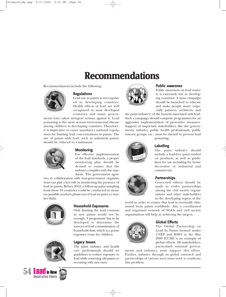# **Recommendations**

Recommendations include the following:



#### **Regulations**

Lead use in paints is not regulated in developing countries. Health effects of lead are well recognized in most developed countries and many govern-

ments have taken stringent actions against it. Lead poisoning is the most serious environmental disease among children in developing countries. Therefore, it is imperative to enact mandatory national regulations for limiting lead concentrations in paints. The use of paints with lead, such as industrial paints, should be reduced to a minimum.



#### **Monitoring**

For effective implementation of the lead standards, a proper monitoring plan should be devised to ensure that the industry complies with the standards. The government agen-

cies in collaboration with non-government organisations can play a key role in monitoring the presence of lead in paints. Before 2012, a follow-up paint sampling from these 10 countries could be conducted to monitor possible markets phase-out of lead in paint or market shifts.





# 54 **Lead** in New



Only limiting the lead contents in new paints would not be enough. A programme has to be developed to determine the sources of lead contamination of household dust, which is a prime exposure route for children.

#### **Legacy Issues**

The paint industry and health care professionals should set guidelines to reduce exposure to lead while removing old paints or recoating with new ones.



#### **Public awarenes**

Public awareness on lead toxicity is extremely low in developing countries. A mass campaign should be launched to educate and make people aware (especially painters, architects, and

the paint industry) of the hazards associated with lead. Such a campaign should comprise programmes for an aggressive implementation of preventive measures. Support of important stakeholders, like the governments, industry, public health professionals, public interest groups, etc., must be elicited to prevent lead poisoning.



#### **Labelling**

The paint industry should include a lead-free paint symbol on products, as well as guidelines for use including for home decorative or industrial and commercial.



#### **Partnerships**

Concerted efforts should be made to evolve partnerships among the civil society organisations and other stakeholders in the developing region of the

world in order to ensure that lead is eventually eliminated from paints worldwide. Also a coordinated and organised network of NGOs and civil society organisations will help in achieving the targets.



#### **Global Efforts**

The Global Partnership on Lead In Paints formed under UNEP and WHO at the May 2009 ICCM2 is an example of global efforts. All stakeholders, particularly national govern-

ments and industry, must support this effort. Further, industry through its global outreach and partnerships of various sorts must work to eradicate this problem.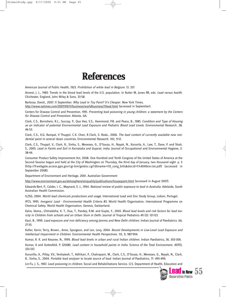# **References**

American Journal of Public Health, 1923. Prohibition of white lead in Belgium. 13. 337.

Annest, J. L., 1983. Trends in the blood lead levels of the U.S. population. In Rutter M, Jones RR, eds. Lead versus health. Chichester, England, John Wiley & Sons, 33-58.

Barboza, David., 2007. 11 September. Why Lead in Toy Paint? It's Cheaper. New York Times.

http://www.nytimes.com/2007/09/11/business/worldbusiness/11lead.html (accessed in September).

Centers for Disease Control and Prevention, 1991. Preventing lead poisoning in young children: a statement by the Centers for Disease Control and Prevention. Atlanta, GA.

Clark, C.S., Bornshein, R.L., Succop, P., Que Hee, S.S., Hammond, P.B. and Peace, B., 1985. Condition and Type of Housing as an indicator of potential Environmental Lead Exposure and Pediatric Blood Lead Levels. Environmental Research. 38, 46-53.

Clark, C.S., K.G. Rampal, V Thuppil, C.K. Chen, R Clark, S. Roda., 2006. The lead content of currently available new residential paint in several Asian countries. Environmental Research. 102, 9-12.

Clark, C.S., Thuppil, V., Clark, R., Sinha, S., Menezes, G., D'Souza, H., Nayak, N., Kuruvila, A., Law, T., Dave, P. and Shah, S., 2005. Lead in Paints and Soil in Karnataka and Gujarat, India. Journal of Occupational and Environmental Hygiene, 2: 38-44.

Consumer Product Safety Improvement Act, 2008. One Hundred and Tenth Congress of the United States of America at the Second Session begun and held at the City of Washington on Thursday, the third day of January, two thousand eight. p. 5 (http://frwebgate.access.gpo.gov/cgi-bin/getdoc.cgi?dbname=110\_cong\_bills&docid=f:h4040enr.txt.pdf) (accessed in September 2008).

Department of Environment and Heritage, 2001. Australian Government

http://www.environment.gov.au/atmosphere/airquality/publications/housepaint.html (accessed in August 2007).

Edwards-Bert, P., Calder, I. C., Maynard, E. J., 1994. National review of public exposure to lead in Australia. Adelaide, South Australian Health Commission.

ILZSG, 2004. World lead chemicals productions and usage. International Lead and Zinc Study Group, Lisbon, Portugal.

IPCS, 1995. Inorganic Lead - Environmental Health Criteria 85. World Health Organisation, International Programme on Chemical Safety. World Health Organisation, Geneva, Switzerland.

Kalra, Veena., Chitralekha, K. T., Dua, T., Pandey, R.M. and Gupta, Y., 2003. Blood lead levels and risk factors for lead toxicity in Children from schools and an Urban Slum in Delhi. Journal of Tropical Pediatrics 49 (2): 121-123.

Kaul, B., 1999. Lead exposure and iron deficiency among Jammu and New Delhi children. Indian Journal of Paediatrics. 66, 27-35.

Koller, Karin; Terry, Brown., Anne, Spurgeon, and Len, Levy, 2004. Recent Developments in Low-Level Lead Exposure and Intellectual Impairment in Children. Environmental Health Perspectives. 112, 9, 987-994.

Kumar, R. K. and Kesaree, N., 1999. Blood lead levels in urban and rural Indian children. Indian Paediatrics, 36. 303-306.

Kumar, A and Gottesfeld, P. (2008). Lead content in household paints in India. Science of the Total Environment. 407(1), 333-337.

Kuruvilla, A., Pillay, V.V., Venkatesh, T., Adhikari, P., Chakrapani, M., Clark, C.S., D'Souza, H., Menezes, G., Nayak, N., Clark, R., Sinha, S., 2004. Portable lead analyser to locate source of lead. Indian Journal of Paediatrics, 71: 495-499.

Lin-Fu, J. S., 1967. Lead poisoning in children. Social and Rehabilitations Service. U.S. Department of Health, Education and

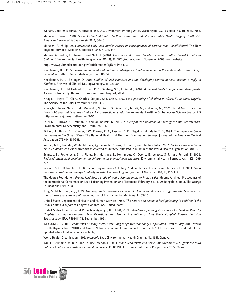Welfare. Children's Bureau Publication 452, U.S. Government Printing Office, Washington, D.C., as cited in Clark et al., 1985.

Markowitz, Gerald. 2000. "Cater to the Children": The Role of the Lead Industry in a Public Health Tragedy, 1900-1955. American Journal of Public Health, 90, 1, 36-46.

Marsden, A. Philip, 2003 Increased body lead burden-causes or consequences of chronic renal insufficiency? The New England Journal of Medicine. Editorials. 348, 4, 345-347.

Mathee, A., Röllin, H., Levin, J. and Naik, I. (2007). Lead in Paint: Three Decades Later and Still a Hazard for African Children? Environmental Health Perspectives, 115 (3), 321-322 (Retrieved on 11 November 2008 from website:

http://www.pubmedcentral.nih.gov/articlerender.fcgi?artid=1849931).

Needleman, H.L. 1995. Environmental lead and children's intelligence. Studies included in the meta-analysis are not representative [Letter]. British Medical Journal. 310, 1408.

Needleman, H. L., Bellinger, D. 2001. Studies of lead exposure and the developing central nervous system: a reply to Kaufman. Archives of Clinical Neuropsychology. 16, 359-374.

Needleman, H. L., McFarland, C., Ness, R. B., Fienberg, S.E., Tobin, M. J. 2002. Bone lead levels in adjudicated delinquents. A case control study. Neurotoxicology and Teratology. 24, 711-717.

Nriagu, J., Ngozi, T., Oleru, Charles, Cudjoe., Ada, Chine., 1997. Lead poisoning of children in Africa, III. Kaduna, Nigeria. The Science of the Total Environment. 197, 13-19.

Nuwayhid, Iman, Nabulsi, M., Muwakkit, S., Kouzi, S., Salem, G., Mikati, M., and Ariss, M., 2003. Blood lead concentrations in 1-3 year old Lebanese children: A Cross-sectional study. Environmental Health: A Global Access Science Source. 2:5 (http://www.ehjournal.net/content/2/1/5)

Patel, K.S., Shrivas. K., Hoffman, P., and Jakubowski. N., 2006. A survey of lead pollution in Chattisgarh State, central India. Environmental Geochemistry and Health. 28, 11-17.

Pirkle, J. L., Brody, D. J., Gunter, E.W., Kramer, R. A., Paschal, D. C., Flegal, K. M., Matte, T. D., 1994. The decline in blood lead levels in the United States. The National Health and Nutrition Examination Surveys. Journal of the American Medical Association 272 (4): 284-291.

Rahbar, M.H., Franklin, White, Mubina, Agboatwalla., Siroos, Hozhabri., and Stephen Luby., 2002. Factors associated with elevated blood lead concentrations in children in Karachi, Pakistan in Bulletin of the World Health Organisation. 80(10).

Schnaas, L., Rothenberg, S. J., Flores, M., Martinez, S., Hernandez, C., Osorio, E., Velasco, S. R., and Perroni, E. 2006. Reduced intellectual development in children with prenatal lead exposure. Environmental Health Perspectives. 114(5), 791- 797.

Selevan, S. G., Deborah, C. R., Karne, A., Hogan, Susan Y. Euling, Andrea Pfahles-Hutchens, and James Bethel, 2003. Blood lead concentration and delayed puberty in girls. The New England Journal of Medicine. 348, 16, 1527-1536.

The George Foundation. Project lead-free: a study of lead poisoning in major Indian cities. George A, M, ed. Proceedings of the International Conference on Lead Poisoning Prevention and Treatment, February 8-10, 1999. Bangalore, India, The George Foundation; 1999: 79-85.

Tong, S., McMichael, A. J., 1999. The magnitude, persistence and public health significance of cognitive effects of environmental lead exposure in childhood. Journal of Environmental Medicine. 1. 103-110.

United States Department of Health and Human Services, 1988. The nature and extent of lead poisoning in children in the United States: a report to Congress. Atlanta, GA, United States.

United States Environmental Protection Agency ( U.S. EPA), 2001. Standard Operating Procedures for Lead in Paint by Hotplate or microwave-based Acid Digestions and Atomic Absorption or Inductively Coupled Plasma Emission Spectroscopy, EPA, PB92-114172, September, 1991.

WHO/UNECE, 2006. Health risks of heavy metals from long-range transboundary air pollution. Draft of May 2006. World Health Organisation (WHO) and United Nations Economic Commission for Europe (UNECE), Geneva, Switzerland. (To be updated when final version is available).

World Health Organisation. 1995. Inorganic Lead (Environmental Health Criteria, No. 165), Geneva.

Wu, T., Germaine, M. Buck and Pauline, Mendola., 2003. Blood lead levels and sexual maturation in U.S. girls: the third national health and nutrition examination survey, 1988-1994. Environmental Health Perspectives. 111.5. 737-741.

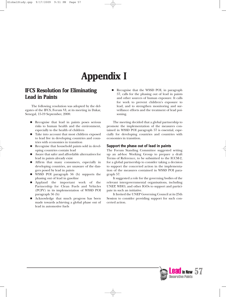# **Appendix I**

# **IFCS Resolution for Eliminating Lead in Paints**

The following resolution was adopted by the delegates of the IFCS, Forum VI, at its meeting in Dakar, Senegal, 15-19 September, 2008:

- Recognise that lead in paints poses serious risks to human health and the environment, especially to the health of children
- Take into account that most children exposed to lead live in developing countries and countries with economies in transition
- Recognise that household paints sold in developing countries contain lead
- Aware that safer and affordable alternatives for lead in paints already exist
- Affirm that many consumers, especially in developing countries, are unaware of the dangers posed by lead in paints
- WSSD POI paragraph 56 (b) supports the phasing out of lead in gasoline
- Applaud the important work of the Partnership for Clean Fuels and Vehicles (PCFV) in its implementation of WSSD POI paragraph 56 (b)
- Acknowledge that much progress has been made towards achieving a global phase out of lead in automotive fuels

Recognise that the WSSD POI, in paragraph 57, calls for the phasing out of lead in paints and other sources of human exposure. It calls for work to prevent children's exposure to lead, and to strengthen monitoring and surveillance efforts and the treatment of lead poisoning.

The meeting decided that a global partnership to promote the implementation of the measures contained in WSSD POI paragraph 57 is essential, especially for developing countries and countries with economies in transition.

#### **Support the phase out of lead in paints**

The Forum Standing Committee suggested setting up an ad-hoc Working Group to prepare a draft Terms of Reference, to be submitted to the ICCM-2, for a global partnership to consider taking a decision to support the concerted action in the implementation of the measures contained in WSSD POI paragraph 57.

It suggested a role for the governing bodies of the relevant intergovernmental organisations, including UNEP, WHO, and other IGOs to support and participate in such an initiative.

It Invited the UNEP Governing Council at its 25th Session to consider providing support for such concerted action.